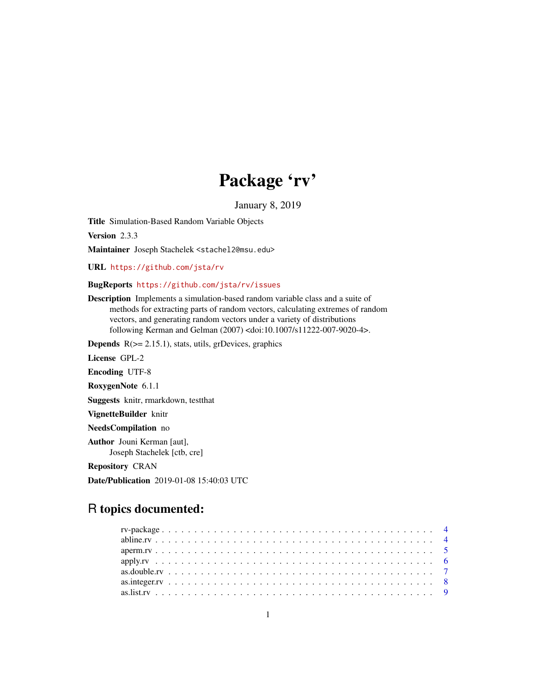# Package 'rv'

January 8, 2019

<span id="page-0-0"></span>Title Simulation-Based Random Variable Objects

Version 2.3.3

Maintainer Joseph Stachelek <stachel2@msu.edu>

URL <https://github.com/jsta/rv>

## BugReports <https://github.com/jsta/rv/issues>

Description Implements a simulation-based random variable class and a suite of methods for extracting parts of random vectors, calculating extremes of random vectors, and generating random vectors under a variety of distributions following Kerman and Gelman (2007) <doi:10.1007/s11222-007-9020-4>.

**Depends**  $R$ ( $>=$  2.15.1), stats, utils, grDevices, graphics

License GPL-2

Encoding UTF-8

RoxygenNote 6.1.1

Suggests knitr, rmarkdown, testthat

VignetteBuilder knitr

NeedsCompilation no

Author Jouni Kerman [aut], Joseph Stachelek [ctb, cre]

Repository CRAN

Date/Publication 2019-01-08 15:40:03 UTC

## R topics documented: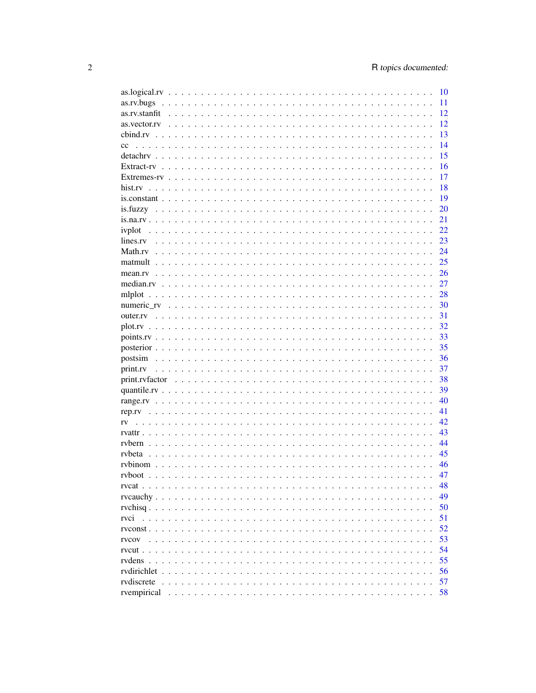|                        | 10 |
|------------------------|----|
|                        | 11 |
| as.rv.stanfit          | 12 |
| as.vector.rv           | 12 |
|                        | 13 |
| cc                     | 14 |
|                        | 15 |
|                        | 16 |
|                        | 17 |
|                        | 18 |
|                        | 19 |
|                        | 20 |
|                        |    |
|                        | 21 |
| ivplot                 | 22 |
| lines.rv               | 23 |
|                        | 24 |
|                        | 25 |
|                        | 26 |
|                        | 27 |
|                        | 28 |
|                        | 30 |
|                        | 31 |
|                        | 32 |
|                        | 33 |
|                        | 35 |
| postsim                | 36 |
| print.rv               | 37 |
|                        | 38 |
|                        | 39 |
|                        | 40 |
|                        | 41 |
|                        | 42 |
| rv                     | 43 |
|                        |    |
|                        | 44 |
| rybeta                 | 45 |
|                        | 46 |
|                        | 47 |
|                        | 48 |
|                        | 49 |
|                        | 50 |
| rvci                   | 51 |
| $r$ v const $\ldots$ . | 52 |
| rvcov                  | 53 |
| $rvcut \dots \dots$    | 54 |
|                        | 55 |
| rvdirichlet            | 56 |
| rvdiscrete             | 57 |
| rvempirical            | 58 |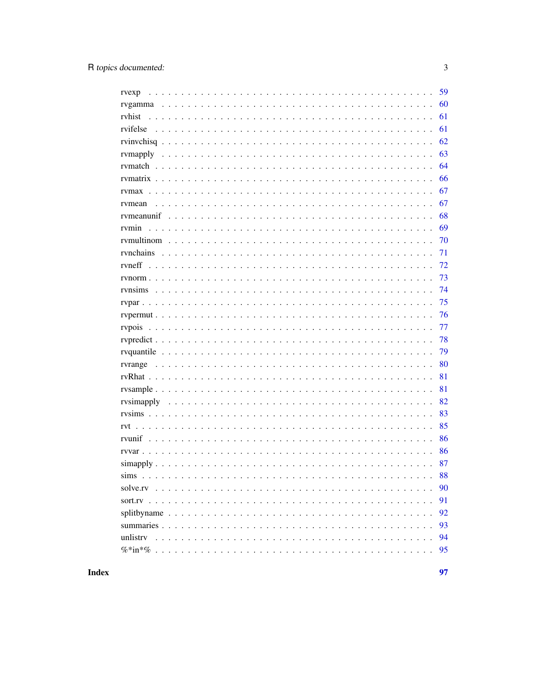| rvexp    | 59 |
|----------|----|
|          | 60 |
| ryhist   | 61 |
|          | 61 |
|          | 62 |
|          | 63 |
|          | 64 |
|          | 66 |
|          | 67 |
| rvmean   | 67 |
|          | 68 |
|          | 69 |
|          | 70 |
|          | 71 |
|          | 72 |
|          | 73 |
| rvnsims  | 74 |
|          | 75 |
|          | 76 |
|          | 77 |
|          | 78 |
|          | 79 |
|          | 80 |
|          | 81 |
|          | 81 |
|          | 82 |
|          | 83 |
|          | 85 |
|          | 86 |
|          | 86 |
|          | 87 |
|          | 88 |
|          | 90 |
|          | 91 |
|          | 92 |
|          | 93 |
| unlistry | 94 |
|          | 95 |
|          |    |

**Index**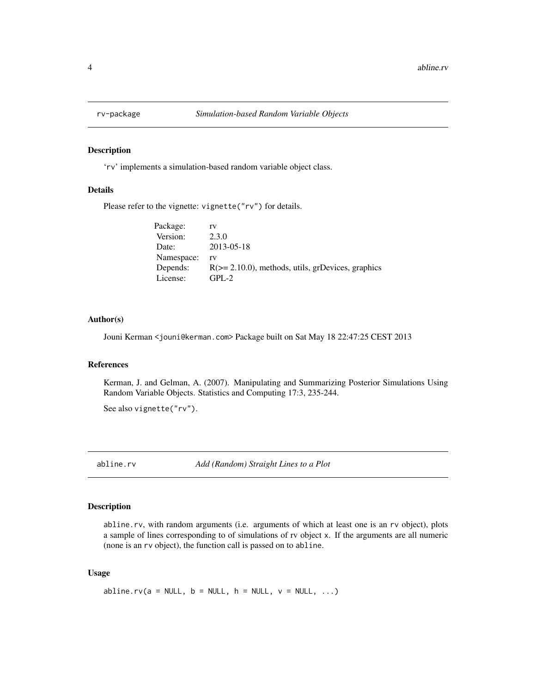<span id="page-3-0"></span>

#### Description

'rv' implements a simulation-based random variable object class.

#### Details

Please refer to the vignette: vignette("rv") for details.

| Package:   | rv                                                    |
|------------|-------------------------------------------------------|
| Version:   | 2.3.0                                                 |
| Date:      | 2013-05-18                                            |
| Namespace: | rv                                                    |
| Depends:   | $R \geq 2.10.0$ , methods, utils, grDevices, graphics |
| License:   | $GPI - 2$                                             |

## Author(s)

Jouni Kerman <jouni@kerman.com> Package built on Sat May 18 22:47:25 CEST 2013

#### References

Kerman, J. and Gelman, A. (2007). Manipulating and Summarizing Posterior Simulations Using Random Variable Objects. Statistics and Computing 17:3, 235-244.

See also vignette("rv").

abline.rv *Add (Random) Straight Lines to a Plot*

## Description

abline.rv, with random arguments (i.e. arguments of which at least one is an rv object), plots a sample of lines corresponding to of simulations of rv object x. If the arguments are all numeric (none is an rv object), the function call is passed on to abline.

## Usage

abline.rv(a = NULL, b = NULL, h = NULL,  $v = NULL$ , ...)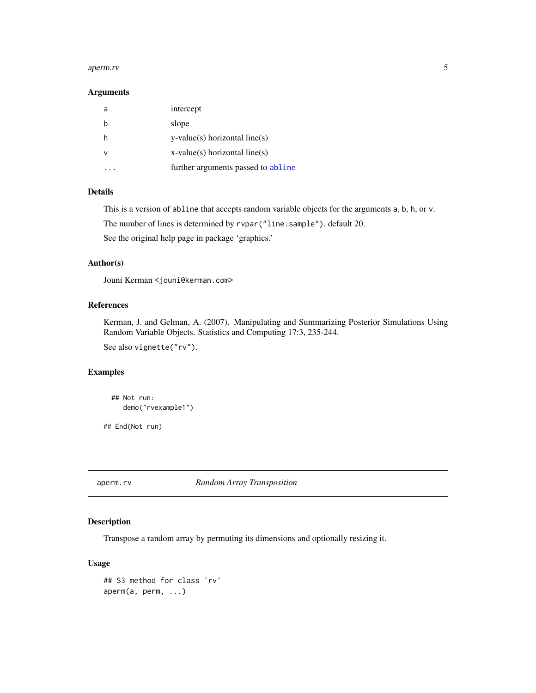#### <span id="page-4-0"></span>aperm.rv 5

#### Arguments

| a | intercept                          |
|---|------------------------------------|
|   | slope                              |
|   | $y$ -value(s) horizontal line(s)   |
| ν | $x$ -value(s) horizontal line(s)   |
|   | further arguments passed to abline |

## Details

This is a version of abline that accepts random variable objects for the arguments a, b, h, or v.

The number of lines is determined by rvpar("line.sample"), default 20.

See the original help page in package 'graphics.'

#### Author(s)

Jouni Kerman <jouni@kerman.com>

## References

Kerman, J. and Gelman, A. (2007). Manipulating and Summarizing Posterior Simulations Using Random Variable Objects. Statistics and Computing 17:3, 235-244.

See also vignette("rv").

## Examples

```
## Not run:
   demo("rvexample1")
```
## End(Not run)

aperm.rv *Random Array Transposition*

## Description

Transpose a random array by permuting its dimensions and optionally resizing it.

### Usage

```
## S3 method for class 'rv'
aperm(a, perm, ...)
```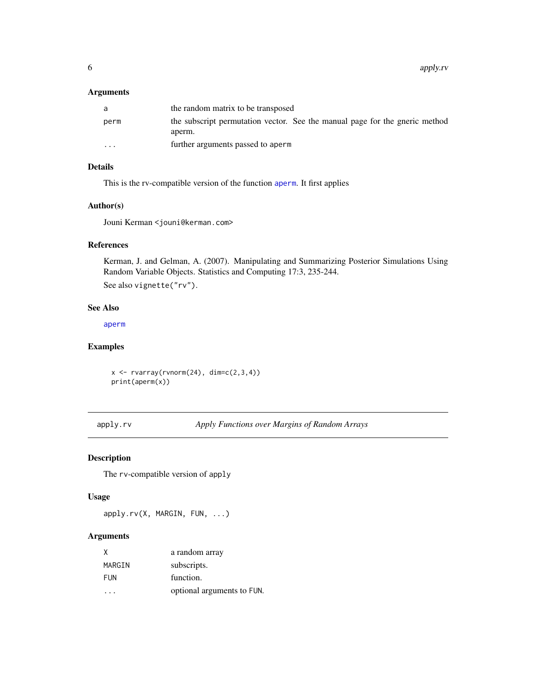## <span id="page-5-0"></span>Arguments

| a       | the random matrix to be transposed                                                    |
|---------|---------------------------------------------------------------------------------------|
| perm    | the subscript permutation vector. See the manual page for the gneric method<br>aperm. |
| $\cdot$ | further arguments passed to aperm                                                     |

## Details

This is the rv-compatible version of the function [aperm](#page-0-0). It first applies

#### Author(s)

Jouni Kerman <jouni@kerman.com>

## References

Kerman, J. and Gelman, A. (2007). Manipulating and Summarizing Posterior Simulations Using Random Variable Objects. Statistics and Computing 17:3, 235-244.

See also vignette("rv").

## See Also

[aperm](#page-0-0)

## Examples

 $x \leftarrow$  rvarray(rvnorm(24), dim=c(2,3,4)) print(aperm(x))

apply.rv *Apply Functions over Margins of Random Arrays*

#### Description

The rv-compatible version of apply

#### Usage

apply.rv(X, MARGIN, FUN, ...)

| X          | a random array             |
|------------|----------------------------|
| MARGIN     | subscripts.                |
| <b>FUN</b> | function.                  |
|            | optional arguments to FUN. |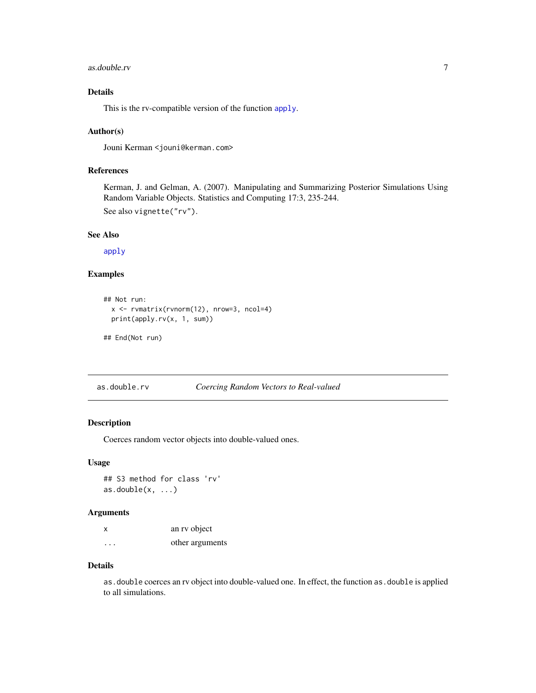#### <span id="page-6-0"></span>as.double.rv 7

## Details

This is the rv-compatible version of the function [apply](#page-0-0).

#### Author(s)

Jouni Kerman <jouni@kerman.com>

#### References

Kerman, J. and Gelman, A. (2007). Manipulating and Summarizing Posterior Simulations Using Random Variable Objects. Statistics and Computing 17:3, 235-244.

See also vignette("rv").

#### See Also

[apply](#page-0-0)

## Examples

```
## Not run:
 x <- rvmatrix(rvnorm(12), nrow=3, ncol=4)
 print(apply.rv(x, 1, sum))
```

```
## End(Not run)
```
as.double.rv *Coercing Random Vectors to Real-valued*

## Description

Coerces random vector objects into double-valued ones.

#### Usage

## S3 method for class 'rv'  $as.double(x, ...)$ 

#### Arguments

| x       | an ry object    |
|---------|-----------------|
| $\cdot$ | other arguments |

#### Details

as.double coerces an rv object into double-valued one. In effect, the function as.double is applied to all simulations.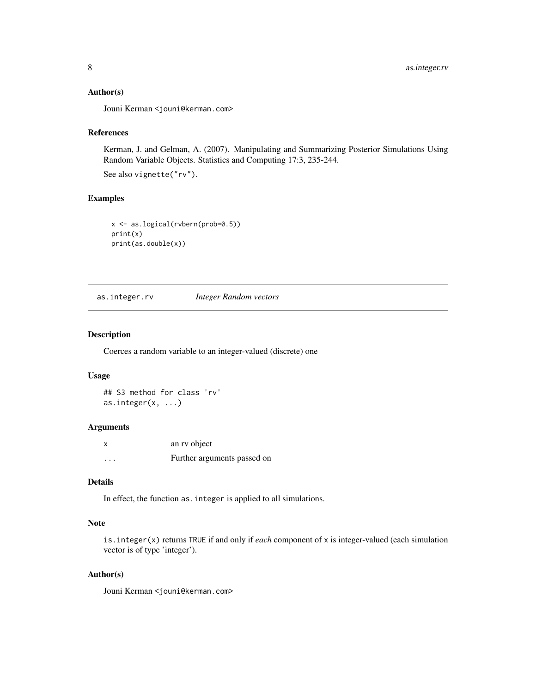#### <span id="page-7-0"></span>Author(s)

Jouni Kerman <jouni@kerman.com>

## References

Kerman, J. and Gelman, A. (2007). Manipulating and Summarizing Posterior Simulations Using Random Variable Objects. Statistics and Computing 17:3, 235-244.

See also vignette("rv").

## Examples

```
x <- as.logical(rvbern(prob=0.5))
print(x)
print(as.double(x))
```
as.integer.rv *Integer Random vectors*

#### Description

Coerces a random variable to an integer-valued (discrete) one

## Usage

## S3 method for class 'rv' as.integer(x, ...)

#### Arguments

| X        | an ry object                |
|----------|-----------------------------|
| $\cdots$ | Further arguments passed on |

## Details

In effect, the function as.integer is applied to all simulations.

## Note

is.integer(x) returns TRUE if and only if *each* component of x is integer-valued (each simulation vector is of type 'integer').

## Author(s)

Jouni Kerman <jouni@kerman.com>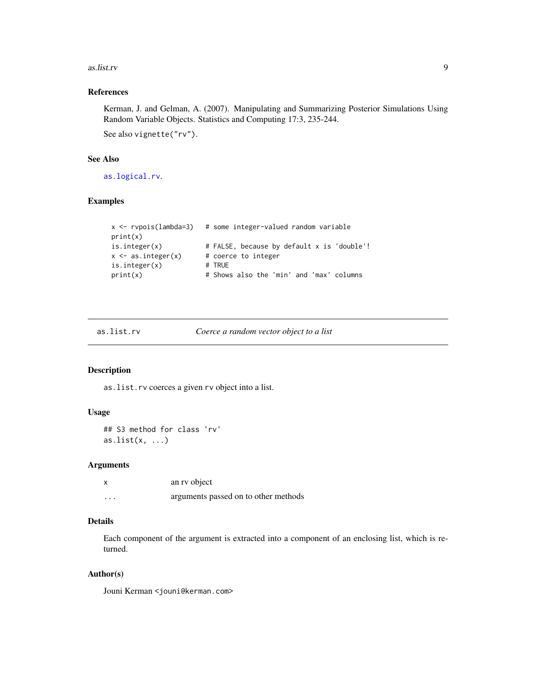#### <span id="page-8-0"></span>as.list.rv 9

## References

Kerman, J. and Gelman, A. (2007). Manipulating and Summarizing Posterior Simulations Using Random Variable Objects. Statistics and Computing 17:3, 235-244.

See also vignette("rv").

#### See Also

[as.logical.rv](#page-9-1).

## Examples

```
x <- rvpois(lambda=3) # some integer-valued random variable
print(x)
is.integer(x) # FALSE, because by default x is 'double'!
x \le - as.integer(x) # coerce to integer
is.integer(x) # TRUE
print(x) # Shows also the 'min' and 'max' columns
```
## Description

as.list.rv coerces a given rv object into a list.

#### Usage

```
## S3 method for class 'rv'
as.list(x, \ldots)
```
#### Arguments

|                   | an ry object                         |
|-------------------|--------------------------------------|
| $\cdot\cdot\cdot$ | arguments passed on to other methods |

## Details

Each component of the argument is extracted into a component of an enclosing list, which is returned.

### Author(s)

Jouni Kerman <jouni@kerman.com>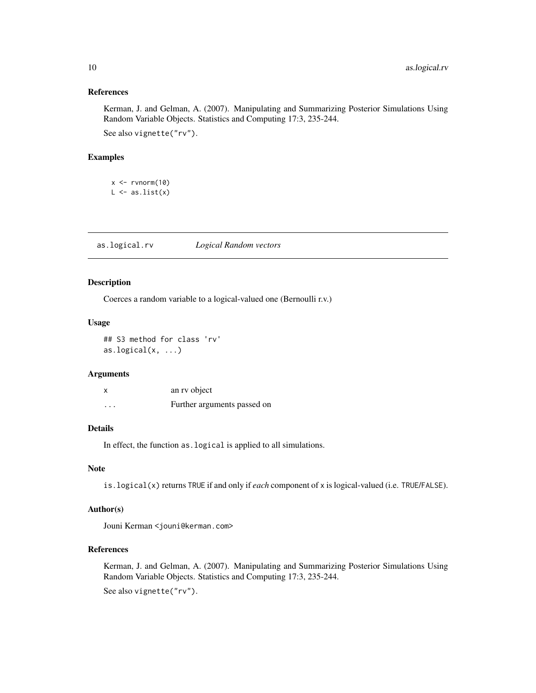#### <span id="page-9-0"></span>References

Kerman, J. and Gelman, A. (2007). Manipulating and Summarizing Posterior Simulations Using Random Variable Objects. Statistics and Computing 17:3, 235-244. See also vignette("rv").

#### Examples

 $x \leftarrow \text{rvnorm}(10)$  $L \leftarrow as.list(x)$ 

<span id="page-9-1"></span>as.logical.rv *Logical Random vectors*

## Description

Coerces a random variable to a logical-valued one (Bernoulli r.v.)

## Usage

```
## S3 method for class 'rv'
as.logical(x, ...)
```
#### Arguments

|          | an ry object                |
|----------|-----------------------------|
| $\cdots$ | Further arguments passed on |

## Details

In effect, the function as.logical is applied to all simulations.

#### Note

is.logical(x) returns TRUE if and only if *each* component of x is logical-valued (i.e. TRUE/FALSE).

## Author(s)

Jouni Kerman <jouni@kerman.com>

#### References

Kerman, J. and Gelman, A. (2007). Manipulating and Summarizing Posterior Simulations Using Random Variable Objects. Statistics and Computing 17:3, 235-244.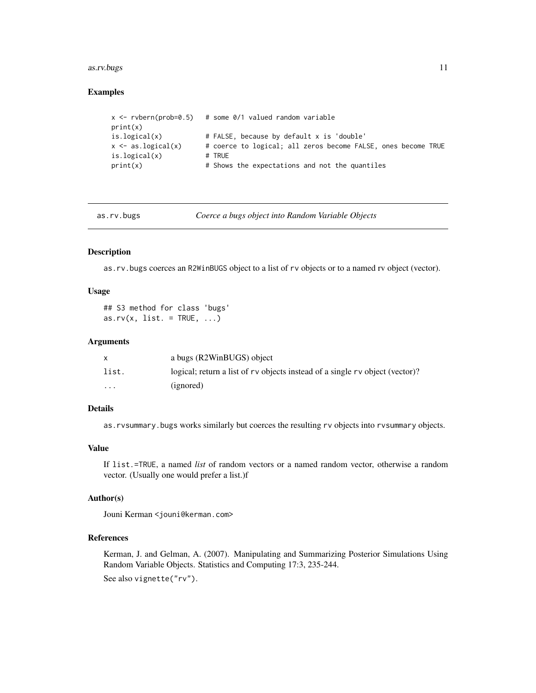#### <span id="page-10-0"></span>as.rv.bugs 11

#### Examples

```
x \le - rvbern(prob=0.5) # some 0/1 valued random variable
print(x)
is.logical(x) # FALSE, because by default x is 'double'
x \le - as.logical(x) # coerce to logical; all zeros become FALSE, ones become TRUE
is.logical(x) # TRUE
print(x) # Shows the expectations and not the quantiles
```
as.rv.bugs *Coerce a bugs object into Random Variable Objects*

#### Description

as.rv.bugs coerces an R2WinBUGS object to a list of rv objects or to a named rv object (vector).

#### Usage

```
## S3 method for class 'bugs'
as.rv(x, list. = TRUE, \ldots)
```
#### **Arguments**

|          | a bugs (R2WinBUGS) object                                                    |
|----------|------------------------------------------------------------------------------|
| list.    | logical; return a list of ry objects instead of a single ry object (vector)? |
| $\cdots$ | (ignored)                                                                    |

#### Details

as.rvsummary.bugs works similarly but coerces the resulting rv objects into rvsummary objects.

## Value

If list.=TRUE, a named *list* of random vectors or a named random vector, otherwise a random vector. (Usually one would prefer a list.)f

#### Author(s)

Jouni Kerman <jouni@kerman.com>

#### References

Kerman, J. and Gelman, A. (2007). Manipulating and Summarizing Posterior Simulations Using Random Variable Objects. Statistics and Computing 17:3, 235-244.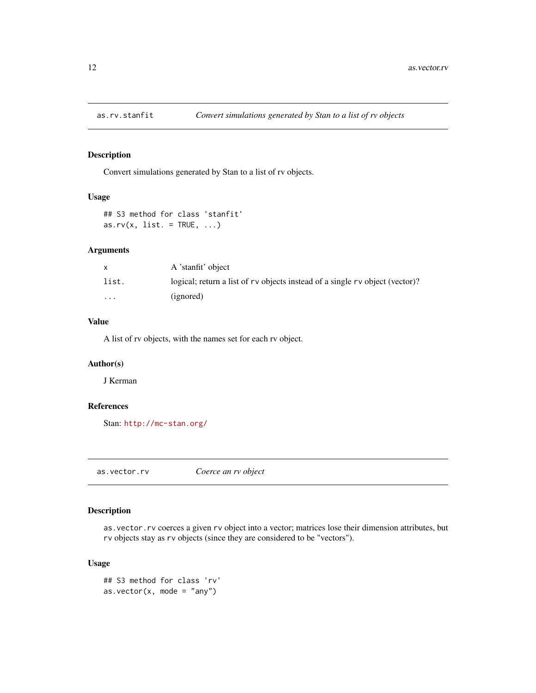<span id="page-11-0"></span>

## Description

Convert simulations generated by Stan to a list of rv objects.

## Usage

## S3 method for class 'stanfit' as.rv(x, list. =  $TRUE$ , ...)

## Arguments

|                         | A 'stanfit' object                                                             |
|-------------------------|--------------------------------------------------------------------------------|
| list.                   | logical; return a list of r v objects instead of a single r v object (vector)? |
| $\cdot$ $\cdot$ $\cdot$ | (ignored)                                                                      |

## Value

A list of rv objects, with the names set for each rv object.

## Author(s)

J Kerman

## References

Stan: <http://mc-stan.org/>

as.vector.rv *Coerce an rv object*

## Description

as.vector.rv coerces a given rv object into a vector; matrices lose their dimension attributes, but rv objects stay as rv objects (since they are considered to be "vectors").

### Usage

```
## S3 method for class 'rv'
as.vector(x, \text{ mode} = "any")
```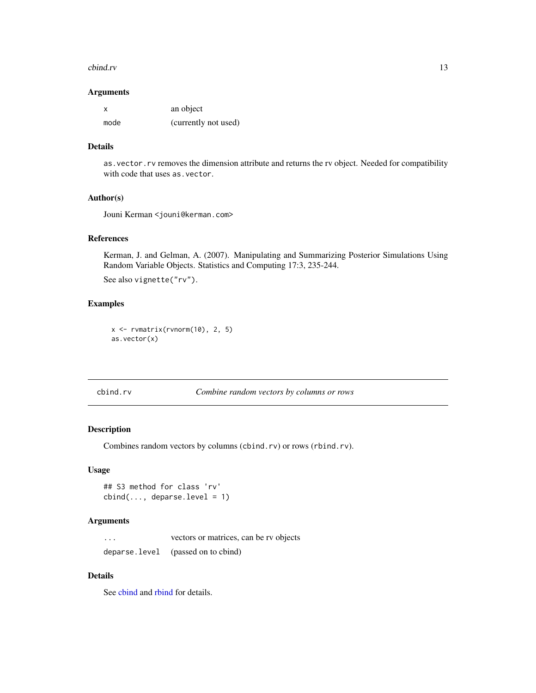#### <span id="page-12-0"></span>cbind.rv 13

#### Arguments

|      | an object            |
|------|----------------------|
| mode | (currently not used) |

## Details

as.vector.rv removes the dimension attribute and returns the rv object. Needed for compatibility with code that uses as.vector.

#### Author(s)

Jouni Kerman <jouni@kerman.com>

## References

Kerman, J. and Gelman, A. (2007). Manipulating and Summarizing Posterior Simulations Using Random Variable Objects. Statistics and Computing 17:3, 235-244. See also vignette("rv").

## Examples

 $x \leftarrow$  rvmatrix(rvnorm(10), 2, 5) as.vector(x)

cbind.rv *Combine random vectors by columns or rows*

#### Description

Combines random vectors by columns (cbind.rv) or rows (rbind.rv).

## Usage

```
## S3 method for class 'rv'
cbind(..., deparse.level = 1)
```
#### Arguments

... vectors or matrices, can be rv objects deparse.level (passed on to cbind)

## Details

See [cbind](#page-0-0) and [rbind](#page-0-0) for details.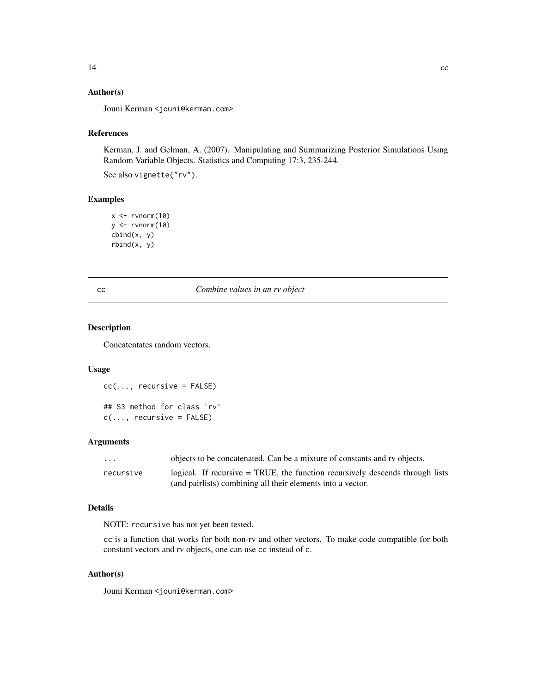## <span id="page-13-0"></span>Author(s)

Jouni Kerman <jouni@kerman.com>

#### References

Kerman, J. and Gelman, A. (2007). Manipulating and Summarizing Posterior Simulations Using Random Variable Objects. Statistics and Computing 17:3, 235-244.

See also vignette("rv").

## Examples

```
x \leq -rvnorm(10)y <- rvnorm(10)
cbind(x, y)
rbind(x, y)
```
#### cc *Combine values in an rv object*

#### Description

Concatentates random vectors.

#### Usage

 $cc(...,$  recursive = FALSE) ## S3 method for class 'rv'  $c(\ldots,$  recursive = FALSE)

## Arguments

| .         | objects to be concatenated. Can be a mixture of constants and rv objects.     |
|-----------|-------------------------------------------------------------------------------|
| recursive | logical. If recursive = TRUE, the function recursively descends through lists |
|           | (and pairlists) combining all their elements into a vector.                   |

#### Details

NOTE: recursive has not yet been tested.

cc is a function that works for both non-rv and other vectors. To make code compatible for both constant vectors and rv objects, one can use cc instead of c.

## Author(s)

Jouni Kerman <jouni@kerman.com>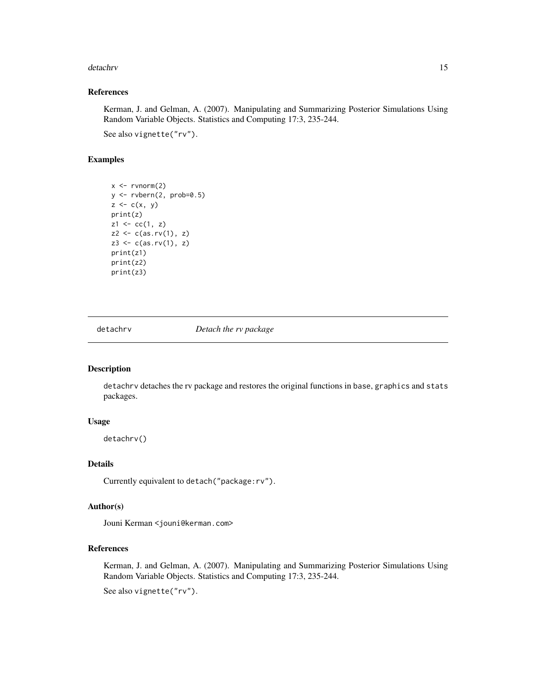#### <span id="page-14-0"></span>detachrv 15

## References

Kerman, J. and Gelman, A. (2007). Manipulating and Summarizing Posterior Simulations Using Random Variable Objects. Statistics and Computing 17:3, 235-244.

See also vignette("rv").

## Examples

```
x \le -rvnorm(2)y <- rvbern(2, prob=0.5)
z \leq c(x, y)print(z)
z1 \leftarrow cc(1, z)z2 \leftarrow c(as.rv(1), z)z3 \leftarrow c(as.rv(1), z)print(z1)
print(z2)
print(z3)
```
detachrv *Detach the rv package*

#### Description

detachrv detaches the rv package and restores the original functions in base, graphics and stats packages.

## Usage

detachrv()

#### Details

Currently equivalent to detach("package:rv").

## Author(s)

Jouni Kerman <jouni@kerman.com>

## References

Kerman, J. and Gelman, A. (2007). Manipulating and Summarizing Posterior Simulations Using Random Variable Objects. Statistics and Computing 17:3, 235-244.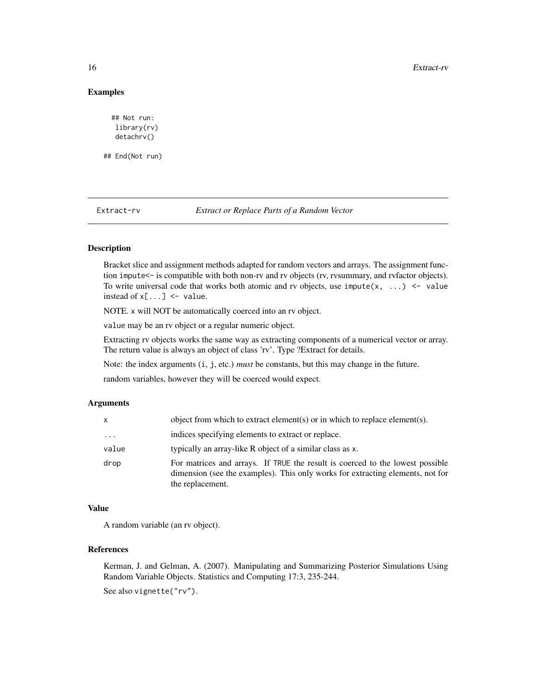#### <span id="page-15-0"></span>16 Extract-rv

#### Examples

```
## Not run:
  library(rv)
  detachrv()
## End(Not run)
```

| Extract-ry |  | Extract or Replace Parts of a Random Vector |
|------------|--|---------------------------------------------|
|            |  |                                             |

#### Description

Bracket slice and assignment methods adapted for random vectors and arrays. The assignment function impute<- is compatible with both non-rv and rv objects (rv, rvsummary, and rvfactor objects). To write universal code that works both atomic and rv objects, use impute $(x, \ldots)$  <- value instead of  $x[\dots]$  <- value.

NOTE. x will NOT be automatically coerced into an rv object.

value may be an rv object or a regular numeric object.

Extracting rv objects works the same way as extracting components of a numerical vector or array. The return value is always an object of class 'rv'. Type ?Extract for details.

Note: the index arguments (i, j, etc.) *must* be constants, but this may change in the future.

random variables, however they will be coerced would expect.

#### Arguments

| x        | object from which to extract element(s) or in which to replace element(s).                                                                                                          |
|----------|-------------------------------------------------------------------------------------------------------------------------------------------------------------------------------------|
| $\cdots$ | indices specifying elements to extract or replace.                                                                                                                                  |
| value    | typically an array-like R object of a similar class as x.                                                                                                                           |
| drop     | For matrices and arrays. If TRUE the result is coerced to the lowest possible<br>dimension (see the examples). This only works for extracting elements, not for<br>the replacement. |

### Value

A random variable (an rv object).

#### References

Kerman, J. and Gelman, A. (2007). Manipulating and Summarizing Posterior Simulations Using Random Variable Objects. Statistics and Computing 17:3, 235-244.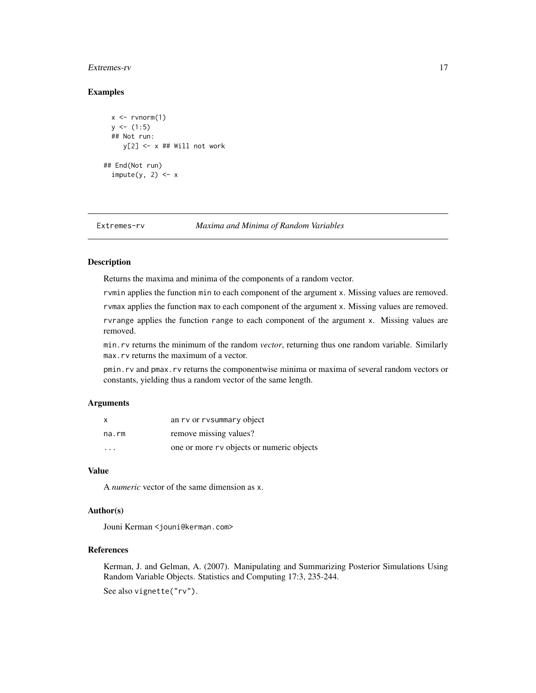#### <span id="page-16-0"></span>Extremes-rv 17

#### Examples

```
x \le -rvnorm(1)y \le - (1:5)
 ## Not run:
     y[2] <- x ## Will not work
## End(Not run)
 impute(y, 2) <- x
```
Extremes-rv *Maxima and Minima of Random Variables*

#### Description

Returns the maxima and minima of the components of a random vector.

rvmin applies the function min to each component of the argument x. Missing values are removed.

rvmax applies the function max to each component of the argument x. Missing values are removed.

rvrange applies the function range to each component of the argument x. Missing values are removed.

min.rv returns the minimum of the random *vector*, returning thus one random variable. Similarly max.rv returns the maximum of a vector.

pmin.rv and pmax.rv returns the componentwise minima or maxima of several random vectors or constants, yielding thus a random vector of the same length.

#### Arguments

| x                       | an rv or rvsummary object                 |
|-------------------------|-------------------------------------------|
| na.rm                   | remove missing values?                    |
| $\cdot$ $\cdot$ $\cdot$ | one or more rv objects or numeric objects |

## Value

A *numeric* vector of the same dimension as x.

## Author(s)

Jouni Kerman <jouni@kerman.com>

#### References

Kerman, J. and Gelman, A. (2007). Manipulating and Summarizing Posterior Simulations Using Random Variable Objects. Statistics and Computing 17:3, 235-244.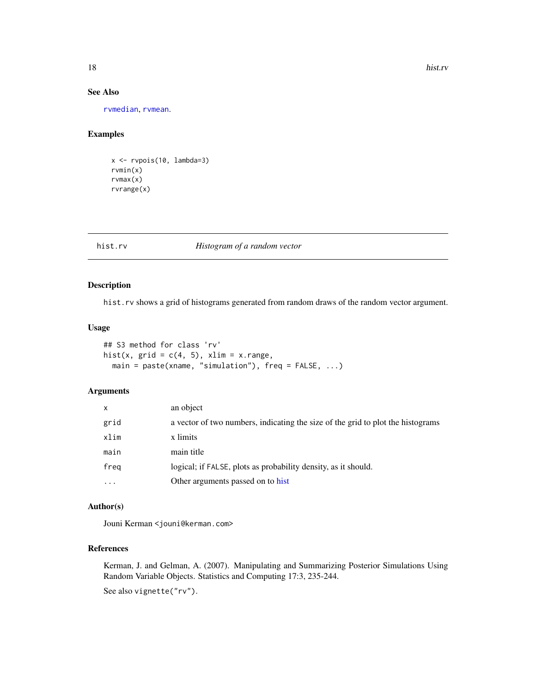## See Also

[rvmedian](#page-78-1), [rvmean](#page-66-1).

## Examples

x <- rvpois(10, lambda=3) rvmin(x) rvmax(x) rvrange(x)

## hist.rv *Histogram of a random vector*

## Description

hist.rv shows a grid of histograms generated from random draws of the random vector argument.

## Usage

```
## S3 method for class 'rv'
hist(x, grid = c(4, 5), xlim = x.random,
 main = paste(xname, "simulation"), freq = FALSE, ...)
```
## Arguments

| $\mathsf{x}$ | an object                                                                       |
|--------------|---------------------------------------------------------------------------------|
| grid         | a vector of two numbers, indicating the size of the grid to plot the histograms |
| xlim         | x limits                                                                        |
| main         | main title                                                                      |
| freg         | logical; if FALSE, plots as probability density, as it should.                  |
| $\cdots$     | Other arguments passed on to hist                                               |

## Author(s)

Jouni Kerman <jouni@kerman.com>

#### References

Kerman, J. and Gelman, A. (2007). Manipulating and Summarizing Posterior Simulations Using Random Variable Objects. Statistics and Computing 17:3, 235-244.

<span id="page-17-0"></span>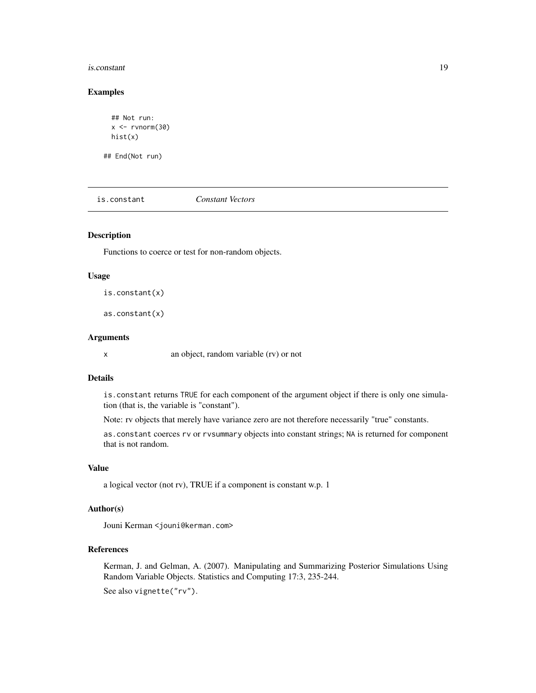#### <span id="page-18-0"></span>is.constant 19

#### Examples

```
## Not run:
x < - rvnorm(30)hist(x)
```
## End(Not run)

is.constant *Constant Vectors*

## Description

Functions to coerce or test for non-random objects.

#### Usage

is.constant(x)

as.constant(x)

## Arguments

x an object, random variable (rv) or not

#### Details

is.constant returns TRUE for each component of the argument object if there is only one simulation (that is, the variable is "constant").

Note: rv objects that merely have variance zero are not therefore necessarily "true" constants.

as.constant coerces rv or rvsummary objects into constant strings; NA is returned for component that is not random.

#### Value

a logical vector (not rv), TRUE if a component is constant w.p. 1

## Author(s)

Jouni Kerman <jouni@kerman.com>

#### References

Kerman, J. and Gelman, A. (2007). Manipulating and Summarizing Posterior Simulations Using Random Variable Objects. Statistics and Computing 17:3, 235-244.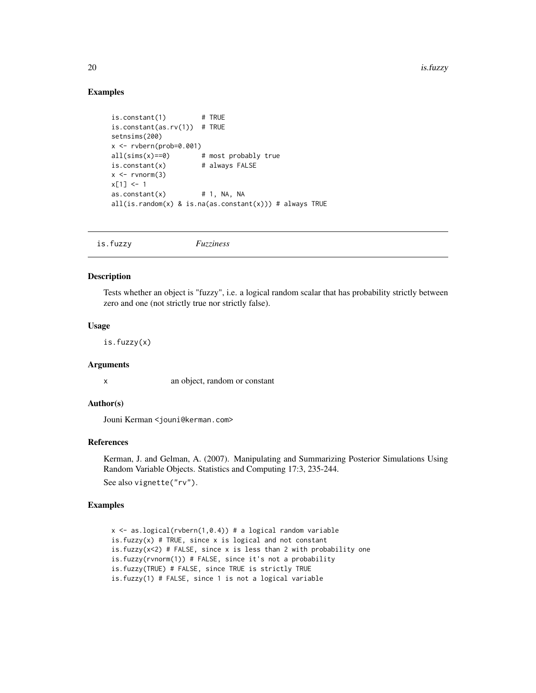### Examples

```
is.constant(1) # TRUE
is.constant(as.rv(1)) # TRUE
setnsims(200)
x \le - rybern(prob=0.001)
all(sims(x)=0) # most probably true
is.constant(x) # always FALSE
x \leq -rvnorm(3)x[1] < -1\text{as.} \text{constant}(x) # 1, NA, NA
all(is.random(x) & is.na(as.constant(x))) # always TRUE
```

| is.fuzzy<br>Fuzziness |
|-----------------------|
|-----------------------|

#### Description

Tests whether an object is "fuzzy", i.e. a logical random scalar that has probability strictly between zero and one (not strictly true nor strictly false).

#### Usage

is.fuzzy(x)

#### Arguments

x an object, random or constant

#### Author(s)

Jouni Kerman <jouni@kerman.com>

#### References

Kerman, J. and Gelman, A. (2007). Manipulating and Summarizing Posterior Simulations Using Random Variable Objects. Statistics and Computing 17:3, 235-244. See also vignette("rv").

## Examples

```
x \le - as.logical(rvbern(1,0.4)) # a logical random variable
is.fuzzy(x) # TRUE, since x is logical and not constant
is.fuzzy(x < 2) # FALSE, since x is less than 2 with probability one
is.fuzzy(rvnorm(1)) # FALSE, since it's not a probability
is.fuzzy(TRUE) # FALSE, since TRUE is strictly TRUE
is.fuzzy(1) # FALSE, since 1 is not a logical variable
```
<span id="page-19-0"></span>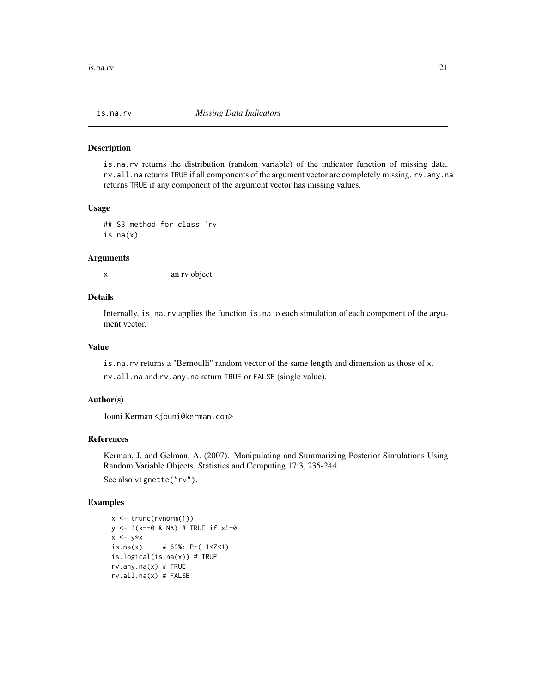<span id="page-20-0"></span>

#### Description

is.na.rv returns the distribution (random variable) of the indicator function of missing data. rv.all.na returns TRUE if all components of the argument vector are completely missing. rv.any.na returns TRUE if any component of the argument vector has missing values.

#### Usage

```
## S3 method for class 'rv'
is.na(x)
```
#### Arguments

x an rv object

#### Details

Internally, is.na.rv applies the function is.na to each simulation of each component of the argument vector.

### Value

is.na.rv returns a "Bernoulli" random vector of the same length and dimension as those of x.

rv.all.na and rv.any.na return TRUE or FALSE (single value).

### Author(s)

Jouni Kerman <jouni@kerman.com>

#### References

Kerman, J. and Gelman, A. (2007). Manipulating and Summarizing Posterior Simulations Using Random Variable Objects. Statistics and Computing 17:3, 235-244.

See also vignette("rv").

#### Examples

```
x <- trunc(rvnorm(1))
y \le - !(x==0 & NA) # TRUE if x!=0x \leftarrow y \star xis.na(x) \# 69%: Pr(-1 < Z < 1)is.logical(is.na(x)) # TRUE
rv.any.na(x) # TRUE
rv.all.na(x) # FALSE
```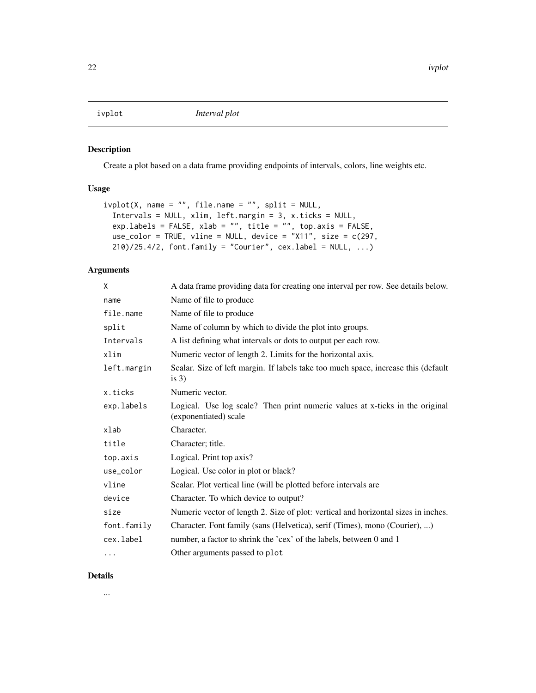<span id="page-21-0"></span>

## Description

Create a plot based on a data frame providing endpoints of intervals, colors, line weights etc.

## Usage

```
ivplot(X, name = "", file.name = "", split = NULL,
 Intervals = NULL, xlim, left.margin = 3, x.ticks = NULL,
 exp.labels = FALSE, xlab = "", title = "", top.axis = FALSE,
 use_color = TRUE, vline = NULL, device = "X11", size = c(297,210)/25.4/2, font.family = "Courier", cex.label = NULL, ...)
```
## Arguments

| X           | A data frame providing data for creating one interval per row. See details below.                     |
|-------------|-------------------------------------------------------------------------------------------------------|
| name        | Name of file to produce                                                                               |
| file.name   | Name of file to produce                                                                               |
| split       | Name of column by which to divide the plot into groups.                                               |
| Intervals   | A list defining what intervals or dots to output per each row.                                        |
| xlim        | Numeric vector of length 2. Limits for the horizontal axis.                                           |
| left.margin | Scalar. Size of left margin. If labels take too much space, increase this (default<br>is $3)$         |
| x.ticks     | Numeric vector.                                                                                       |
| exp.labels  | Logical. Use log scale? Then print numeric values at x-ticks in the original<br>(exponentiated) scale |
| xlab        | Character.                                                                                            |
| title       | Character; title.                                                                                     |
| top.axis    | Logical. Print top axis?                                                                              |
| use_color   | Logical. Use color in plot or black?                                                                  |
| vline       | Scalar. Plot vertical line (will be plotted before intervals are                                      |
| device      | Character. To which device to output?                                                                 |
| size        | Numeric vector of length 2. Size of plot: vertical and horizontal sizes in inches.                    |
| font.family | Character. Font family (sans (Helvetica), serif (Times), mono (Courier), )                            |
| cex.label   | number, a factor to shrink the 'cex' of the labels, between 0 and 1                                   |
| .           | Other arguments passed to plot                                                                        |

## Details

...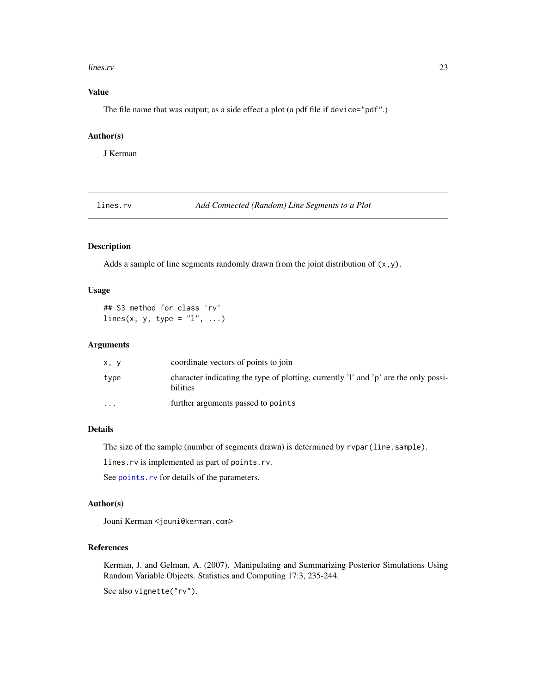#### <span id="page-22-0"></span>lines.rv 23

## Value

The file name that was output; as a side effect a plot (a pdf file if device="pdf".)

## Author(s)

J Kerman

<span id="page-22-1"></span>lines.rv *Add Connected (Random) Line Segments to a Plot*

## Description

Adds a sample of line segments randomly drawn from the joint distribution of  $(x, y)$ .

#### Usage

```
## S3 method for class 'rv'
lines(x, y, type = "1", ...)
```
#### Arguments

| x, y     | coordinate vectors of points to join                                                             |
|----------|--------------------------------------------------------------------------------------------------|
| type     | character indicating the type of plotting, currently 'l' and 'p' are the only possi-<br>bilities |
| $\cdots$ | further arguments passed to points                                                               |

## Details

The size of the sample (number of segments drawn) is determined by rvpar(line.sample).

lines.rv is implemented as part of points.rv.

See [points.rv](#page-32-1) for details of the parameters.

#### Author(s)

Jouni Kerman <jouni@kerman.com>

## References

Kerman, J. and Gelman, A. (2007). Manipulating and Summarizing Posterior Simulations Using Random Variable Objects. Statistics and Computing 17:3, 235-244.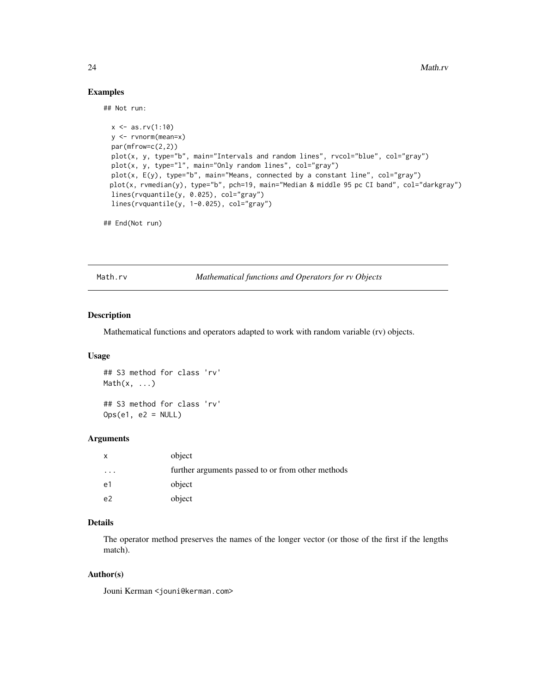## Examples

## Not run:

```
x \le -as.rv(1:10)y <- rvnorm(mean=x)
par(mfrow=c(2,2))
plot(x, y, type="b", main="Intervals and random lines", rvcol="blue", col="gray")
plot(x, y, type="1", main="Only random lines", col="gray")plot(x, E(y), type="b", main="Means, connected by a constant line", col="gray")
plot(x, rvmedian(y), type="b", pch=19, main="Median & middle 95 pc CI band", col="darkgray")
lines(rvquantile(y, 0.025), col="gray")
lines(rvquantile(y, 1-0.025), col="gray")
```
## End(Not run)

Math.rv *Mathematical functions and Operators for rv Objects*

#### Description

Mathematical functions and operators adapted to work with random variable (rv) objects.

#### Usage

## S3 method for class 'rv'  $Math(x, \ldots)$ ## S3 method for class 'rv'

 $Ops(e1, e2 = NULL)$ 

#### Arguments

| X              | object                                            |
|----------------|---------------------------------------------------|
| $\ddotsc$      | further arguments passed to or from other methods |
| e1             | object                                            |
| e <sup>2</sup> | object                                            |

## Details

The operator method preserves the names of the longer vector (or those of the first if the lengths match).

## Author(s)

Jouni Kerman <jouni@kerman.com>

<span id="page-23-0"></span>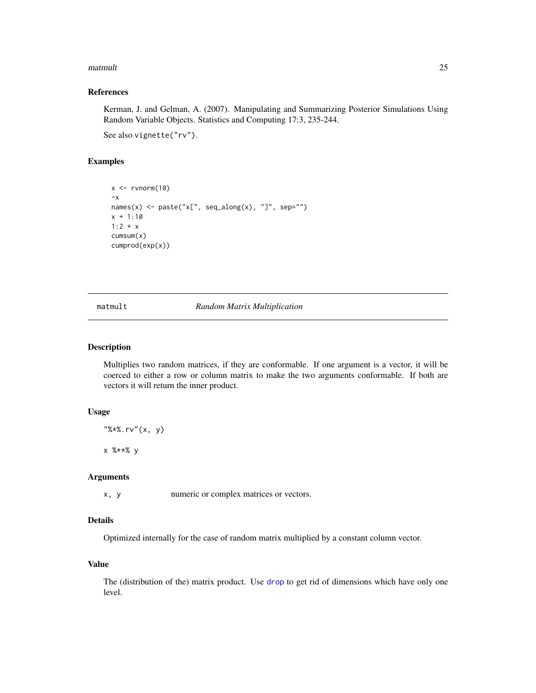#### <span id="page-24-0"></span>matmult 25

#### References

Kerman, J. and Gelman, A. (2007). Manipulating and Summarizing Posterior Simulations Using Random Variable Objects. Statistics and Computing 17:3, 235-244.

See also vignette("rv").

## Examples

```
x \leftarrow rvnorm(10)-\mathsf{x}names(x) <- paste("x[", seq_along(x), "]", sep="")
x + 1:10
1:2 + xcumsum(x)
cumprod(exp(x))
```
matmult *Random Matrix Multiplication*

### Description

Multiplies two random matrices, if they are conformable. If one argument is a vector, it will be coerced to either a row or column matrix to make the two arguments conformable. If both are vectors it will return the inner product.

#### Usage

"%\*%.rv"(x, y)

x %\*\*% y

## Arguments

x, y numeric or complex matrices or vectors.

## Details

Optimized internally for the case of random matrix multiplied by a constant column vector.

## Value

The (distribution of the) matrix product. Use [drop](#page-0-0) to get rid of dimensions which have only one level.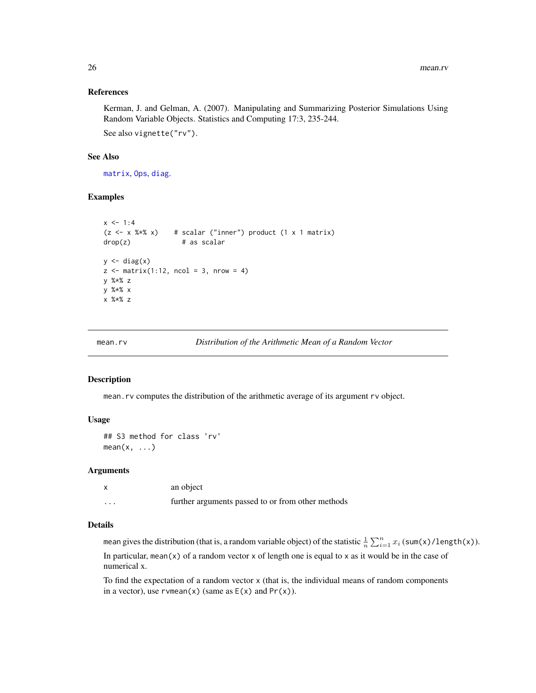#### <span id="page-25-0"></span>References

Kerman, J. and Gelman, A. (2007). Manipulating and Summarizing Posterior Simulations Using Random Variable Objects. Statistics and Computing 17:3, 235-244. See also vignette("rv").

#### See Also

[matrix](#page-0-0), [Ops](#page-0-0), [diag](#page-0-0).

## Examples

```
x \le -1:4(z \le x %* x) # scalar ("inner") product (1 x 1 matrix)drop(z) # as scalar
y \leftarrow diag(x)z \le matrix(1:12, ncol = 3, nrow = 4)
y %*% z
y %*% x
x %*% z
```
mean.rv *Distribution of the Arithmetic Mean of a Random Vector*

## Description

mean.rv computes the distribution of the arithmetic average of its argument rv object.

#### Usage

```
## S3 method for class 'rv'
mean(x, \ldots)
```
#### Arguments

|                         | an object                                         |
|-------------------------|---------------------------------------------------|
| $\cdot$ $\cdot$ $\cdot$ | further arguments passed to or from other methods |

## Details

mean gives the distribution (that is, a random variable object) of the statistic  $\frac{1}{n}\sum_{i=1}^n x_i$  (sum(x)/length(x)). In particular, mean(x) of a random vector x of length one is equal to x as it would be in the case of numerical x.

To find the expectation of a random vector x (that is, the individual means of random components in a vector), use rvmean(x) (same as  $E(x)$  and  $Pr(x)$ ).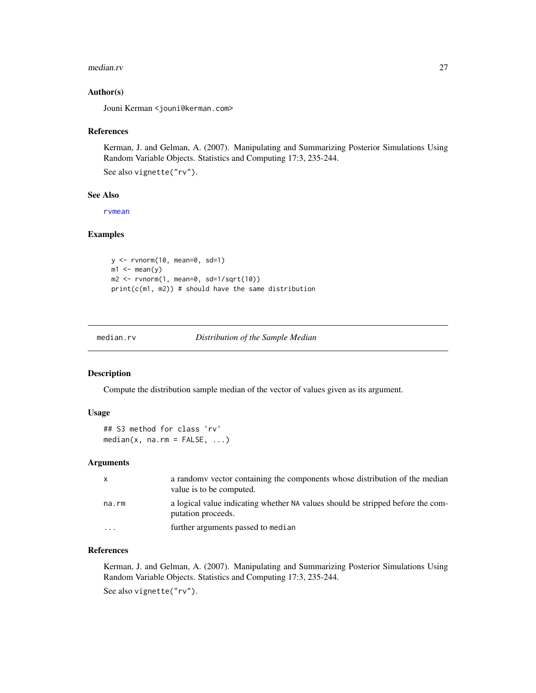#### <span id="page-26-0"></span>median.rv 27

#### Author(s)

Jouni Kerman <jouni@kerman.com>

#### References

Kerman, J. and Gelman, A. (2007). Manipulating and Summarizing Posterior Simulations Using Random Variable Objects. Statistics and Computing 17:3, 235-244.

See also vignette("rv").

#### See Also

[rvmean](#page-66-1)

#### Examples

```
y <- rvnorm(10, mean=0, sd=1)
m1 \leq mean(y)
m2 \le r rvnorm(1, \text{mean=0}, \text{sd=1/sqrt}(10))print(c(m1, m2)) # should have the same distribution
```
median.rv *Distribution of the Sample Median*

#### Description

Compute the distribution sample median of the vector of values given as its argument.

#### Usage

```
## S3 method for class 'rv'
median(x, na.rm = FALSE, ...)
```
## Arguments

| x                       | a randomy vector containing the components whose distribution of the median<br>value is to be computed. |
|-------------------------|---------------------------------------------------------------------------------------------------------|
| na.rm                   | a logical value indicating whether NA values should be stripped before the com-<br>putation proceeds.   |
| $\cdot$ $\cdot$ $\cdot$ | further arguments passed to median                                                                      |

#### References

Kerman, J. and Gelman, A. (2007). Manipulating and Summarizing Posterior Simulations Using Random Variable Objects. Statistics and Computing 17:3, 235-244. See also vignette("rv").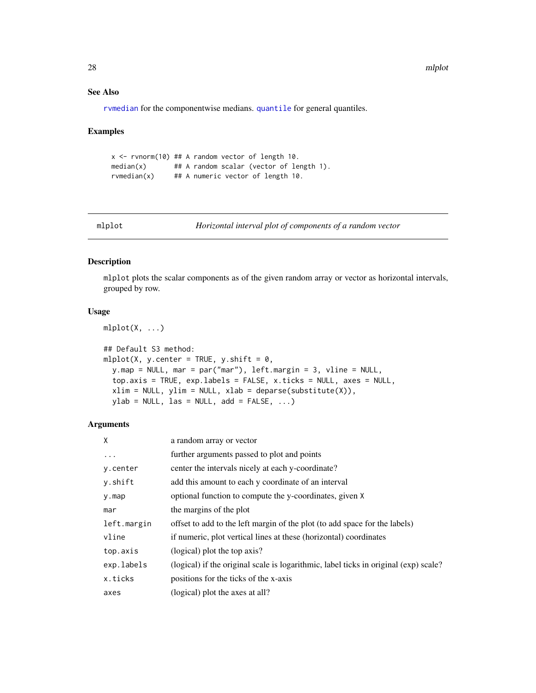## <span id="page-27-0"></span>See Also

[rvmedian](#page-78-1) for the componentwise medians. [quantile](#page-0-0) for general quantiles.

#### Examples

```
x <- rvnorm(10) ## A random vector of length 10.
median(x) ## A random scalar (vector of length 1).
rvmedian(x) ## A numeric vector of length 10.
```
<span id="page-27-1"></span>

mlplot *Horizontal interval plot of components of a random vector*

## Description

mlplot plots the scalar components as of the given random array or vector as horizontal intervals, grouped by row.

#### Usage

 $mlplot(X, ...)$ 

```
## Default S3 method:
mlplot(X, y.center = TRUE, y.shift = 0,
 y.map = NULL, mar = par("mar"), left.margin = 3, vline = NULL,
  top.axis = TRUE, exp.labels = FALSE, x.ticks = NULL, axes = NULL,
 xlim = NULL, ylim = NULL, xlab = deparse(substitute(X)),ylab = NULL, las = NULL, add = FALSE, ...)
```

| X           | a random array or vector                                                             |
|-------------|--------------------------------------------------------------------------------------|
| $\cdots$    | further arguments passed to plot and points                                          |
| y.center    | center the intervals nicely at each y-coordinate?                                    |
| y.shift     | add this amount to each y coordinate of an interval                                  |
| y.map       | optional function to compute the y-coordinates, given X                              |
| mar         | the margins of the plot                                                              |
| left.margin | offset to add to the left margin of the plot (to add space for the labels)           |
| vline       | if numeric, plot vertical lines at these (horizontal) coordinates                    |
| top.axis    | (logical) plot the top axis?                                                         |
| exp.labels  | (logical) if the original scale is logarithmic, label ticks in original (exp) scale? |
| x.ticks     | positions for the ticks of the x-axis                                                |
| axes        | (logical) plot the axes at all?                                                      |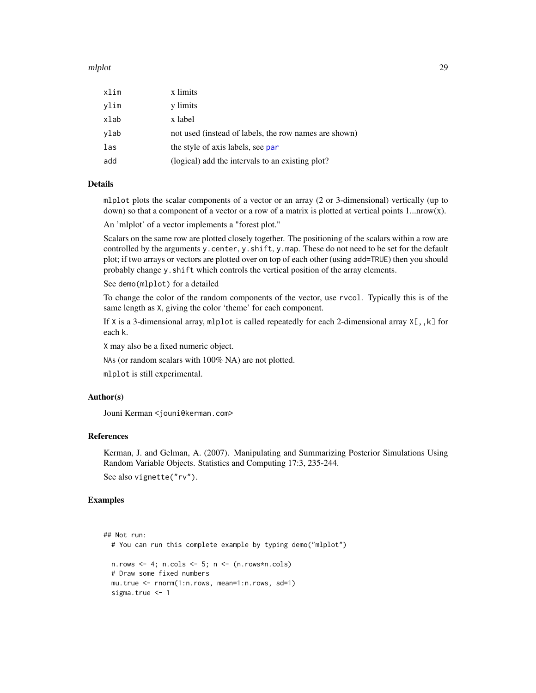#### mlplot 29

| xlim | x limits                                              |
|------|-------------------------------------------------------|
| ylim | y limits                                              |
| xlab | x label                                               |
| ylab | not used (instead of labels, the row names are shown) |
| las  | the style of axis labels, see par                     |
| add  | (logical) add the intervals to an existing plot?      |

#### Details

mlplot plots the scalar components of a vector or an array (2 or 3-dimensional) vertically (up to down) so that a component of a vector or a row of a matrix is plotted at vertical points 1... nrow(x).

An 'mlplot' of a vector implements a "forest plot."

Scalars on the same row are plotted closely together. The positioning of the scalars within a row are controlled by the arguments y.center, y.shift, y.map. These do not need to be set for the default plot; if two arrays or vectors are plotted over on top of each other (using add=TRUE) then you should probably change y.shift which controls the vertical position of the array elements.

See demo(mlplot) for a detailed

To change the color of the random components of the vector, use rvcol. Typically this is of the same length as X, giving the color 'theme' for each component.

If X is a 3-dimensional array, mlplot is called repeatedly for each 2-dimensional array X[,,k] for each k.

X may also be a fixed numeric object.

NAs (or random scalars with 100% NA) are not plotted.

mlplot is still experimental.

#### Author(s)

Jouni Kerman <jouni@kerman.com>

#### References

Kerman, J. and Gelman, A. (2007). Manipulating and Summarizing Posterior Simulations Using Random Variable Objects. Statistics and Computing 17:3, 235-244. See also vignette("rv").

#### Examples

```
## Not run:
 # You can run this complete example by typing demo("mlplot")
 n.rows \leq -4; n.cols \leq -5; n\leq - (n.rows*n.cols)
 # Draw some fixed numbers
 mu.true <- rnorm(1:n.rows, mean=1:n.rows, sd=1)
 sigma.true <- 1
```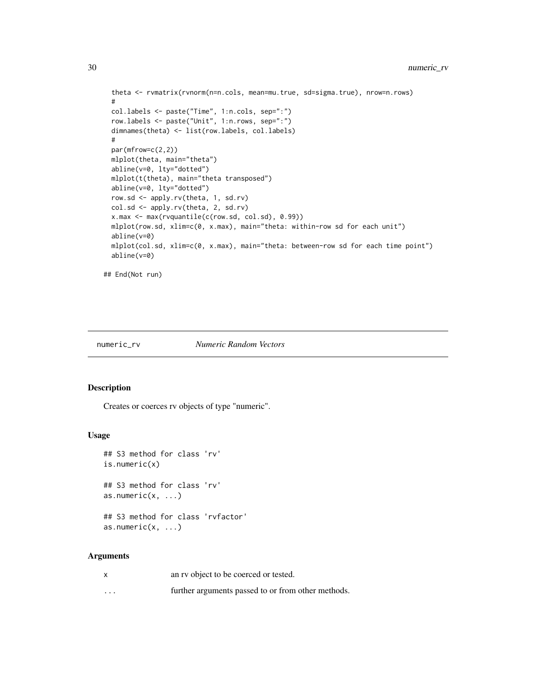```
theta <- rvmatrix(rvnorm(n=n.cols, mean=mu.true, sd=sigma.true), nrow=n.rows)
#
col.labels <- paste("Time", 1:n.cols, sep=":")
row.labels <- paste("Unit", 1:n.rows, sep=":")
dimnames(theta) <- list(row.labels, col.labels)
#
par(mfrow=c(2,2))
mlplot(theta, main="theta")
abline(v=0, lty="dotted")
mlplot(t(theta), main="theta transposed")
abline(v=0, lty="dotted")
row.sd <- apply.rv(theta, 1, sd.rv)
col.sd <- apply.rv(theta, 2, sd.rv)
x.max <- max(rvquantile(c(row.sd, col.sd), 0.99))
mlplot(row.sd, xlim=c(0, x.max), main="theta: within-row sd for each unit")
abline(v=0)
mlplot(col.sd, xlim=c(0, x.max), main="theta: between-row sd for each time point")
abline(v=0)
```

```
## End(Not run)
```
#### numeric\_rv *Numeric Random Vectors*

#### Description

Creates or coerces rv objects of type "numeric".

#### Usage

```
## S3 method for class 'rv'
is.numeric(x)
## S3 method for class 'rv'
as.numeric(x, \ldots)## S3 method for class 'rvfactor'
as.numeric(x, \ldots)
```

| $\boldsymbol{\mathsf{x}}$ | an ry object to be coerced or tested.              |
|---------------------------|----------------------------------------------------|
| $\cdots$                  | further arguments passed to or from other methods. |

<span id="page-29-0"></span>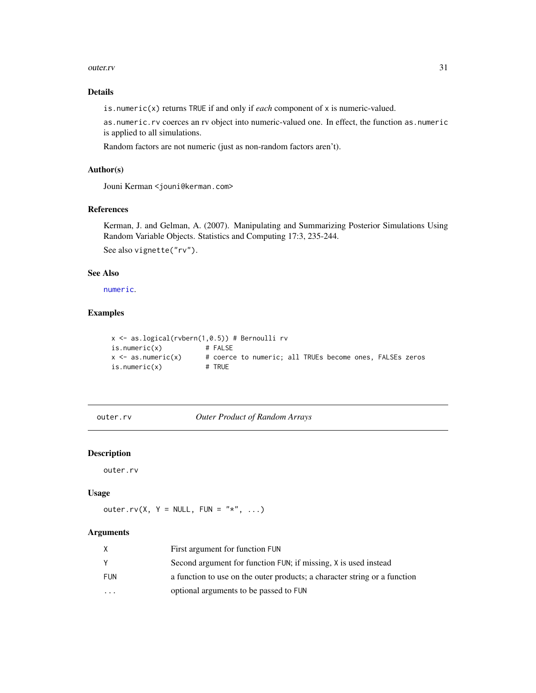#### <span id="page-30-0"></span>outer.rv 31

## Details

is.numeric(x) returns TRUE if and only if *each* component of x is numeric-valued.

as.numeric.rv coerces an rv object into numeric-valued one. In effect, the function as.numeric is applied to all simulations.

Random factors are not numeric (just as non-random factors aren't).

## Author(s)

Jouni Kerman <jouni@kerman.com>

## References

Kerman, J. and Gelman, A. (2007). Manipulating and Summarizing Posterior Simulations Using Random Variable Objects. Statistics and Computing 17:3, 235-244. See also vignette("rv").

## See Also

[numeric](#page-0-0).

## Examples

```
x \le - as.logical(rvbern(1,0.5)) # Bernoulli rv
is.numeric(x) # FALSE
x \le -as.numeric(x) # coerce to numeric; all TRUEs become ones, FALSEs zeros
is.numeric(x) # TRUE
```
outer.rv *Outer Product of Random Arrays*

## Description

outer.rv

#### Usage

outer.rv(X,  $Y = NULL$ , FUN = "\*", ...)

|                         | First argument for function FUN                                           |
|-------------------------|---------------------------------------------------------------------------|
|                         | Second argument for function FUN; if missing, X is used instead           |
| FUN                     | a function to use on the outer products; a character string or a function |
| $\cdot$ $\cdot$ $\cdot$ | optional arguments to be passed to FUN                                    |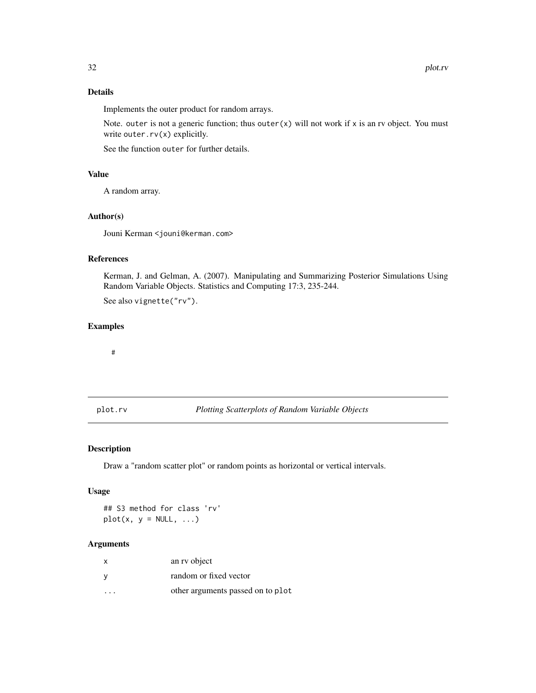## Details

Implements the outer product for random arrays.

Note. outer is not a generic function; thus outer $(x)$  will not work if x is an rv object. You must write outer.rv(x) explicitly.

See the function outer for further details.

## Value

A random array.

### Author(s)

Jouni Kerman <jouni@kerman.com>

#### References

Kerman, J. and Gelman, A. (2007). Manipulating and Summarizing Posterior Simulations Using Random Variable Objects. Statistics and Computing 17:3, 235-244. See also vignette("rv").

## Examples

#

plot.rv *Plotting Scatterplots of Random Variable Objects*

## Description

Draw a "random scatter plot" or random points as horizontal or vertical intervals.

## Usage

## S3 method for class 'rv'  $plot(x, y = NULL, ...)$ 

| $\times$ | an ry object                      |
|----------|-----------------------------------|
| <b>V</b> | random or fixed vector            |
| .        | other arguments passed on to plot |

<span id="page-31-0"></span>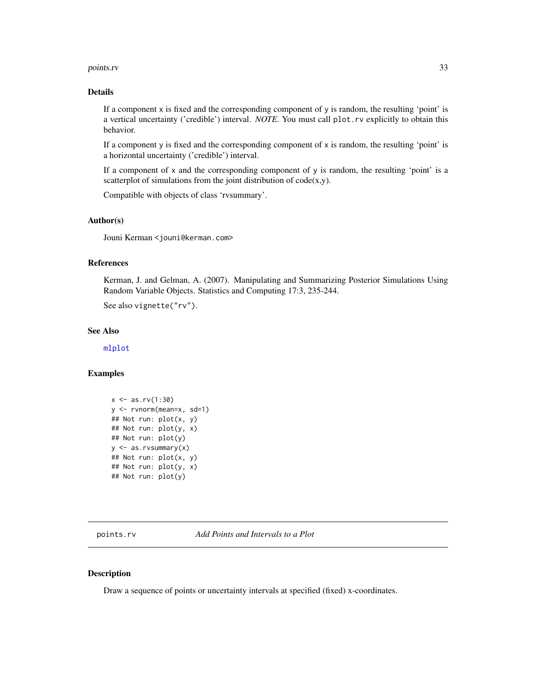#### <span id="page-32-0"></span>points.rv 33

#### Details

If a component x is fixed and the corresponding component of y is random, the resulting 'point' is a vertical uncertainty ('credible') interval. *NOTE.* You must call plot.rv explicitly to obtain this behavior.

If a component y is fixed and the corresponding component of  $x$  is random, the resulting 'point' is a horizontal uncertainty ('credible') interval.

If a component of  $x$  and the corresponding component of  $y$  is random, the resulting 'point' is a scatterplot of simulations from the joint distribution of  $code(x,y)$ .

Compatible with objects of class 'rvsummary'.

#### Author(s)

Jouni Kerman <jouni@kerman.com>

#### References

Kerman, J. and Gelman, A. (2007). Manipulating and Summarizing Posterior Simulations Using Random Variable Objects. Statistics and Computing 17:3, 235-244.

See also vignette("rv").

## See Also

[mlplot](#page-27-1)

#### Examples

```
x \le -as.rv(1:30)y <- rvnorm(mean=x, sd=1)
## Not run: plot(x, y)
## Not run: plot(y, x)
## Not run: plot(y)
y <- as.rvsummary(x)
## Not run: plot(x, y)
## Not run: plot(y, x)
## Not run: plot(y)
```
<span id="page-32-1"></span>points.rv *Add Points and Intervals to a Plot*

## Description

Draw a sequence of points or uncertainty intervals at specified (fixed) x-coordinates.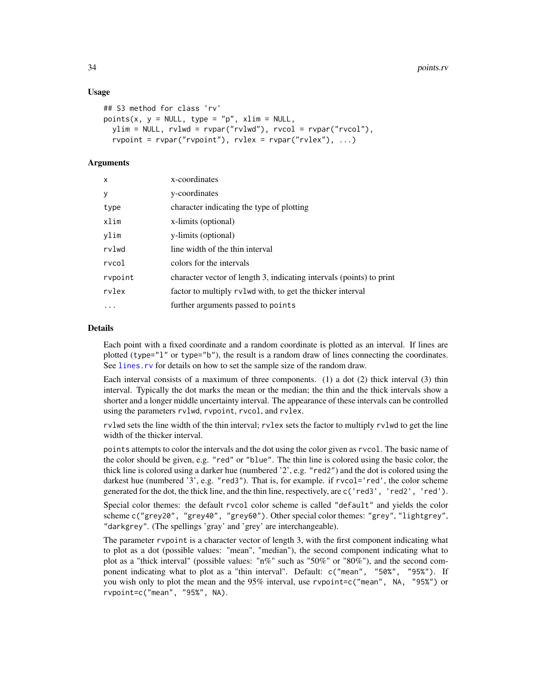#### Usage

```
## S3 method for class 'rv'
points(x, y = NULL, type = "p", xlim = NULL,
  ylim = NULL, rvlwd = rvpar("rvlwd"), rvcol = rvpar("rvcol"),
  rvpoint = rvpar("rvpoint"), rvlex = rvpar("rvlex"), ...)
```
## Arguments

| $\mathsf{x}$ | x-coordinates                                                        |
|--------------|----------------------------------------------------------------------|
| y            | y-coordinates                                                        |
| type         | character indicating the type of plotting                            |
| xlim         | x-limits (optional)                                                  |
| ylim         | y-limits (optional)                                                  |
| rvlwd        | line width of the thin interval                                      |
| rvcol        | colors for the intervals                                             |
| rvpoint      | character vector of length 3, indicating intervals (points) to print |
| rvlex        | factor to multiply rvlwd with, to get the thicker interval           |
| $\cdots$     | further arguments passed to points                                   |

#### Details

Each point with a fixed coordinate and a random coordinate is plotted as an interval. If lines are plotted (type="l" or type="b"), the result is a random draw of lines connecting the coordinates. See [lines.rv](#page-22-1) for details on how to set the sample size of the random draw.

Each interval consists of a maximum of three components. (1) a dot (2) thick interval (3) thin interval. Typically the dot marks the mean or the median; the thin and the thick intervals show a shorter and a longer middle uncertainty interval. The appearance of these intervals can be controlled using the parameters rvlwd, rvpoint, rvcol, and rvlex.

rvlwd sets the line width of the thin interval; rvlex sets the factor to multiply rvlwd to get the line width of the thicker interval.

points attempts to color the intervals and the dot using the color given as rvcol. The basic name of the color should be given, e.g. "red" or "blue". The thin line is colored using the basic color, the thick line is colored using a darker hue (numbered '2', e.g. "red2") and the dot is colored using the darkest hue (numbered '3', e.g. "red3"). That is, for example. if rvcol='red', the color scheme generated for the dot, the thick line, and the thin line, respectively, are c('red3', 'red2', 'red').

Special color themes: the default rvcol color scheme is called "default" and yields the color scheme c("grey20", "grey40", "grey60"). Other special color themes: "grey", "lightgrey", "darkgrey". (The spellings 'gray' and 'grey' are interchangeable).

The parameter rvpoint is a character vector of length 3, with the first component indicating what to plot as a dot (possible values: "mean", "median"), the second component indicating what to plot as a "thick interval" (possible values: " $n\%$ " such as "50%" or "80%"), and the second component indicating what to plot as a "thin interval". Default: c("mean", "50%", "95%"). If you wish only to plot the mean and the 95% interval, use rvpoint=c("mean", NA, "95%") or rvpoint=c("mean", "95%", NA).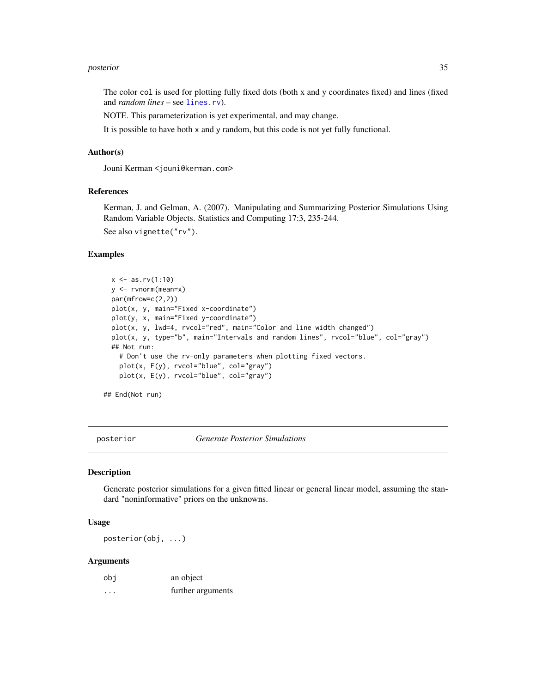#### <span id="page-34-0"></span>posterior and 35 posterior 35 posterior and 200 posterior 35 posterior 35 posterior 35 posterior 35 posterior

The color col is used for plotting fully fixed dots (both x and y coordinates fixed) and lines (fixed and *random lines* – see [lines.rv](#page-22-1)).

NOTE. This parameterization is yet experimental, and may change.

It is possible to have both x and y random, but this code is not yet fully functional.

#### Author(s)

Jouni Kerman <jouni@kerman.com>

#### References

Kerman, J. and Gelman, A. (2007). Manipulating and Summarizing Posterior Simulations Using Random Variable Objects. Statistics and Computing 17:3, 235-244. See also vignette("rv").

## Examples

```
x \leftarrow as.rv(1:10)y <- rvnorm(mean=x)
 par(mfrow=c(2,2))
 plot(x, y, main="Fixed x-coordinate")
 plot(y, x, main="Fixed y-coordinate")
 plot(x, y, lwd=4, rvcol="red", main="Color and line width changed")plot(x, y, type="b", main="Intervals and random lines", rvcol="blue", col="gray")
 ## Not run:
   # Don't use the rv-only parameters when plotting fixed vectors.
   plot(x, E(y), rvcol="blue", col="gray")
   plot(x, E(y), rvcol="blue", col="gray")
## End(Not run)
```
<span id="page-34-1"></span>posterior *Generate Posterior Simulations*

#### Description

Generate posterior simulations for a given fitted linear or general linear model, assuming the standard "noninformative" priors on the unknowns.

#### Usage

posterior(obj, ...)

| obi                  | an object         |
|----------------------|-------------------|
| $\ddot{\phantom{0}}$ | further arguments |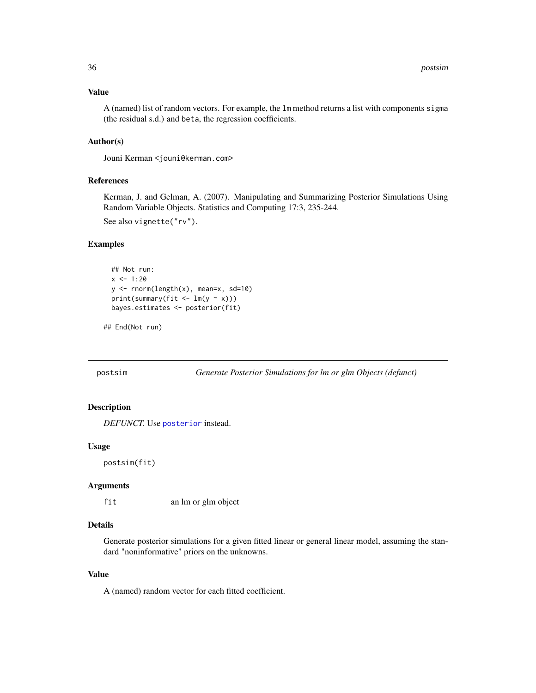## <span id="page-35-0"></span>Value

A (named) list of random vectors. For example, the lm method returns a list with components sigma (the residual s.d.) and beta, the regression coefficients.

## Author(s)

Jouni Kerman <jouni@kerman.com>

#### References

Kerman, J. and Gelman, A. (2007). Manipulating and Summarizing Posterior Simulations Using Random Variable Objects. Statistics and Computing 17:3, 235-244. See also vignette("rv").

#### Examples

```
## Not run:
x \le -1:20y \le - rnorm(length(x), mean=x, sd=10)
print(summary(fit <- lm(y \sim x)))
bayes.estimates <- posterior(fit)
```

```
## End(Not run)
```
postsim *Generate Posterior Simulations for lm or glm Objects (defunct)*

## Description

*DEFUNCT.* Use [posterior](#page-34-1) instead.

## Usage

postsim(fit)

#### Arguments

fit an lm or glm object

## Details

Generate posterior simulations for a given fitted linear or general linear model, assuming the standard "noninformative" priors on the unknowns.

#### Value

A (named) random vector for each fitted coefficient.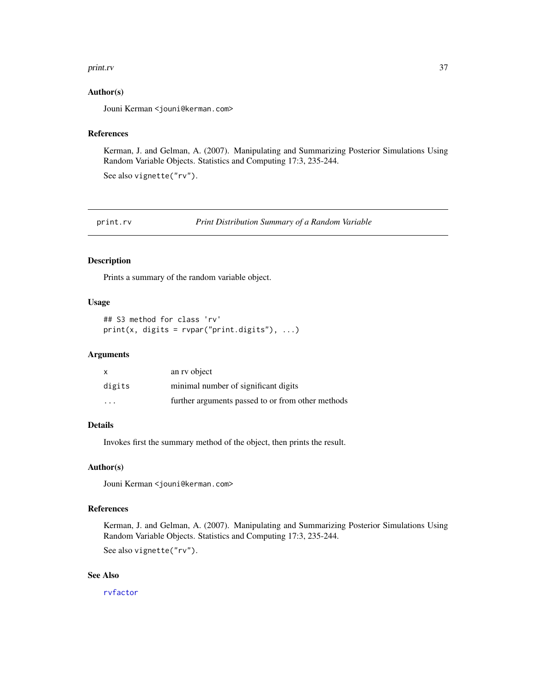#### print.rv 37

### Author(s)

Jouni Kerman <jouni@kerman.com>

#### References

Kerman, J. and Gelman, A. (2007). Manipulating and Summarizing Posterior Simulations Using Random Variable Objects. Statistics and Computing 17:3, 235-244.

See also vignette("rv").

print.rv *Print Distribution Summary of a Random Variable*

#### Description

Prints a summary of the random variable object.

### Usage

## S3 method for class 'rv' print(x, digits =  $rven("print.digits"), ...$ )

#### Arguments

| X                       | an ry object                                      |
|-------------------------|---------------------------------------------------|
| digits                  | minimal number of significant digits              |
| $\cdot$ $\cdot$ $\cdot$ | further arguments passed to or from other methods |

#### Details

Invokes first the summary method of the object, then prints the result.

### Author(s)

Jouni Kerman <jouni@kerman.com>

### References

Kerman, J. and Gelman, A. (2007). Manipulating and Summarizing Posterior Simulations Using Random Variable Objects. Statistics and Computing 17:3, 235-244.

See also vignette("rv").

### See Also

[rvfactor](#page-37-0)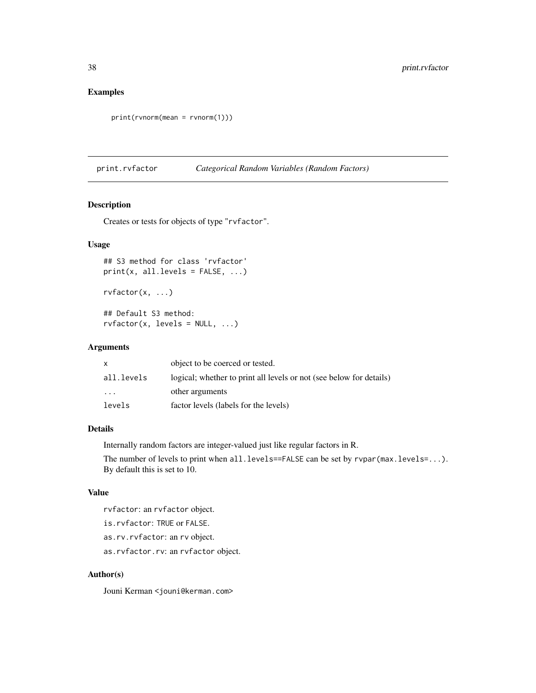# Examples

```
print(rvnorm(mean = rvnorm(1)))
```
print.rvfactor *Categorical Random Variables (Random Factors)*

#### <span id="page-37-0"></span>Description

Creates or tests for objects of type "rvfactor".

## Usage

```
## S3 method for class 'rvfactor'
print(x, all.levels = FALSE, ...)rvfactor(x, ...)
## Default S3 method:
```
 $rvfactor(x, levels = NULL, ...)$ 

# Arguments

|            | object to be coerced or tested.                                     |
|------------|---------------------------------------------------------------------|
| all.levels | logical; whether to print all levels or not (see below for details) |
| $\ddotsc$  | other arguments                                                     |
| levels     | factor levels (labels for the levels)                               |

## Details

Internally random factors are integer-valued just like regular factors in R.

The number of levels to print when all.levels==FALSE can be set by rvpar(max.levels=...). By default this is set to 10.

#### Value

rvfactor: an rvfactor object.

is.rvfactor: TRUE or FALSE.

as.rv.rvfactor: an rv object.

as.rvfactor.rv: an rvfactor object.

#### Author(s)

Jouni Kerman <jouni@kerman.com>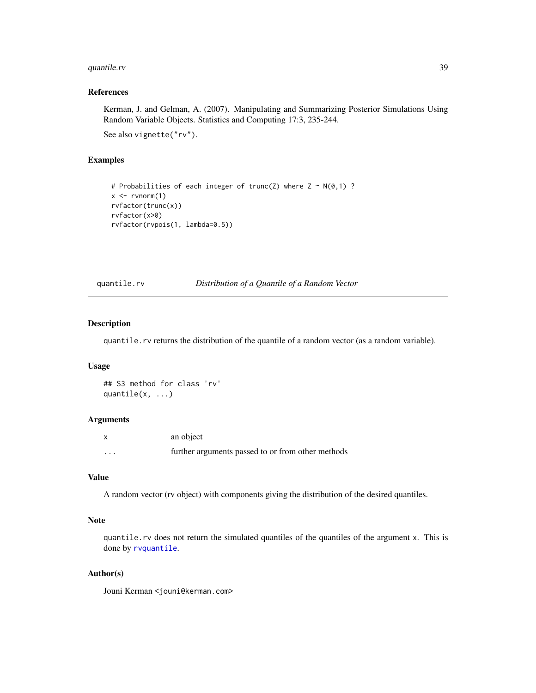## quantile.rv 39

## References

Kerman, J. and Gelman, A. (2007). Manipulating and Summarizing Posterior Simulations Using Random Variable Objects. Statistics and Computing 17:3, 235-244.

See also vignette("rv").

# Examples

```
# Probabilities of each integer of trunc(Z) where Z \sim N(\emptyset, 1) ?
x \leq -rvnorm(1)rvfactor(trunc(x))
rvfactor(x>0)
rvfactor(rvpois(1, lambda=0.5))
```
#### <span id="page-38-0"></span>quantile.rv *Distribution of a Quantile of a Random Vector*

#### Description

quantile.rv returns the distribution of the quantile of a random vector (as a random variable).

#### Usage

```
## S3 method for class 'rv'
quantile(x, ...)
```
#### Arguments

| X        | an object                                         |
|----------|---------------------------------------------------|
| $\cdots$ | further arguments passed to or from other methods |

### Value

A random vector (rv object) with components giving the distribution of the desired quantiles.

### Note

quantile.rv does not return the simulated quantiles of the quantiles of the argument x. This is done by [rvquantile](#page-78-0).

#### Author(s)

Jouni Kerman <jouni@kerman.com>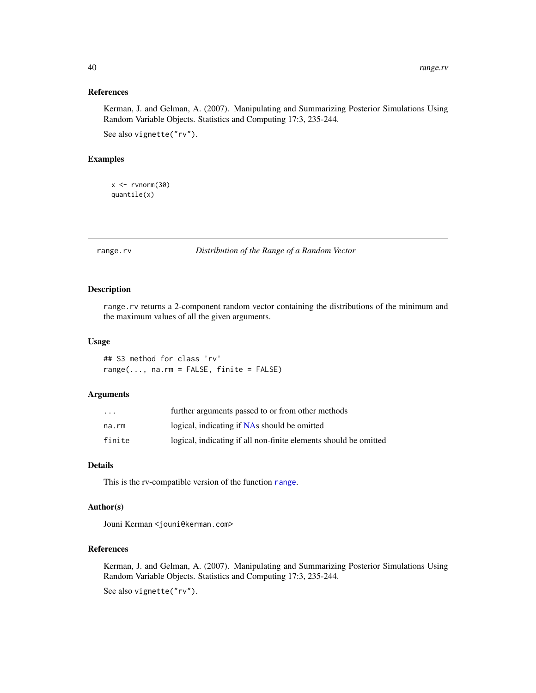#### References

Kerman, J. and Gelman, A. (2007). Manipulating and Summarizing Posterior Simulations Using Random Variable Objects. Statistics and Computing 17:3, 235-244.

See also vignette("rv").

## Examples

 $x < -r$ vnorm $(30)$ quantile(x)

range.rv *Distribution of the Range of a Random Vector*

## Description

range.rv returns a 2-component random vector containing the distributions of the minimum and the maximum values of all the given arguments.

### Usage

## S3 method for class 'rv'  $range(..., na.rm = FALSE, finite = FALSE)$ 

## Arguments

| $\ddotsc$ | further arguments passed to or from other methods                |
|-----------|------------------------------------------------------------------|
| na.rm     | logical, indicating if NAs should be omitted                     |
| finite    | logical, indicating if all non-finite elements should be omitted |

## Details

This is the rv-compatible version of the function [range](#page-0-0).

# Author(s)

Jouni Kerman <jouni@kerman.com>

#### References

Kerman, J. and Gelman, A. (2007). Manipulating and Summarizing Posterior Simulations Using Random Variable Objects. Statistics and Computing 17:3, 235-244.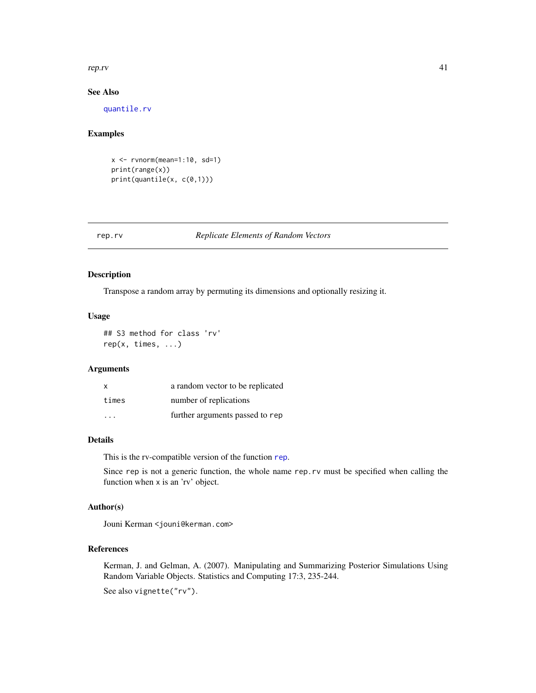#### rep.rv and the set of the set of the set of the set of the set of the set of the set of the set of the set of the set of the set of the set of the set of the set of the set of the set of the set of the set of the set of th

## See Also

[quantile.rv](#page-38-0)

# Examples

 $x \leftarrow$  rvnorm(mean=1:10, sd=1) print(range(x)) print(quantile(x, c(0,1)))

#### rep.rv *Replicate Elements of Random Vectors*

## Description

Transpose a random array by permuting its dimensions and optionally resizing it.

#### Usage

## S3 method for class 'rv' rep(x, times, ...)

### Arguments

| X                       | a random vector to be replicated |
|-------------------------|----------------------------------|
| times                   | number of replications           |
| $\cdot$ $\cdot$ $\cdot$ | further arguments passed to rep  |

## Details

This is the rv-compatible version of the function [rep](#page-0-0).

Since rep is not a generic function, the whole name rep.rv must be specified when calling the function when x is an 'rv' object.

## Author(s)

Jouni Kerman <jouni@kerman.com>

### References

Kerman, J. and Gelman, A. (2007). Manipulating and Summarizing Posterior Simulations Using Random Variable Objects. Statistics and Computing 17:3, 235-244.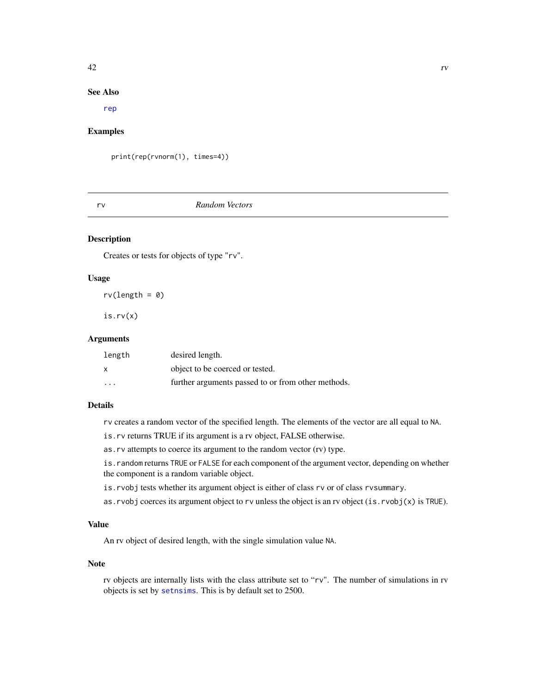#### $42$

#### See Also

[rep](#page-0-0)

## Examples

print(rep(rvnorm(1), times=4))

#### rv *Random Vectors*

## Description

Creates or tests for objects of type "rv".

### Usage

 $rv(length = 0)$ 

is.rv(x)

### Arguments

| length                  | desired length.                                    |
|-------------------------|----------------------------------------------------|
| x                       | object to be coerced or tested.                    |
| $\cdot$ $\cdot$ $\cdot$ | further arguments passed to or from other methods. |

## Details

rv creates a random vector of the specified length. The elements of the vector are all equal to NA.

is.rv returns TRUE if its argument is a rv object, FALSE otherwise.

as.rv attempts to coerce its argument to the random vector (rv) type.

is. random returns TRUE or FALSE for each component of the argument vector, depending on whether the component is a random variable object.

- is.rvobj tests whether its argument object is either of class rv or of class rvsummary.
- as.rvobj coerces its argument object to rv unless the object is an rv object (is.rvobj(x) is TRUE).

## Value

An rv object of desired length, with the single simulation value NA.

#### Note

rv objects are internally lists with the class attribute set to "rv". The number of simulations in rv objects is set by [setnsims](#page-73-0). This is by default set to 2500.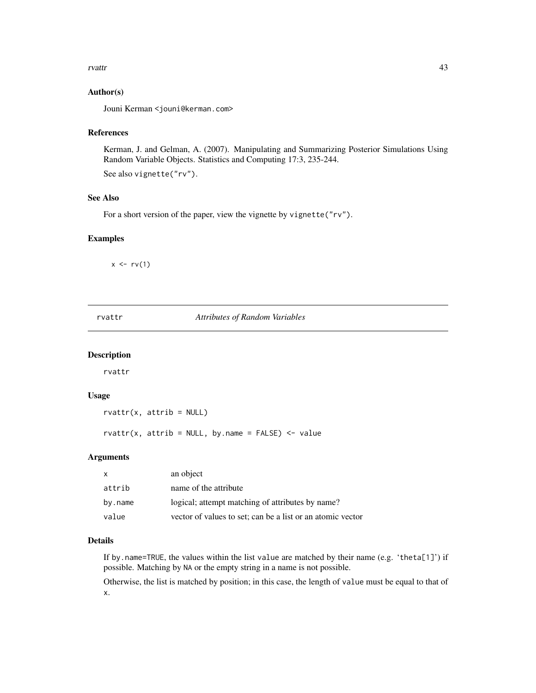#### rvattr 43

## Author(s)

Jouni Kerman <jouni@kerman.com>

## References

Kerman, J. and Gelman, A. (2007). Manipulating and Summarizing Posterior Simulations Using Random Variable Objects. Statistics and Computing 17:3, 235-244.

See also vignette("rv").

### See Also

For a short version of the paper, view the vignette by vignette("rv").

#### Examples

 $x \leftarrow rv(1)$ 

rvattr *Attributes of Random Variables*

#### Description

rvattr

## Usage

 $rvattr(x, attrib = NULL)$ 

rvattr(x, attrib = NULL, by.name =  $FALSE$ ) <- value

#### Arguments

| $\mathsf{x}$ | an object                                                  |
|--------------|------------------------------------------------------------|
| attrib       | name of the attribute                                      |
| by.name      | logical; attempt matching of attributes by name?           |
| value        | vector of values to set; can be a list or an atomic vector |

#### Details

If by.name=TRUE, the values within the list value are matched by their name (e.g. 'theta[1]') if possible. Matching by NA or the empty string in a name is not possible.

Otherwise, the list is matched by position; in this case, the length of value must be equal to that of x.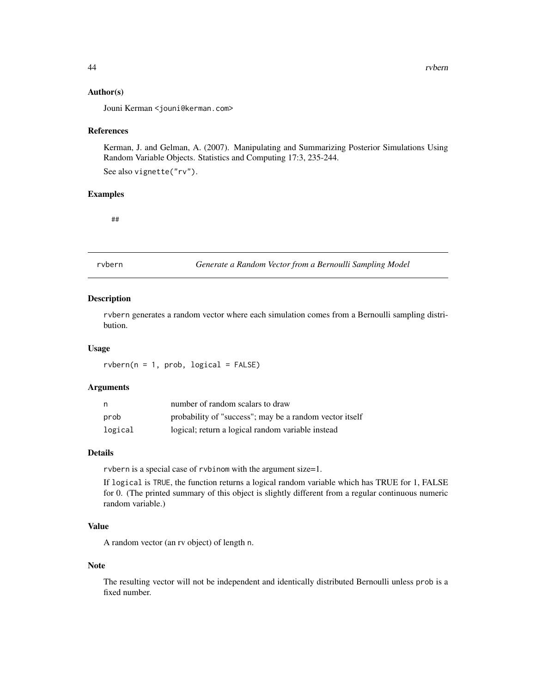#### Author(s)

Jouni Kerman <jouni@kerman.com>

#### References

Kerman, J. and Gelman, A. (2007). Manipulating and Summarizing Posterior Simulations Using Random Variable Objects. Statistics and Computing 17:3, 235-244.

See also vignette("rv").

#### Examples

##

rvbern *Generate a Random Vector from a Bernoulli Sampling Model*

## Description

rvbern generates a random vector where each simulation comes from a Bernoulli sampling distribution.

#### Usage

 $r$ vbern(n = 1, prob, logical = FALSE)

### Arguments

| n       | number of random scalars to draw                        |
|---------|---------------------------------------------------------|
| prob    | probability of "success"; may be a random vector itself |
| logical | logical; return a logical random variable instead       |

## Details

rvbern is a special case of rvbinom with the argument size=1.

If logical is TRUE, the function returns a logical random variable which has TRUE for 1, FALSE for 0. (The printed summary of this object is slightly different from a regular continuous numeric random variable.)

## Value

A random vector (an rv object) of length n.

#### Note

The resulting vector will not be independent and identically distributed Bernoulli unless prob is a fixed number.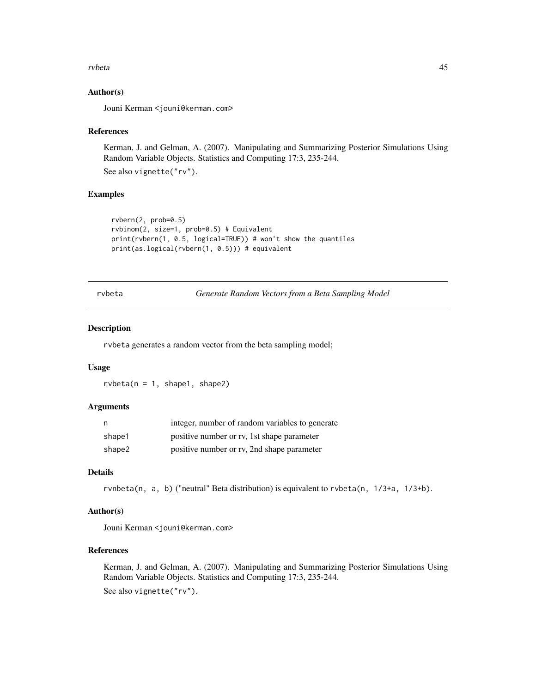#### rvbeta 45

### Author(s)

Jouni Kerman <jouni@kerman.com>

#### References

Kerman, J. and Gelman, A. (2007). Manipulating and Summarizing Posterior Simulations Using Random Variable Objects. Statistics and Computing 17:3, 235-244.

See also vignette("rv").

#### Examples

```
rvbern(2, prob=0.5)
rvbinom(2, size=1, prob=0.5) # Equivalent
print(rvbern(1, 0.5, logical=TRUE)) # won't show the quantiles
print(as.logical(rvbern(1, 0.5))) # equivalent
```
rvbeta *Generate Random Vectors from a Beta Sampling Model*

#### Description

rvbeta generates a random vector from the beta sampling model;

#### Usage

 $rubeta(n = 1, shape1, shape2)$ 

#### Arguments

| n      | integer, number of random variables to generate |
|--------|-------------------------------------------------|
| shape1 | positive number or rv, 1st shape parameter      |
| shape2 | positive number or rv, 2nd shape parameter      |

#### Details

rvnbeta(n, a, b) ("neutral" Beta distribution) is equivalent to rvbeta(n, 1/3+a, 1/3+b).

#### Author(s)

Jouni Kerman <jouni@kerman.com>

## References

Kerman, J. and Gelman, A. (2007). Manipulating and Summarizing Posterior Simulations Using Random Variable Objects. Statistics and Computing 17:3, 235-244. See also vignette("rv").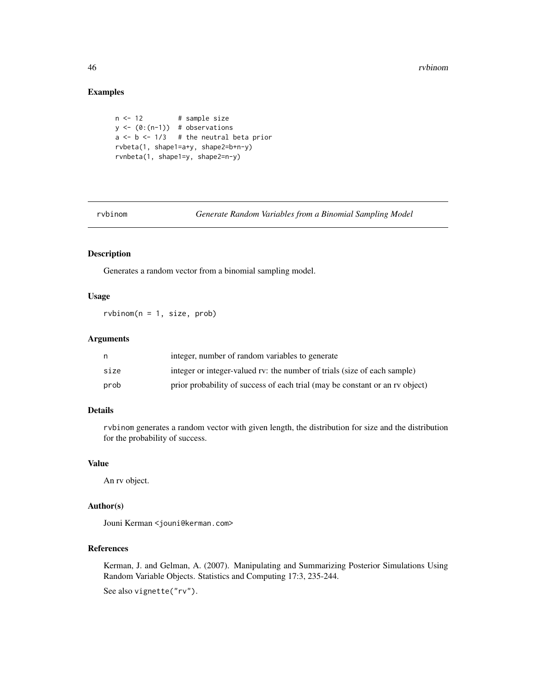# Examples

```
n <- 12 # sample size
y \leftarrow (0:(n-1)) # observations
a \leftarrow b \leftarrow 1/3 # the neutral beta prior
rvbeta(1, shape1=a+y, shape2=b+n-y)
rvnbeta(1, shape1=y, shape2=n-y)
```
rvbinom *Generate Random Variables from a Binomial Sampling Model*

### Description

Generates a random vector from a binomial sampling model.

## Usage

 $r$ vbinom $(n = 1, size, prob)$ 

# Arguments

|      | integer, number of random variables to generate                              |
|------|------------------------------------------------------------------------------|
| size | integer or integer-valued rv: the number of trials (size of each sample)     |
| prob | prior probability of success of each trial (may be constant or an rv object) |

### Details

rvbinom generates a random vector with given length, the distribution for size and the distribution for the probability of success.

#### Value

An rv object.

# Author(s)

Jouni Kerman <jouni@kerman.com>

## References

Kerman, J. and Gelman, A. (2007). Manipulating and Summarizing Posterior Simulations Using Random Variable Objects. Statistics and Computing 17:3, 235-244.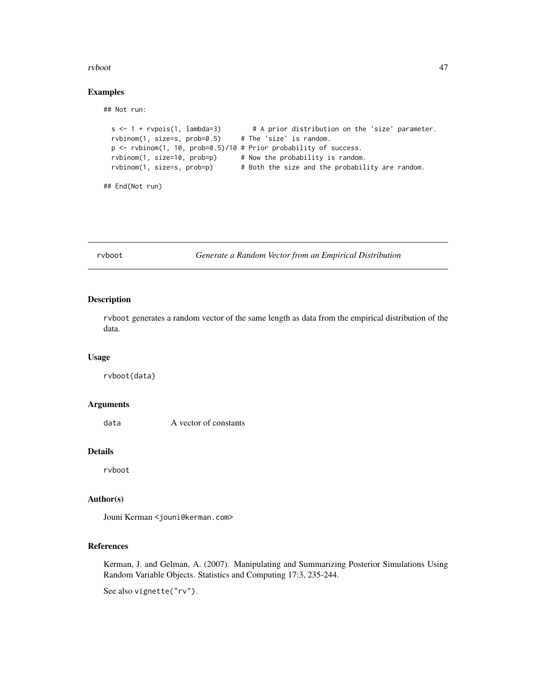#### rvboot 47

#### Examples

## Not run:

```
s <- 1 + rvpois(1, lambda=3) # A prior distribution on the 'size' parameter.
 rvbinom(1, size=s, prob=0.5) # The 'size' is random.
 p <- rvbinom(1, 10, prob=0.5)/10 # Prior probability of success.
 rvbinom(1, size=10, prob=p) # Now the probability is random.
 rvbinom(1, size=s, prob=p) # Both the size and the probability are random.
## End(Not run)
```
rvboot *Generate a Random Vector from an Empirical Distribution*

#### Description

rvboot generates a random vector of the same length as data from the empirical distribution of the data.

#### Usage

rvboot(data)

# Arguments

data A vector of constants

## Details

rvboot

### Author(s)

Jouni Kerman <jouni@kerman.com>

## References

Kerman, J. and Gelman, A. (2007). Manipulating and Summarizing Posterior Simulations Using Random Variable Objects. Statistics and Computing 17:3, 235-244.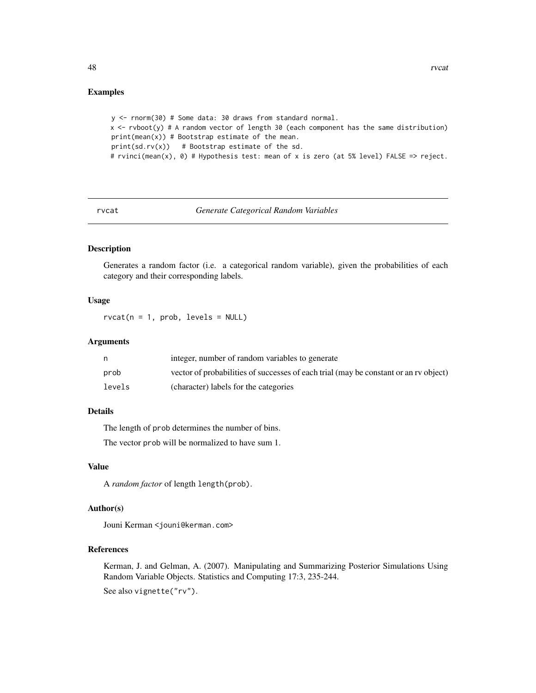#### Examples

```
y <- rnorm(30) # Some data: 30 draws from standard normal.
x <- rvboot(y) # A random vector of length 30 (each component has the same distribution)
print(mean(x)) # Bootstrap estimate of the mean.
print(sd.rv(x)) # Bootstrap estimate of the sd.
# rvinci(mean(x), 0) # Hypothesis test: mean of x is zero (at 5% level) FALSE => reject.
```
rvcat *Generate Categorical Random Variables*

#### Description

Generates a random factor (i.e. a categorical random variable), given the probabilities of each category and their corresponding labels.

### Usage

 $rvcat(n = 1, prob, levels = NULL)$ 

#### Arguments

|        | integer, number of random variables to generate                                      |
|--------|--------------------------------------------------------------------------------------|
| prob   | vector of probabilities of successes of each trial (may be constant or an rv object) |
| levels | (character) labels for the categories                                                |

### Details

The length of prob determines the number of bins.

The vector prob will be normalized to have sum 1.

## Value

A *random factor* of length length(prob).

## Author(s)

Jouni Kerman <jouni@kerman.com>

#### References

Kerman, J. and Gelman, A. (2007). Manipulating and Summarizing Posterior Simulations Using Random Variable Objects. Statistics and Computing 17:3, 235-244.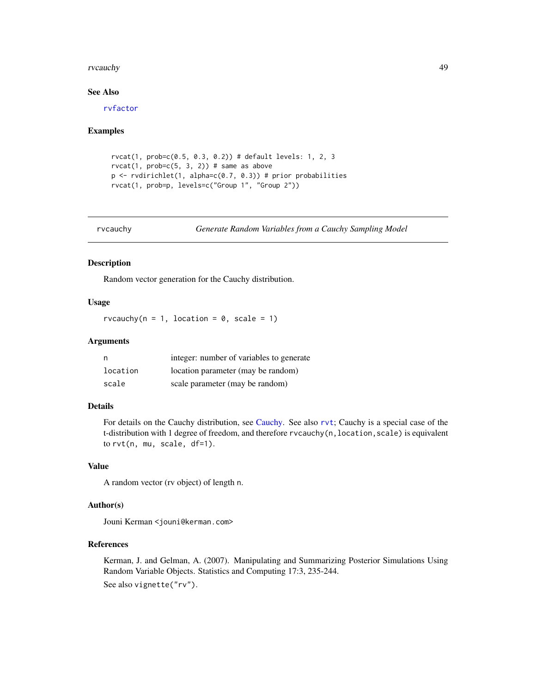#### rvcauchy and the state of the state of the state of the state of the state of the state of the state of the state of the state of the state of the state of the state of the state of the state of the state of the state of t

### See Also

[rvfactor](#page-37-0)

#### Examples

```
rvcat(1, prob=c(0.5, 0.3, 0.2)) # default levels: 1, 2, 3
rvcat(1, prob=c(5, 3, 2)) # same as above
p \leftarrow rvdirichlet(1, alpha=c(0.7, 0.3)) # prior probabilities
rvcat(1, prob=p, levels=c("Group 1", "Group 2"))
```
rvcauchy *Generate Random Variables from a Cauchy Sampling Model*

#### Description

Random vector generation for the Cauchy distribution.

## Usage

rvcauchy( $n = 1$ , location = 0, scale = 1)

### Arguments

| n        | integer: number of variables to generate |
|----------|------------------------------------------|
| location | location parameter (may be random)       |
| scale    | scale parameter (may be random)          |

### Details

For details on the Cauchy distribution, see [Cauchy.](#page-0-0) See also [rvt](#page-84-0); Cauchy is a special case of the t-distribution with 1 degree of freedom, and therefore rvcauchy(n, location, scale) is equivalent to rvt(n, mu, scale, df=1).

## Value

A random vector (rv object) of length n.

### Author(s)

Jouni Kerman <jouni@kerman.com>

## References

Kerman, J. and Gelman, A. (2007). Manipulating and Summarizing Posterior Simulations Using Random Variable Objects. Statistics and Computing 17:3, 235-244. See also vignette("rv").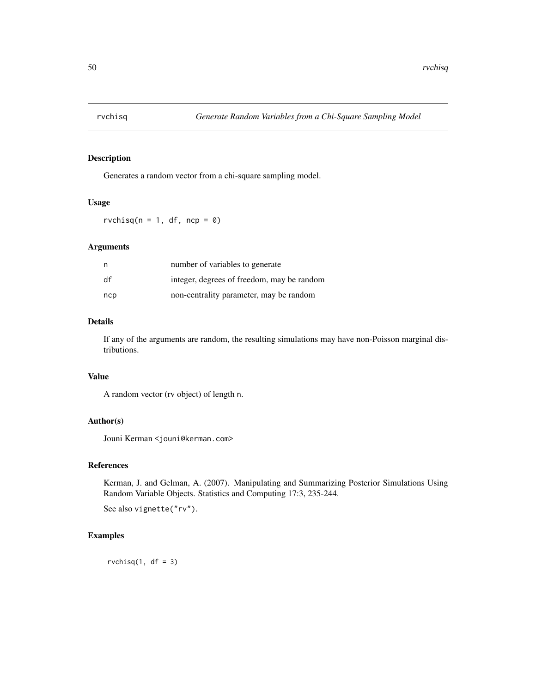Generates a random vector from a chi-square sampling model.

#### Usage

 $rvchisq(n = 1, df, ncp = 0)$ 

### Arguments

| n   | number of variables to generate            |
|-----|--------------------------------------------|
| df  | integer, degrees of freedom, may be random |
| ncp | non-centrality parameter, may be random    |

#### Details

If any of the arguments are random, the resulting simulations may have non-Poisson marginal distributions.

### Value

A random vector (rv object) of length n.

# Author(s)

Jouni Kerman <jouni@kerman.com>

### References

Kerman, J. and Gelman, A. (2007). Manipulating and Summarizing Posterior Simulations Using Random Variable Objects. Statistics and Computing 17:3, 235-244.

See also vignette("rv").

## Examples

 $rvchisq(1, df = 3)$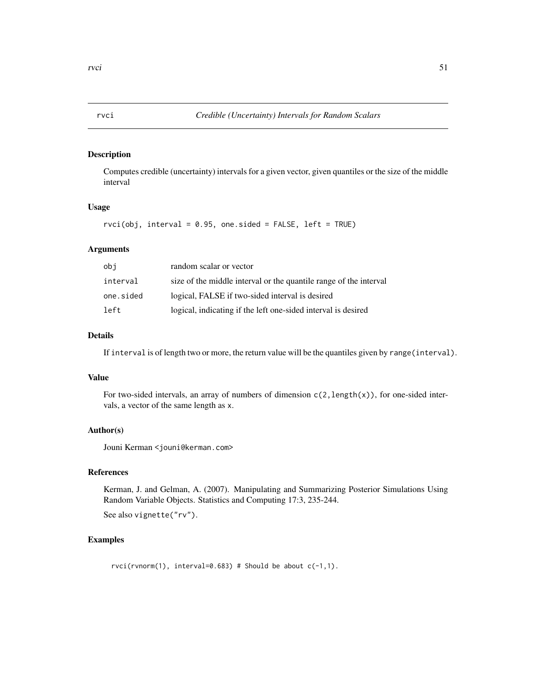Computes credible (uncertainty) intervals for a given vector, given quantiles or the size of the middle interval

# Usage

```
rvci(obj, interval = 0.95, one. sided = FALSE, left = TRUE)
```
## Arguments

| obi       | random scalar or vector                                           |
|-----------|-------------------------------------------------------------------|
| interval  | size of the middle interval or the quantile range of the interval |
| one.sided | logical, FALSE if two-sided interval is desired                   |
| left      | logical, indicating if the left one-sided interval is desired     |

## Details

If interval is of length two or more, the return value will be the quantiles given by range(interval).

## Value

For two-sided intervals, an array of numbers of dimension  $c(2, length(x))$ , for one-sided intervals, a vector of the same length as x.

## Author(s)

Jouni Kerman <jouni@kerman.com>

## References

Kerman, J. and Gelman, A. (2007). Manipulating and Summarizing Posterior Simulations Using Random Variable Objects. Statistics and Computing 17:3, 235-244.

See also vignette("rv").

#### Examples

 $rvci(rvnorm(1), interval=0.683)$  # Should be about  $c(-1,1)$ .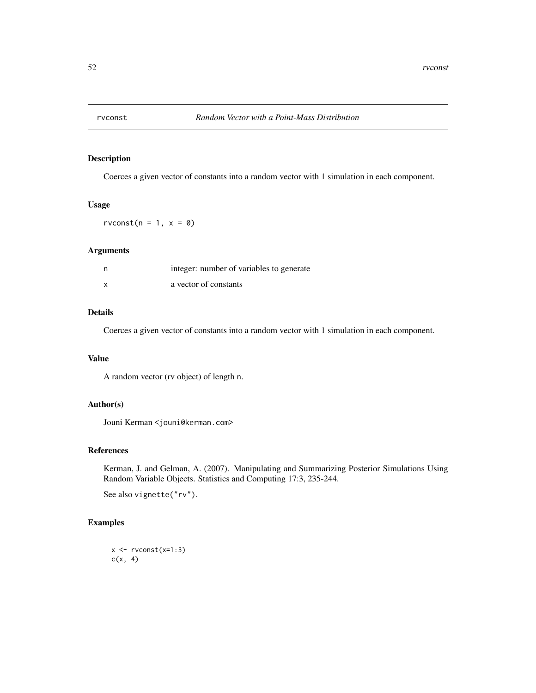Coerces a given vector of constants into a random vector with 1 simulation in each component.

#### Usage

rvconst( $n = 1$ ,  $x = 0$ )

### Arguments

| n | integer: number of variables to generate |
|---|------------------------------------------|
| x | a vector of constants                    |

### Details

Coerces a given vector of constants into a random vector with 1 simulation in each component.

### Value

A random vector (rv object) of length n.

## Author(s)

Jouni Kerman <jouni@kerman.com>

#### References

Kerman, J. and Gelman, A. (2007). Manipulating and Summarizing Posterior Simulations Using Random Variable Objects. Statistics and Computing 17:3, 235-244.

See also vignette("rv").

## Examples

```
x \leftarrow \text{rvconst}(x=1:3)c(x, 4)
```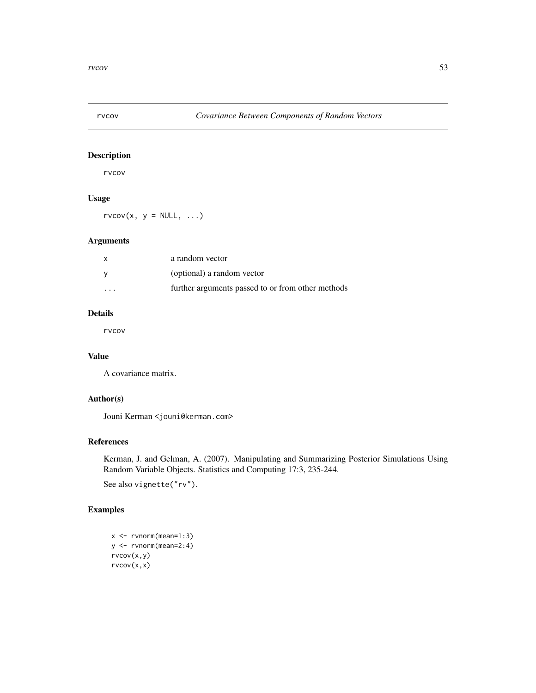rvcov

# Usage

 $rvcov(x, y = NULL, ...)$ 

# Arguments

|                         | a random vector                                   |
|-------------------------|---------------------------------------------------|
|                         | (optional) a random vector                        |
| $\cdot$ $\cdot$ $\cdot$ | further arguments passed to or from other methods |

# Details

rvcov

# Value

A covariance matrix.

## Author(s)

Jouni Kerman <jouni@kerman.com>

## References

Kerman, J. and Gelman, A. (2007). Manipulating and Summarizing Posterior Simulations Using Random Variable Objects. Statistics and Computing 17:3, 235-244.

See also vignette("rv").

# Examples

```
x <- rvnorm(mean=1:3)
y <- rvnorm(mean=2:4)
rvcov(x,y)
rvcov(x,x)
```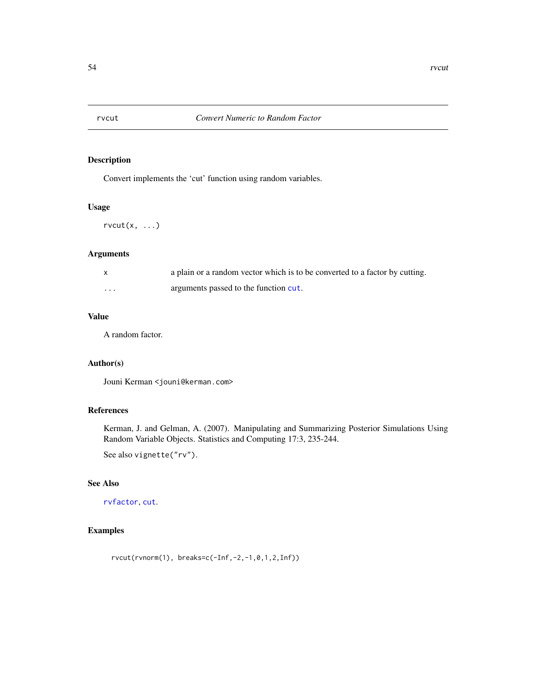Convert implements the 'cut' function using random variables.

### Usage

 $rvcut(x, \ldots)$ 

#### Arguments

|          | a plain or a random vector which is to be converted to a factor by cutting. |
|----------|-----------------------------------------------------------------------------|
| $\cdots$ | arguments passed to the function cut.                                       |

## Value

A random factor.

## Author(s)

Jouni Kerman <jouni@kerman.com>

## References

Kerman, J. and Gelman, A. (2007). Manipulating and Summarizing Posterior Simulations Using Random Variable Objects. Statistics and Computing 17:3, 235-244.

See also vignette("rv").

## See Also

[rvfactor](#page-37-0), [cut](#page-0-0).

## Examples

rvcut(rvnorm(1), breaks=c(-Inf,-2,-1,0,1,2,Inf))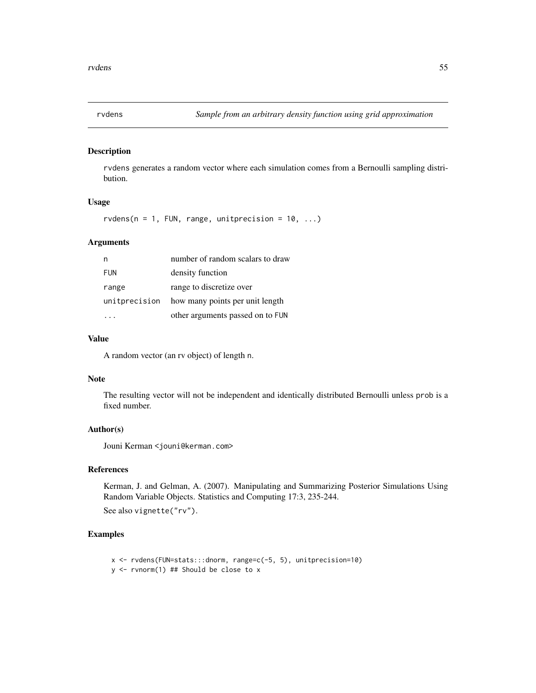rvdens generates a random vector where each simulation comes from a Bernoulli sampling distribution.

## Usage

 $rvdens(n = 1, \text{FUN}, \text{range}, \text{unitprecision} = 10, \ldots)$ 

#### Arguments

|               | number of random scalars to draw |
|---------------|----------------------------------|
| <b>FUN</b>    | density function                 |
| range         | range to discretize over         |
| unitprecision | how many points per unit length  |
|               | other arguments passed on to FUN |

# Value

A random vector (an rv object) of length n.

#### Note

The resulting vector will not be independent and identically distributed Bernoulli unless prob is a fixed number.

#### Author(s)

Jouni Kerman <jouni@kerman.com>

### References

Kerman, J. and Gelman, A. (2007). Manipulating and Summarizing Posterior Simulations Using Random Variable Objects. Statistics and Computing 17:3, 235-244.

See also vignette("rv").

## Examples

```
x <- rvdens(FUN=stats:::dnorm, range=c(-5, 5), unitprecision=10)
y <- rvnorm(1) ## Should be close to x
```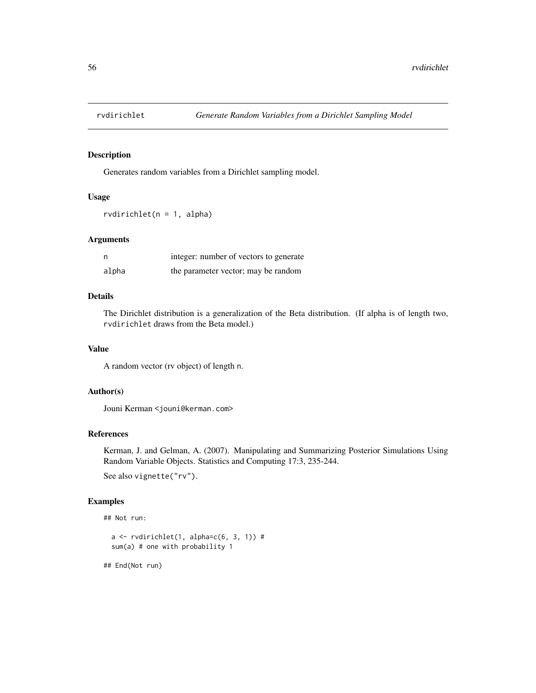Generates random variables from a Dirichlet sampling model.

## Usage

rvdirichlet(n = 1, alpha)

#### Arguments

| n     | integer: number of vectors to generate |
|-------|----------------------------------------|
| alpha | the parameter vector; may be random    |

## Details

The Dirichlet distribution is a generalization of the Beta distribution. (If alpha is of length two, rvdirichlet draws from the Beta model.)

### Value

A random vector (rv object) of length n.

# Author(s)

Jouni Kerman <jouni@kerman.com>

## References

Kerman, J. and Gelman, A. (2007). Manipulating and Summarizing Posterior Simulations Using Random Variable Objects. Statistics and Computing 17:3, 235-244.

See also vignette("rv").

### Examples

```
## Not run:
```

```
a \leftarrow rvdirichlet(1, alpha=c(6, 3, 1)) #
sum(a) # one with probability 1
```
## End(Not run)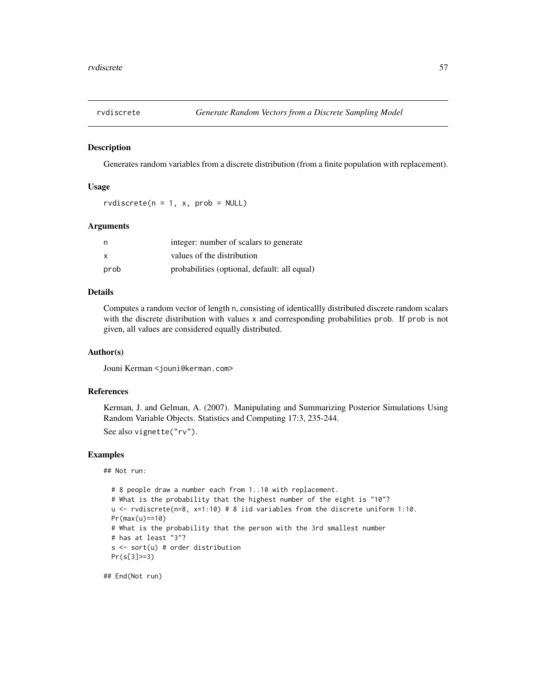Generates random variables from a discrete distribution (from a finite population with replacement).

#### Usage

rvdiscrete( $n = 1$ , x, prob = NULL)

#### Arguments

| n    | integer: number of scalars to generate       |
|------|----------------------------------------------|
| X    | values of the distribution                   |
| prob | probabilities (optional, default: all equal) |

### Details

Computes a random vector of length n, consisting of identicallly distributed discrete random scalars with the discrete distribution with values x and corresponding probabilities prob. If prob is not given, all values are considered equally distributed.

#### Author(s)

Jouni Kerman <jouni@kerman.com>

## References

Kerman, J. and Gelman, A. (2007). Manipulating and Summarizing Posterior Simulations Using Random Variable Objects. Statistics and Computing 17:3, 235-244.

See also vignette("rv").

### Examples

## Not run:

```
# 8 people draw a number each from 1..10 with replacement.
# What is the probability that the highest number of the eight is "10"?
u \leftarrow \text{rvdiscrete}(n=8, x=1:10) \# 8 iid variables from the discrete uniform 1:10.
Pr(max(u)==10)
# What is the probability that the person with the 3rd smallest number
# has at least "3"?
s <- sort(u) # order distribution
Pr(s[3]>=3)
```
## End(Not run)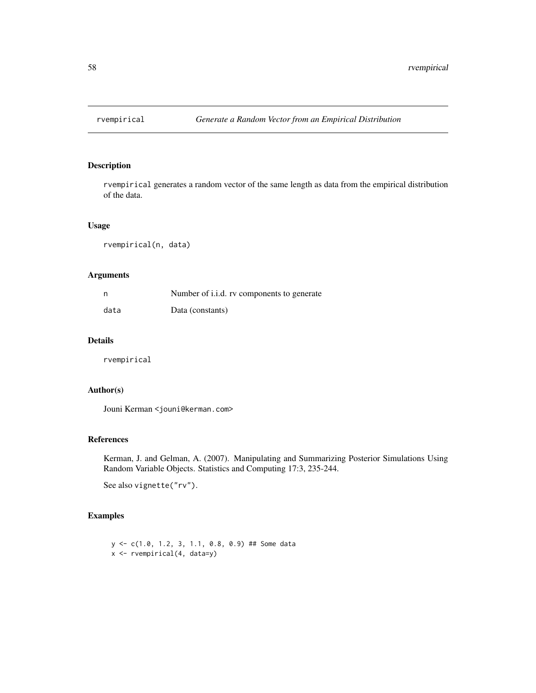rvempirical generates a random vector of the same length as data from the empirical distribution of the data.

## Usage

rvempirical(n, data)

## Arguments

| n    | Number of i.i.d. rv components to generate |
|------|--------------------------------------------|
| data | Data (constants)                           |

### Details

rvempirical

## Author(s)

Jouni Kerman <jouni@kerman.com>

#### References

Kerman, J. and Gelman, A. (2007). Manipulating and Summarizing Posterior Simulations Using Random Variable Objects. Statistics and Computing 17:3, 235-244.

See also vignette("rv").

# Examples

```
y <- c(1.0, 1.2, 3, 1.1, 0.8, 0.9) ## Some data
x <- rvempirical(4, data=y)
```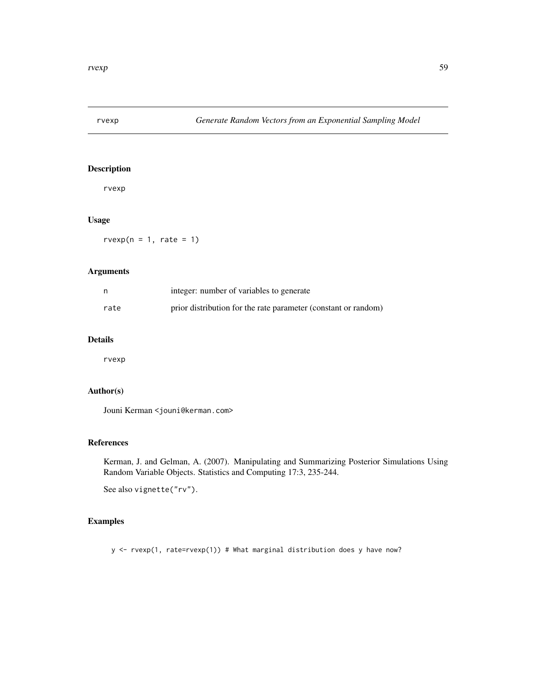rvexp

# Usage

 $rvexp(n = 1, rate = 1)$ 

### Arguments

| n    | integer: number of variables to generate                       |
|------|----------------------------------------------------------------|
| rate | prior distribution for the rate parameter (constant or random) |

## Details

rvexp

## Author(s)

Jouni Kerman <jouni@kerman.com>

# References

Kerman, J. and Gelman, A. (2007). Manipulating and Summarizing Posterior Simulations Using Random Variable Objects. Statistics and Computing 17:3, 235-244.

See also vignette("rv").

## Examples

y <- rvexp(1, rate=rvexp(1)) # What marginal distribution does y have now?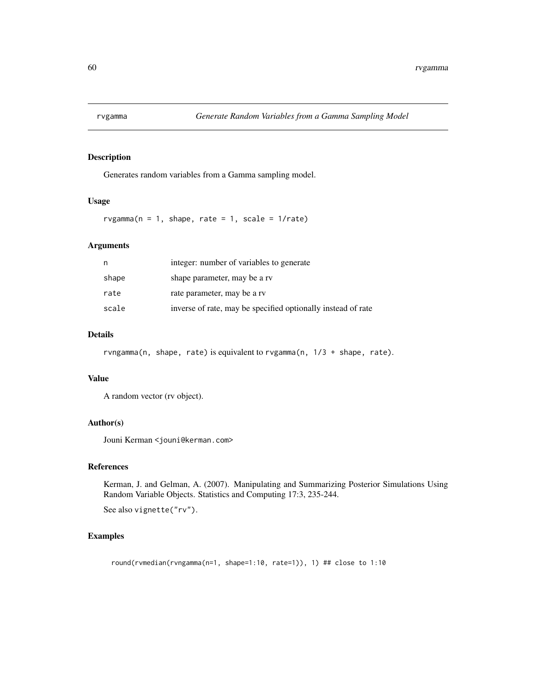Generates random variables from a Gamma sampling model.

# Usage

 $rvgamma(n = 1, shape, rate = 1, scale = 1/rate)$ 

## Arguments

| n     | integer: number of variables to generate                     |
|-------|--------------------------------------------------------------|
| shape | shape parameter, may be a rv                                 |
| rate  | rate parameter, may be a rv                                  |
| scale | inverse of rate, may be specified optionally instead of rate |

#### Details

rvngamma(n, shape, rate) is equivalent to rvgamma(n, 1/3 + shape, rate).

#### Value

A random vector (rv object).

#### Author(s)

Jouni Kerman <jouni@kerman.com>

### References

Kerman, J. and Gelman, A. (2007). Manipulating and Summarizing Posterior Simulations Using Random Variable Objects. Statistics and Computing 17:3, 235-244.

See also vignette("rv").

### Examples

round(rvmedian(rvngamma(n=1, shape=1:10, rate=1)), 1) ## close to 1:10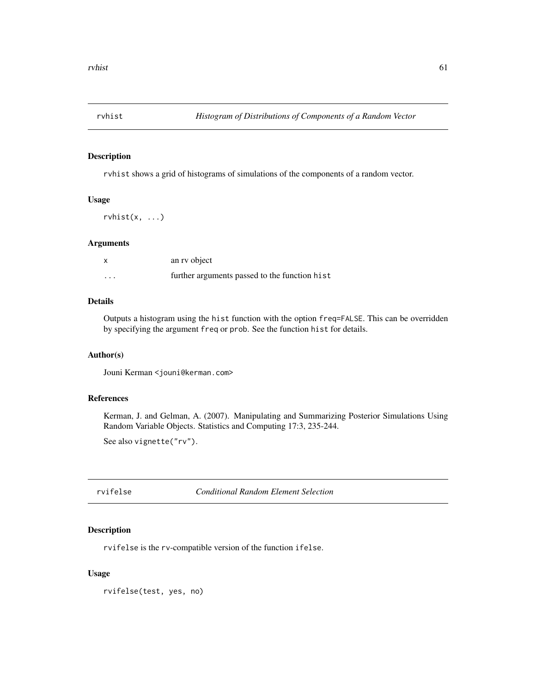rvhist shows a grid of histograms of simulations of the components of a random vector.

### Usage

 $rwhist(x, \ldots)$ 

### Arguments

| $\boldsymbol{\mathsf{x}}$ | an ry object                                  |
|---------------------------|-----------------------------------------------|
| $\cdots$                  | further arguments passed to the function hist |

## Details

Outputs a histogram using the hist function with the option freq=FALSE. This can be overridden by specifying the argument freq or prob. See the function hist for details.

#### Author(s)

Jouni Kerman <jouni@kerman.com>

# References

Kerman, J. and Gelman, A. (2007). Manipulating and Summarizing Posterior Simulations Using Random Variable Objects. Statistics and Computing 17:3, 235-244.

See also vignette("rv").

rvifelse *Conditional Random Element Selection*

### Description

rvifelse is the rv-compatible version of the function ifelse.

## Usage

rvifelse(test, yes, no)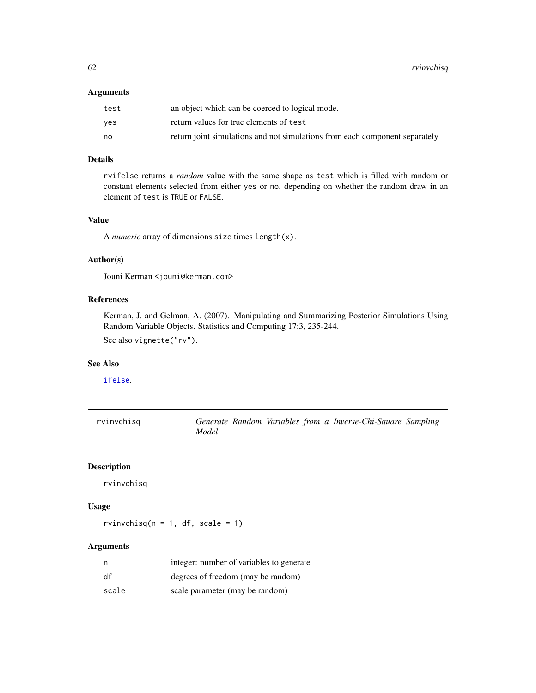62 rvinvchisq

## Arguments

| test | an object which can be coerced to logical mode.                             |
|------|-----------------------------------------------------------------------------|
| ves  | return values for true elements of test                                     |
| no   | return joint simulations and not simulations from each component separately |

## Details

rvifelse returns a *random* value with the same shape as test which is filled with random or constant elements selected from either yes or no, depending on whether the random draw in an element of test is TRUE or FALSE.

## Value

A *numeric* array of dimensions size times length(x).

## Author(s)

Jouni Kerman <jouni@kerman.com>

### References

Kerman, J. and Gelman, A. (2007). Manipulating and Summarizing Posterior Simulations Using Random Variable Objects. Statistics and Computing 17:3, 235-244.

See also vignette("rv").

## See Also

[ifelse](#page-0-0).

| rvinvchisg |       |  |  | Generate Random Variables from a Inverse-Chi-Square Sampling |  |
|------------|-------|--|--|--------------------------------------------------------------|--|
|            | Model |  |  |                                                              |  |

## Description

rvinvchisq

# Usage

rvinvchisq( $n = 1$ , df, scale = 1)

### Arguments

| n     | integer: number of variables to generate |
|-------|------------------------------------------|
| df    | degrees of freedom (may be random)       |
| scale | scale parameter (may be random)          |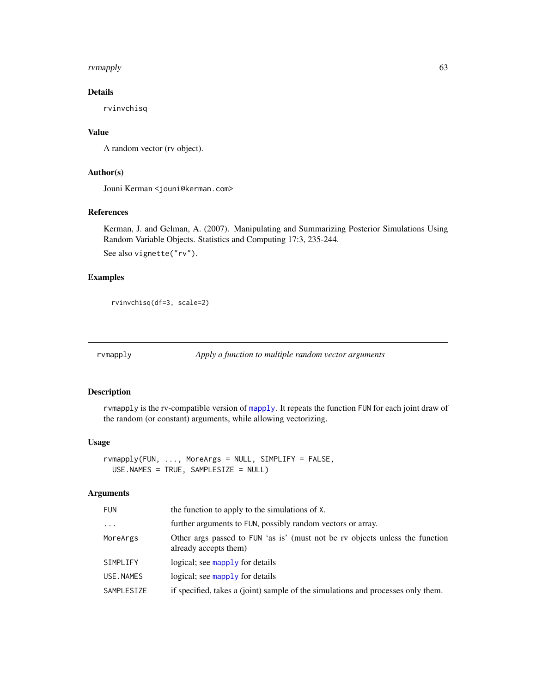#### rvmapply 63

# Details

rvinvchisq

# Value

A random vector (rv object).

# Author(s)

Jouni Kerman <jouni@kerman.com>

## References

Kerman, J. and Gelman, A. (2007). Manipulating and Summarizing Posterior Simulations Using Random Variable Objects. Statistics and Computing 17:3, 235-244.

See also vignette("rv").

## Examples

```
rvinvchisq(df=3, scale=2)
```
rvmapply *Apply a function to multiple random vector arguments*

## Description

rvmapply is the rv-compatible version of [mapply](#page-0-0). It repeats the function FUN for each joint draw of the random (or constant) arguments, while allowing vectorizing.

## Usage

```
rvmapply(FUN, ..., MoreArgs = NULL, SIMPLIFY = FALSE,
 USE.NAMES = TRUE, SAMPLESIZE = NULL)
```
#### Arguments

| <b>FUN</b> | the function to apply to the simulations of X.                                                        |
|------------|-------------------------------------------------------------------------------------------------------|
| $\cdots$   | further arguments to FUN, possibly random vectors or array.                                           |
| MoreArgs   | Other args passed to FUN 'as is' (must not be rv objects unless the function<br>already accepts them) |
| SIMPLIFY   | logical; see mapply for details                                                                       |
| USE.NAMES  | logical; see mapply for details                                                                       |
| SAMPLESIZE | if specified, takes a (joint) sample of the simulations and processes only them.                      |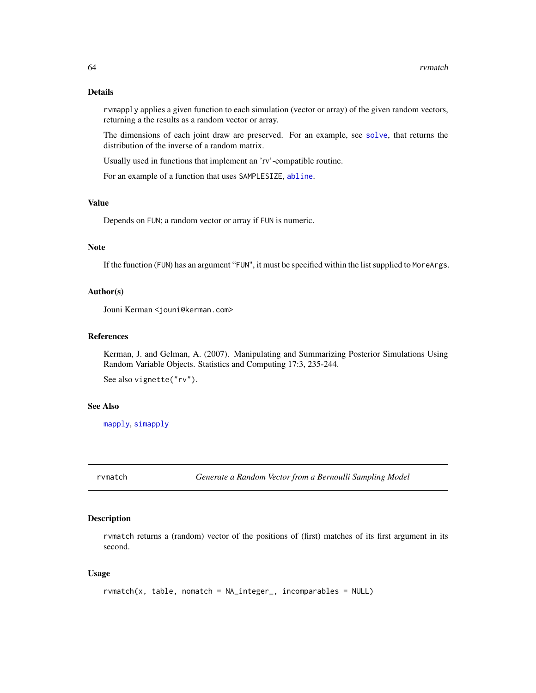### Details

rvmapply applies a given function to each simulation (vector or array) of the given random vectors, returning a the results as a random vector or array.

The dimensions of each joint draw are preserved. For an example, see [solve](#page-0-0), that returns the distribution of the inverse of a random matrix.

Usually used in functions that implement an 'rv'-compatible routine.

For an example of a function that uses SAMPLESIZE, [abline](#page-0-0).

#### Value

Depends on FUN; a random vector or array if FUN is numeric.

#### Note

If the function (FUN) has an argument "FUN", it must be specified within the list supplied to MoreArgs.

#### Author(s)

Jouni Kerman <jouni@kerman.com>

### References

Kerman, J. and Gelman, A. (2007). Manipulating and Summarizing Posterior Simulations Using Random Variable Objects. Statistics and Computing 17:3, 235-244.

See also vignette("rv").

#### See Also

[mapply](#page-0-0), [simapply](#page-86-0)

rvmatch *Generate a Random Vector from a Bernoulli Sampling Model*

#### Description

rvmatch returns a (random) vector of the positions of (first) matches of its first argument in its second.

## Usage

```
rvmatch(x, table, nomatch = NA_integer_, incomparables = NULL)
```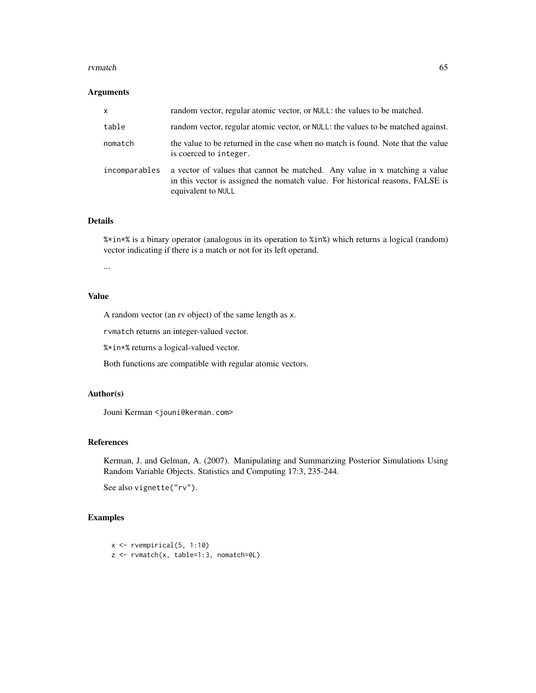#### rvmatch 65

#### Arguments

| x             | random vector, regular atomic vector, or NULL: the values to be matched.                                                                                                           |
|---------------|------------------------------------------------------------------------------------------------------------------------------------------------------------------------------------|
| table         | random vector, regular atomic vector, or NULL: the values to be matched against.                                                                                                   |
| nomatch       | the value to be returned in the case when no match is found. Note that the value<br>is coerced to integer.                                                                         |
| incomparables | a vector of values that cannot be matched. Any value in x matching a value<br>in this vector is assigned the nomatch value. For historical reasons, FALSE is<br>equivalent to NULL |

### Details

%\*in\*% is a binary operator (analogous in its operation to %in%) which returns a logical (random) vector indicating if there is a match or not for its left operand.

...

## Value

A random vector (an rv object) of the same length as x.

rvmatch returns an integer-valued vector.

%\*in\*% returns a logical-valued vector.

Both functions are compatible with regular atomic vectors.

### Author(s)

Jouni Kerman <jouni@kerman.com>

## References

Kerman, J. and Gelman, A. (2007). Manipulating and Summarizing Posterior Simulations Using Random Variable Objects. Statistics and Computing 17:3, 235-244.

See also vignette("rv").

# Examples

```
x \leftarrow rvempirical(5, 1:10)
z <- rvmatch(x, table=1:3, nomatch=0L)
```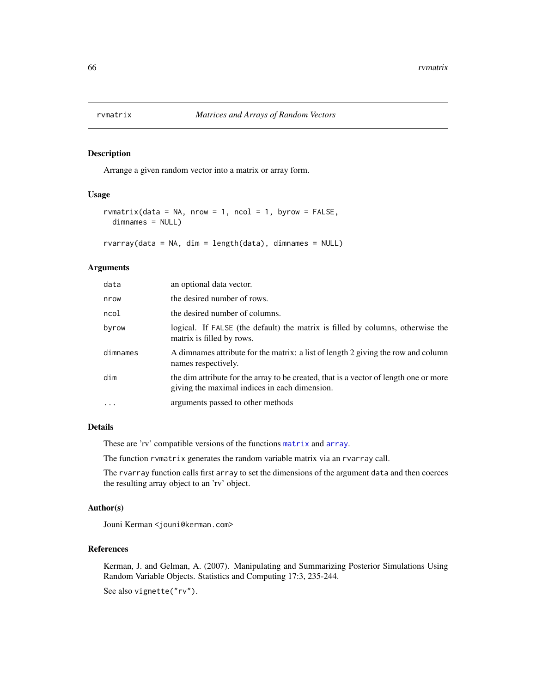Arrange a given random vector into a matrix or array form.

#### Usage

```
rvmatrix(data = NA, nrow = 1, ncol = 1, byrow = FALSE,
 dimnames = NULL)
```
rvarray(data = NA, dim = length(data), dimnames = NULL)

### Arguments

| data      | an optional data vector.                                                                                                               |
|-----------|----------------------------------------------------------------------------------------------------------------------------------------|
| nrow      | the desired number of rows.                                                                                                            |
| ncol      | the desired number of columns.                                                                                                         |
| byrow     | logical. If FALSE (the default) the matrix is filled by columns, otherwise the<br>matrix is filled by rows.                            |
| dimnames  | A dimnames attribute for the matrix: a list of length 2 giving the row and column<br>names respectively.                               |
| dim       | the dim attribute for the array to be created, that is a vector of length one or more<br>giving the maximal indices in each dimension. |
| $\ddotsc$ | arguments passed to other methods                                                                                                      |
|           |                                                                                                                                        |

#### Details

These are 'rv' compatible versions of the functions [matrix](#page-0-0) and [array](#page-0-0).

The function rvmatrix generates the random variable matrix via an rvarray call.

The rvarray function calls first array to set the dimensions of the argument data and then coerces the resulting array object to an 'rv' object.

#### Author(s)

Jouni Kerman <jouni@kerman.com>

#### References

Kerman, J. and Gelman, A. (2007). Manipulating and Summarizing Posterior Simulations Using Random Variable Objects. Statistics and Computing 17:3, 235-244.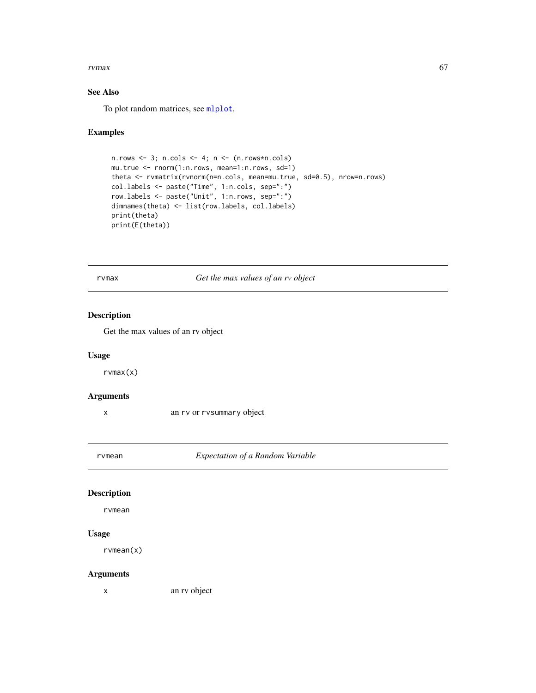#### rvmax 67

## See Also

To plot random matrices, see [mlplot](#page-27-0).

# Examples

```
n.rows \leftarrow 3; n.cols \leftarrow 4; n \leftarrow (n.rows * n.cols)mu.true <- rnorm(1:n.rows, mean=1:n.rows, sd=1)
theta <- rvmatrix(rvnorm(n=n.cols, mean=mu.true, sd=0.5), nrow=n.rows)
col.labels <- paste("Time", 1:n.cols, sep=":")
row.labels <- paste("Unit", 1:n.rows, sep=":")
dimnames(theta) <- list(row.labels, col.labels)
print(theta)
print(E(theta))
```
<span id="page-66-0"></span>rvmax *Get the max values of an rv object*

## Description

Get the max values of an rv object

#### Usage

rvmax(x)

#### Arguments

x an rv or rvsummary object

rvmean *Expectation of a Random Variable*

## Description

rvmean

## Usage

rvmean(x)

### Arguments

x an rv object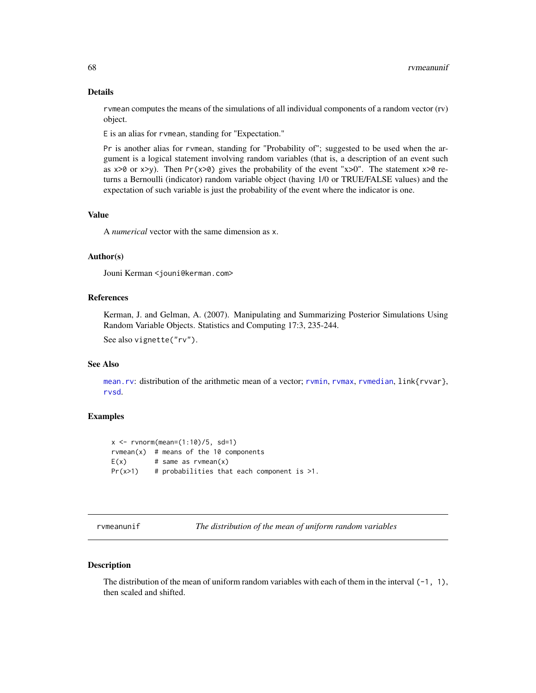#### Details

rvmean computes the means of the simulations of all individual components of a random vector (rv) object.

E is an alias for rvmean, standing for "Expectation."

Pr is another alias for rvmean, standing for "Probability of"; suggested to be used when the argument is a logical statement involving random variables (that is, a description of an event such as  $x>0$  or  $x>y$ ). Then Pr( $x>0$ ) gives the probability of the event " $x>0$ ". The statement  $x>0$  returns a Bernoulli (indicator) random variable object (having 1/0 or TRUE/FALSE values) and the expectation of such variable is just the probability of the event where the indicator is one.

#### Value

A *numerical* vector with the same dimension as x.

### Author(s)

Jouni Kerman <jouni@kerman.com>

#### References

Kerman, J. and Gelman, A. (2007). Manipulating and Summarizing Posterior Simulations Using Random Variable Objects. Statistics and Computing 17:3, 235-244.

See also vignette("rv").

### See Also

[mean.rv](#page-25-0): distribution of the arithmetic mean of a vector; [rvmin](#page-68-0), [rvmax](#page-66-0), [rvmedian](#page-78-1), link{rvvar}, [rvsd](#page-85-0).

#### Examples

```
x \le - rvnorm(mean=(1:10)/5, sd=1)
rvmean(x) # means of the 10 components
E(x) # same as rvmean(x)
Pr(x>1) # probabilities that each component is >1.
```
rvmeanunif *The distribution of the mean of uniform random variables*

#### Description

The distribution of the mean of uniform random variables with each of them in the interval  $(-1, 1)$ , then scaled and shifted.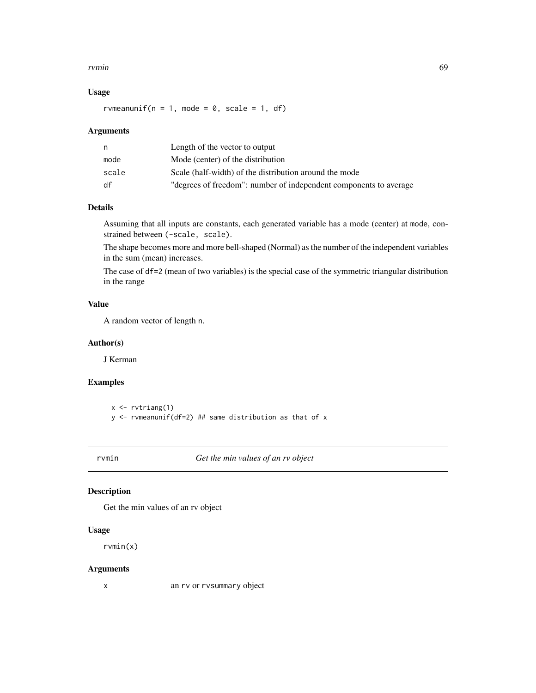#### rvmin 69

## Usage

rvmeanunif( $n = 1$ , mode = 0, scale = 1, df)

#### Arguments

| n     | Length of the vector to output                                    |
|-------|-------------------------------------------------------------------|
| mode  | Mode (center) of the distribution                                 |
| scale | Scale (half-width) of the distribution around the mode            |
| df    | "degrees of freedom": number of independent components to average |

# Details

Assuming that all inputs are constants, each generated variable has a mode (center) at mode, constrained between (-scale, scale).

The shape becomes more and more bell-shaped (Normal) as the number of the independent variables in the sum (mean) increases.

The case of df=2 (mean of two variables) is the special case of the symmetric triangular distribution in the range

# Value

A random vector of length n.

## Author(s)

J Kerman

### Examples

 $x \leftarrow$  rvtriang(1) y <- rvmeanunif(df=2) ## same distribution as that of x

<span id="page-68-0"></span>rvmin *Get the min values of an rv object*

# Description

Get the min values of an rv object

### Usage

rvmin(x)

#### Arguments

x an rv or rvsummary object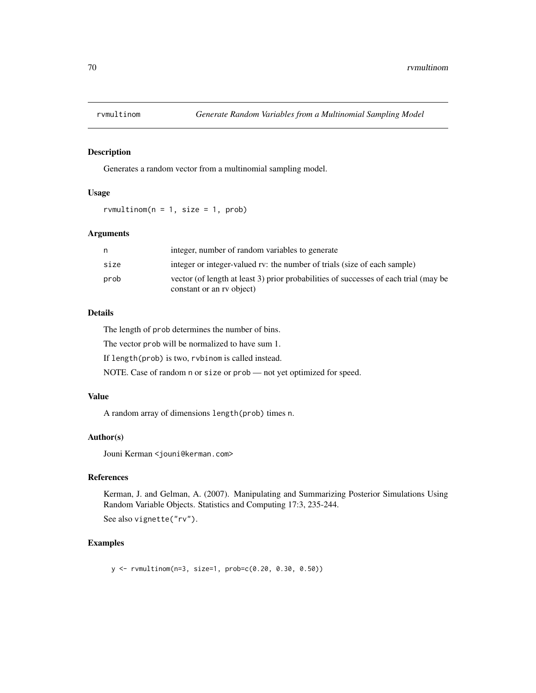Generates a random vector from a multinomial sampling model.

# Usage

rvmultinom( $n = 1$ , size = 1, prob)

#### Arguments

| n    | integer, number of random variables to generate                                                                   |
|------|-------------------------------------------------------------------------------------------------------------------|
| size | integer or integer-valued rv: the number of trials (size of each sample)                                          |
| prob | vector (of length at least 3) prior probabilities of successes of each trial (may be<br>constant or an ry object) |

# Details

The length of prob determines the number of bins.

The vector prob will be normalized to have sum 1.

If length(prob) is two, rvbinom is called instead.

NOTE. Case of random n or size or prob — not yet optimized for speed.

# Value

A random array of dimensions length(prob) times n.

#### Author(s)

Jouni Kerman <jouni@kerman.com>

## References

Kerman, J. and Gelman, A. (2007). Manipulating and Summarizing Posterior Simulations Using Random Variable Objects. Statistics and Computing 17:3, 235-244.

See also vignette("rv").

### Examples

y <- rvmultinom(n=3, size=1, prob=c(0.20, 0.30, 0.50))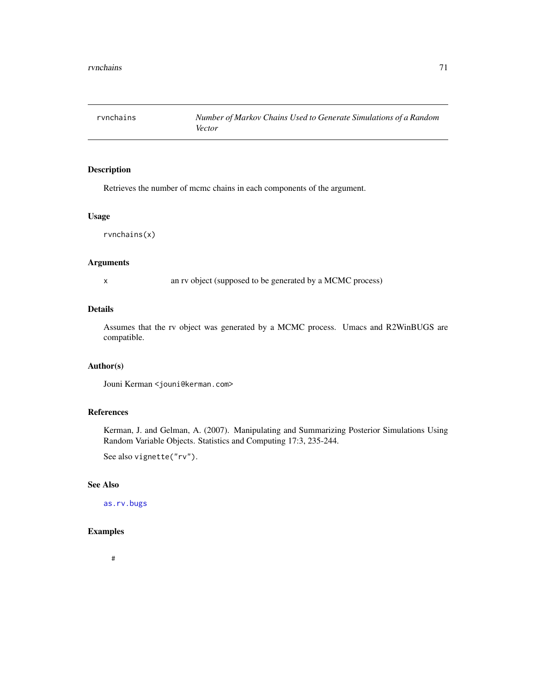Retrieves the number of mcmc chains in each components of the argument.

## Usage

rvnchains(x)

#### Arguments

x an rv object (supposed to be generated by a MCMC process)

## Details

Assumes that the rv object was generated by a MCMC process. Umacs and R2WinBUGS are compatible.

# Author(s)

Jouni Kerman <jouni@kerman.com>

## References

Kerman, J. and Gelman, A. (2007). Manipulating and Summarizing Posterior Simulations Using Random Variable Objects. Statistics and Computing 17:3, 235-244.

See also vignette("rv").

# See Also

[as.rv.bugs](#page-10-0)

### Examples

#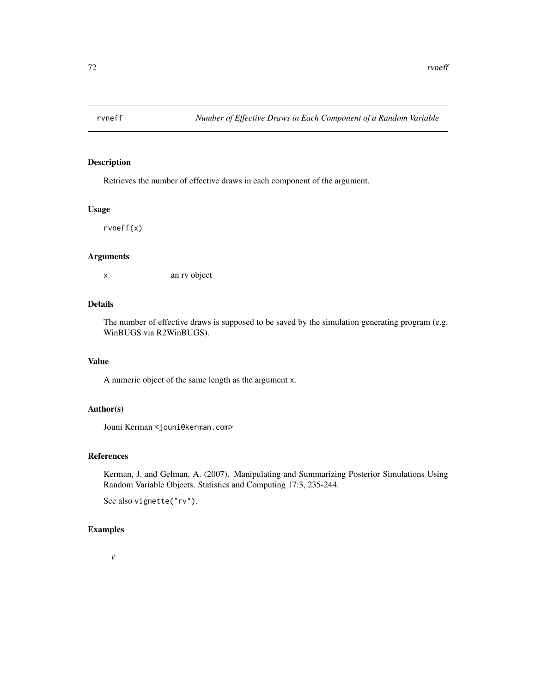Retrieves the number of effective draws in each component of the argument.

#### Usage

rvneff(x)

# Arguments

x an rv object

# Details

The number of effective draws is supposed to be saved by the simulation generating program (e.g. WinBUGS via R2WinBUGS).

## Value

A numeric object of the same length as the argument x.

# Author(s)

Jouni Kerman <jouni@kerman.com>

## References

Kerman, J. and Gelman, A. (2007). Manipulating and Summarizing Posterior Simulations Using Random Variable Objects. Statistics and Computing 17:3, 235-244.

See also vignette("rv").

# Examples

#### #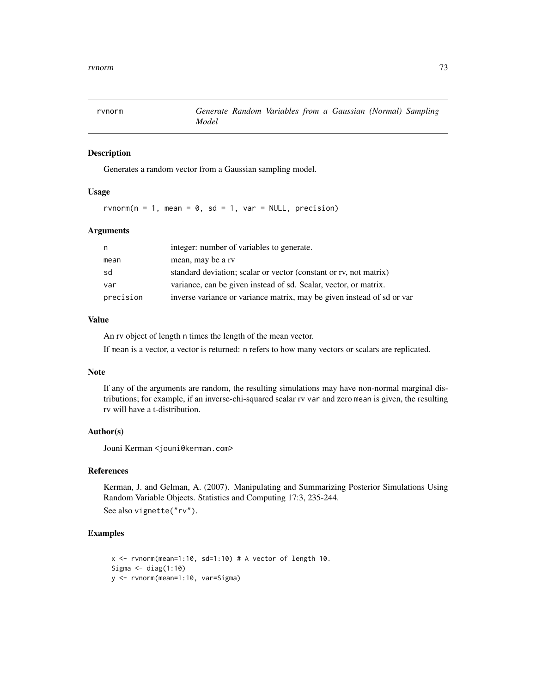<span id="page-72-0"></span>

Generates a random vector from a Gaussian sampling model.

# Usage

rvnorm( $n = 1$ , mean = 0, sd = 1, var = NULL, precision)

# Arguments

| n         | integer: number of variables to generate.                              |
|-----------|------------------------------------------------------------------------|
| mean      | mean, may be a rv                                                      |
| sd        | standard deviation; scalar or vector (constant or rv, not matrix)      |
| var       | variance, can be given instead of sd. Scalar, vector, or matrix.       |
| precision | inverse variance or variance matrix, may be given instead of sd or var |

# Value

An rv object of length n times the length of the mean vector.

If mean is a vector, a vector is returned: n refers to how many vectors or scalars are replicated.

#### Note

If any of the arguments are random, the resulting simulations may have non-normal marginal distributions; for example, if an inverse-chi-squared scalar rv var and zero mean is given, the resulting rv will have a t-distribution.

#### Author(s)

Jouni Kerman <jouni@kerman.com>

#### References

Kerman, J. and Gelman, A. (2007). Manipulating and Summarizing Posterior Simulations Using Random Variable Objects. Statistics and Computing 17:3, 235-244. See also vignette("rv").

```
x <- rvnorm(mean=1:10, sd=1:10) # A vector of length 10.
Sigma <- diag(1:10)
y <- rvnorm(mean=1:10, var=Sigma)
```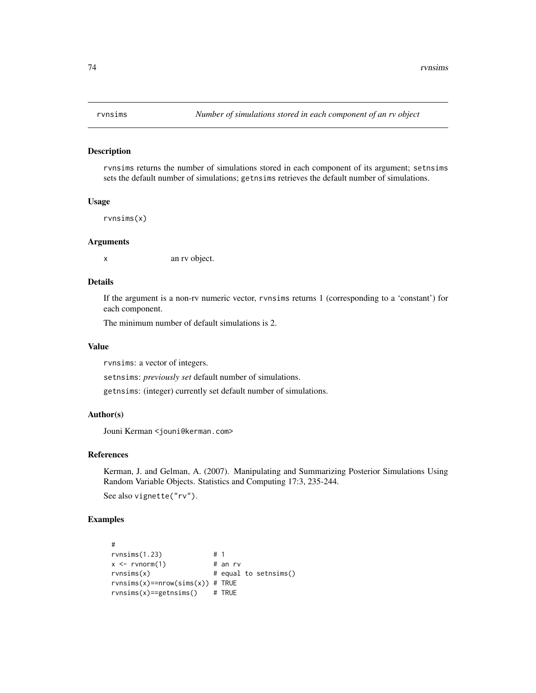<span id="page-73-0"></span>rvnsims returns the number of simulations stored in each component of its argument; setnsims sets the default number of simulations; getnsims retrieves the default number of simulations.

# Usage

rvnsims(x)

#### Arguments

x an rv object.

#### Details

If the argument is a non-rv numeric vector, rvnsims returns 1 (corresponding to a 'constant') for each component.

The minimum number of default simulations is 2.

#### Value

rvnsims: a vector of integers.

setnsims: *previously set* default number of simulations.

getnsims: (integer) currently set default number of simulations.

# Author(s)

Jouni Kerman <jouni@kerman.com>

#### References

Kerman, J. and Gelman, A. (2007). Manipulating and Summarizing Posterior Simulations Using Random Variable Objects. Statistics and Computing 17:3, 235-244.

See also vignette("rv").

```
#
rvnsims(1.23) # 1
x \le - rvnorm(1) # an rv
rvnsims(x) # equal to setnsims()
rvnsims(x)==nrow(sims(x)) # TRUE
rvnsims(x)==getnsims() # TRUE
```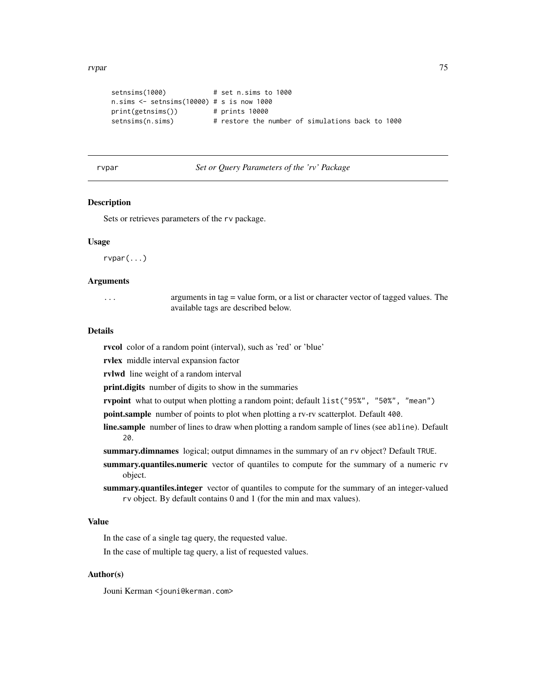<span id="page-74-0"></span>rvpar 75

```
setnsims(1000) # set n.sims to 1000
n.sims <- setnsims(10000) # s is now 1000
print(getnsims()) # prints 10000
setnsims(n.sims) # restore the number of simulations back to 1000
```
# rvpar *Set or Query Parameters of the 'rv' Package*

#### Description

Sets or retrieves parameters of the rv package.

#### Usage

rvpar(...)

#### Arguments

| . | arguments in tag $=$ value form, or a list or character vector of tagged values. The |
|---|--------------------------------------------------------------------------------------|
|   | available tags are described below.                                                  |

#### Details

rvcol color of a random point (interval), such as 'red' or 'blue'

rvlex middle interval expansion factor

rvlwd line weight of a random interval

print.digits number of digits to show in the summaries

rvpoint what to output when plotting a random point; default list("95%", "50%", "mean")

point.sample number of points to plot when plotting a rv-rv scatterplot. Default 400.

line.sample number of lines to draw when plotting a random sample of lines (see abline). Default 20.

summary.dimnames logical; output dimnames in the summary of an rv object? Default TRUE.

- summary.quantiles.numeric vector of quantiles to compute for the summary of a numeric rv object.
- summary.quantiles.integer vector of quantiles to compute for the summary of an integer-valued rv object. By default contains 0 and 1 (for the min and max values).

#### Value

In the case of a single tag query, the requested value.

In the case of multiple tag query, a list of requested values.

#### Author(s)

Jouni Kerman <jouni@kerman.com>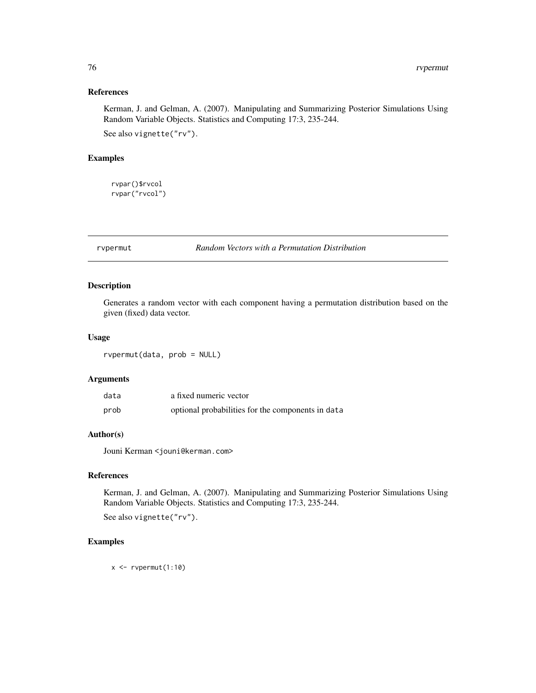# <span id="page-75-0"></span>References

Kerman, J. and Gelman, A. (2007). Manipulating and Summarizing Posterior Simulations Using Random Variable Objects. Statistics and Computing 17:3, 235-244.

See also vignette("rv").

# Examples

rvpar()\$rvcol rvpar("rvcol")

rvpermut *Random Vectors with a Permutation Distribution*

#### Description

Generates a random vector with each component having a permutation distribution based on the given (fixed) data vector.

# Usage

rvpermut(data, prob = NULL)

#### Arguments

| data | a fixed numeric vector                            |
|------|---------------------------------------------------|
| prob | optional probabilities for the components in data |

# Author(s)

Jouni Kerman <jouni@kerman.com>

# References

Kerman, J. and Gelman, A. (2007). Manipulating and Summarizing Posterior Simulations Using Random Variable Objects. Statistics and Computing 17:3, 235-244.

See also vignette("rv").

#### Examples

 $x \leftarrow \text{rypermut}(1:10)$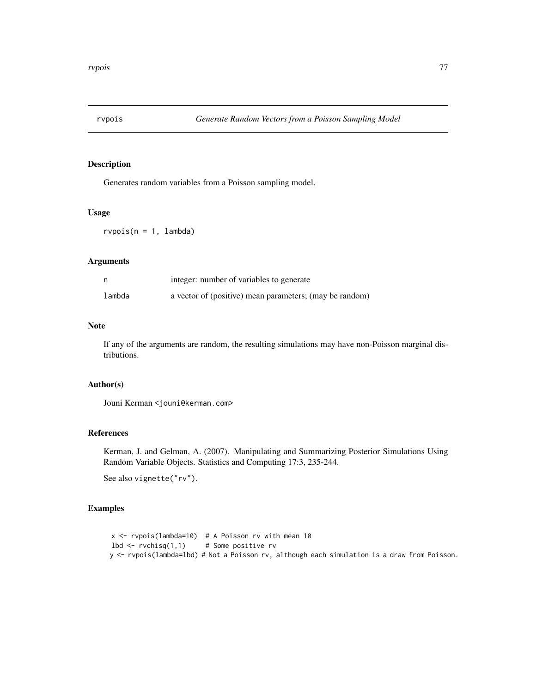<span id="page-76-0"></span>

Generates random variables from a Poisson sampling model.

# Usage

 $r\nu \text{pois}(n = 1, \text{lambda})$ 

#### Arguments

|        | integer: number of variables to generate                |
|--------|---------------------------------------------------------|
| lambda | a vector of (positive) mean parameters; (may be random) |

#### Note

If any of the arguments are random, the resulting simulations may have non-Poisson marginal distributions.

# Author(s)

Jouni Kerman <jouni@kerman.com>

# References

Kerman, J. and Gelman, A. (2007). Manipulating and Summarizing Posterior Simulations Using Random Variable Objects. Statistics and Computing 17:3, 235-244.

See also vignette("rv").

```
x <- rvpois(lambda=10) # A Poisson rv with mean 10
1bd \leftarrow \text{rvchisq}(1,1) # Some positive rv
y <- rvpois(lambda=lbd) # Not a Poisson rv, although each simulation is a draw from Poisson.
```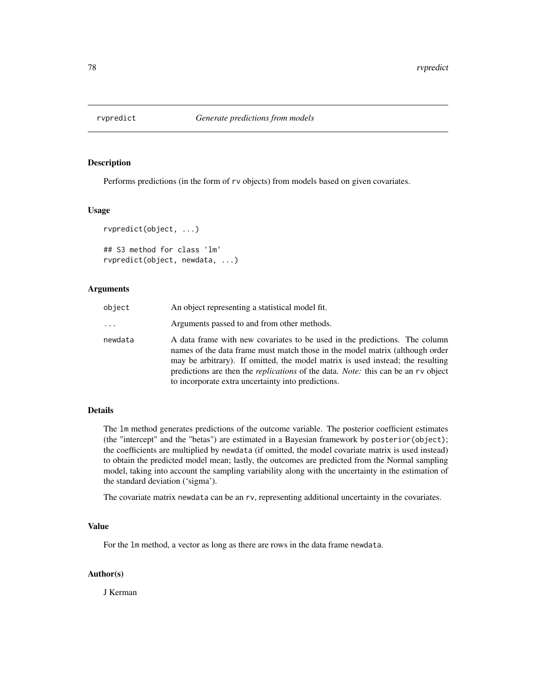<span id="page-77-0"></span>

Performs predictions (in the form of rv objects) from models based on given covariates.

#### Usage

```
rvpredict(object, ...)
## S3 method for class 'lm'
rvpredict(object, newdata, ...)
```
# Arguments

| object   | An object representing a statistical model fit.                                                                                                                                                                                                                                                                                                                                                       |
|----------|-------------------------------------------------------------------------------------------------------------------------------------------------------------------------------------------------------------------------------------------------------------------------------------------------------------------------------------------------------------------------------------------------------|
| $\cdots$ | Arguments passed to and from other methods.                                                                                                                                                                                                                                                                                                                                                           |
| newdata  | A data frame with new covariates to be used in the predictions. The column<br>names of the data frame must match those in the model matrix (although order<br>may be arbitrary). If omitted, the model matrix is used instead; the resulting<br>predictions are then the <i>replications</i> of the data. <i>Note:</i> this can be an rv object<br>to incorporate extra uncertainty into predictions. |

# Details

The lm method generates predictions of the outcome variable. The posterior coefficient estimates (the "intercept" and the "betas") are estimated in a Bayesian framework by posterior(object); the coefficients are multiplied by newdata (if omitted, the model covariate matrix is used instead) to obtain the predicted model mean; lastly, the outcomes are predicted from the Normal sampling model, taking into account the sampling variability along with the uncertainty in the estimation of the standard deviation ('sigma').

The covariate matrix newdata can be an rv, representing additional uncertainty in the covariates.

#### Value

For the lm method, a vector as long as there are rows in the data frame newdata.

# Author(s)

J Kerman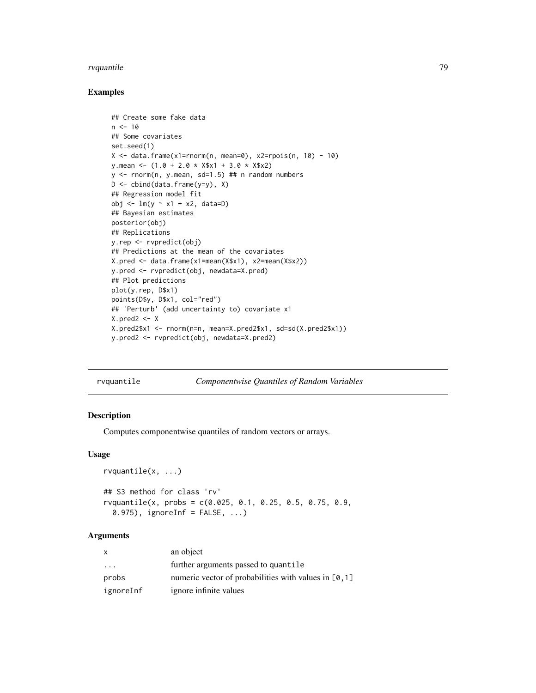#### <span id="page-78-1"></span>rvquantile **79**

# Examples

```
## Create some fake data
n < -10## Some covariates
set.seed(1)
X \le data.frame(x1=rnorm(n, mean=0), x2=rpois(n, 10) - 10)
y.mean <- (1.0 + 2.0 * X$x1 + 3.0 * X$x2)
y \le - rnorm(n, y.mean, sd=1.5) ## n random numbers
D \leftarrow \text{cbind}(data.\text{frame}(y=y), X)## Regression model fit
obj <- lm(y ~ x1 + x2, data=D)
## Bayesian estimates
posterior(obj)
## Replications
y.rep <- rvpredict(obj)
## Predictions at the mean of the covariates
X.pred <- data.frame(x1=mean(X$x1), x2=mean(X$x2))
y.pred <- rvpredict(obj, newdata=X.pred)
## Plot predictions
plot(y.rep, D$x1)
points(D$y, D$x1, col="red")
## 'Perturb' (add uncertainty to) covariate x1
X.pred2 <- X
X.pred2$x1 <- rnorm(n=n, mean=X.pred2$x1, sd=sd(X.pred2$x1))
y.pred2 <- rvpredict(obj, newdata=X.pred2)
```

| rvquantile | Componentwise Quantiles of Random Variables |  |  |
|------------|---------------------------------------------|--|--|
|            |                                             |  |  |

#### <span id="page-78-0"></span>Description

rvquantile(x, ...)

Computes componentwise quantiles of random vectors or arrays.

#### Usage

```
## S3 method for class 'rv'
rvquantile(x, probs = c(0.025, 0.1, 0.25, 0.5, 0.75, 0.9,
  0.975), ignoreInf = FALSE, \ldots)
```
#### Arguments

| X                       | an object                                               |
|-------------------------|---------------------------------------------------------|
| $\cdot$ $\cdot$ $\cdot$ | further arguments passed to quantile                    |
| probs                   | numeric vector of probabilities with values in $[0, 1]$ |
| ignoreInf               | ignore infinite values                                  |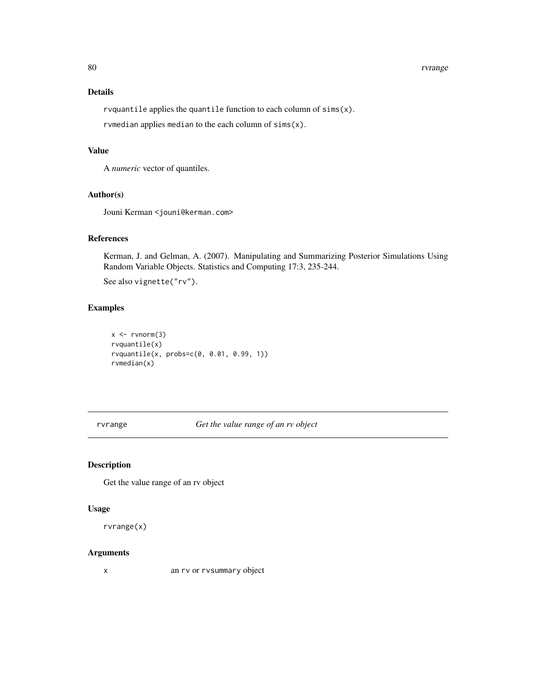#### <span id="page-79-0"></span>80 rvrange i 1999 i 1999 i 1999 i 1999 i 1999 i 1999 i 1999 i 1999 i 1999 i 1999 i 1999 i 1999 i 1999 i 1999 i

# Details

rvquantile applies the quantile function to each column of sims(x). rvmedian applies median to the each column of sims(x).

# Value

A *numeric* vector of quantiles.

# Author(s)

Jouni Kerman <jouni@kerman.com>

# References

Kerman, J. and Gelman, A. (2007). Manipulating and Summarizing Posterior Simulations Using Random Variable Objects. Statistics and Computing 17:3, 235-244.

See also vignette("rv").

# Examples

```
x \leftarrow \text{rvnorm}(3)rvquantile(x)
rvquantile(x, probs=c(0, 0.01, 0.99, 1))
rvmedian(x)
```
rvrange *Get the value range of an rv object*

# Description

Get the value range of an rv object

#### Usage

rvrange(x)

# Arguments

x an rv or rvsummary object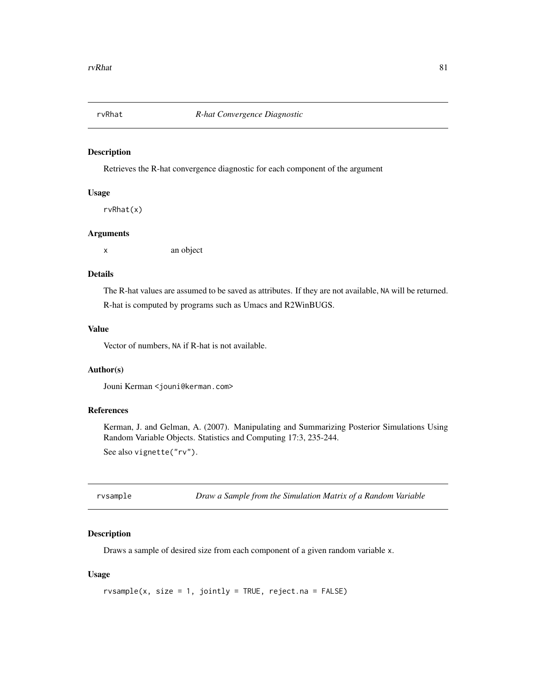<span id="page-80-0"></span>

Retrieves the R-hat convergence diagnostic for each component of the argument

# Usage

rvRhat(x)

#### Arguments

x an object

# Details

The R-hat values are assumed to be saved as attributes. If they are not available, NA will be returned. R-hat is computed by programs such as Umacs and R2WinBUGS.

# Value

Vector of numbers, NA if R-hat is not available.

# Author(s)

Jouni Kerman <jouni@kerman.com>

#### References

Kerman, J. and Gelman, A. (2007). Manipulating and Summarizing Posterior Simulations Using Random Variable Objects. Statistics and Computing 17:3, 235-244.

See also vignette("rv").

rvsample *Draw a Sample from the Simulation Matrix of a Random Variable*

#### Description

Draws a sample of desired size from each component of a given random variable x.

#### Usage

```
rvsample(x, size = 1, jointly = TRUE, reject.na = FALSE)
```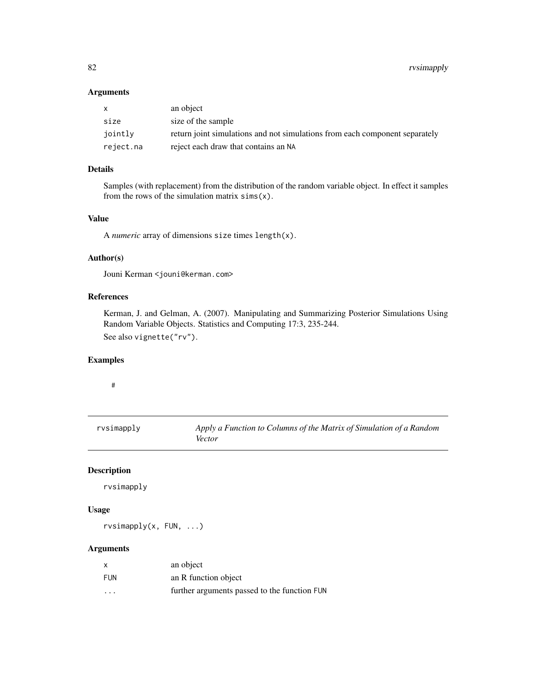<span id="page-81-1"></span>82 rvsimapply

#### Arguments

| X         | an object                                                                   |
|-----------|-----------------------------------------------------------------------------|
| size      | size of the sample                                                          |
| jointly   | return joint simulations and not simulations from each component separately |
| reject.na | reject each draw that contains an NA                                        |

# Details

Samples (with replacement) from the distribution of the random variable object. In effect it samples from the rows of the simulation matrix  $sims(x)$ .

# Value

A *numeric* array of dimensions size times length(x).

#### Author(s)

Jouni Kerman <jouni@kerman.com>

# References

Kerman, J. and Gelman, A. (2007). Manipulating and Summarizing Posterior Simulations Using Random Variable Objects. Statistics and Computing 17:3, 235-244. See also vignette("rv").

# Examples

#### #

<span id="page-81-0"></span>rvsimapply *Apply a Function to Columns of the Matrix of Simulation of a Random Vector*

#### Description

rvsimapply

# Usage

rvsimapply(x, FUN, ...)

# Arguments

| $\boldsymbol{\mathsf{x}}$ | an object                                    |
|---------------------------|----------------------------------------------|
| <b>FUN</b>                | an R function object                         |
| $\cdot$ $\cdot$ $\cdot$   | further arguments passed to the function FUN |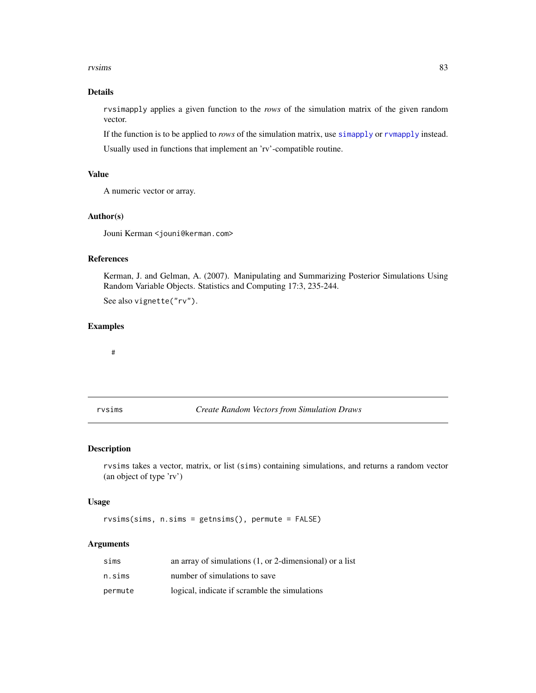#### <span id="page-82-0"></span>rvsims 83

# Details

rvsimapply applies a given function to the *rows* of the simulation matrix of the given random vector.

If the function is to be applied to *rows* of the simulation matrix, use [simapply](#page-86-0) or [rvmapply](#page-62-0) instead. Usually used in functions that implement an 'rv'-compatible routine.

# Value

A numeric vector or array.

#### Author(s)

Jouni Kerman <jouni@kerman.com>

#### References

Kerman, J. and Gelman, A. (2007). Manipulating and Summarizing Posterior Simulations Using Random Variable Objects. Statistics and Computing 17:3, 235-244. See also vignette("rv").

# Examples

#

rvsims *Create Random Vectors from Simulation Draws*

#### Description

rvsims takes a vector, matrix, or list (sims) containing simulations, and returns a random vector (an object of type 'rv')

#### Usage

rvsims(sims, n.sims = getnsims(), permute = FALSE)

# Arguments

| sims    | an array of simulations $(1, or 2$ -dimensional) or a list |
|---------|------------------------------------------------------------|
| n.sims  | number of simulations to save                              |
| permute | logical, indicate if scramble the simulations              |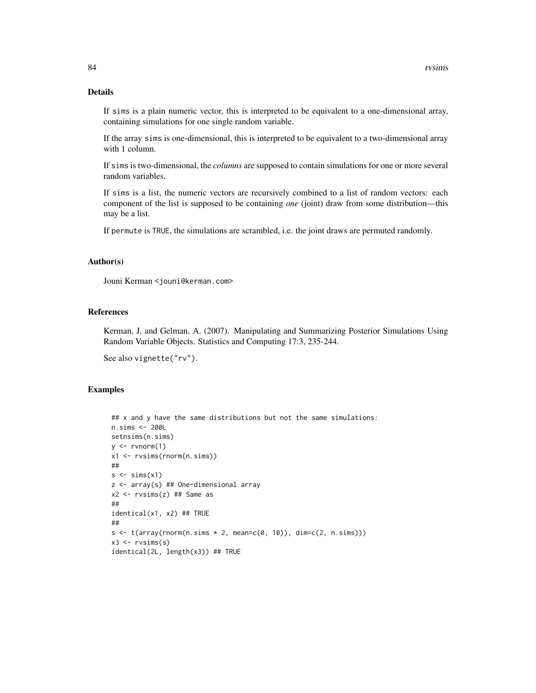#### Details

If sims is a plain numeric vector, this is interpreted to be equivalent to a one-dimensional array, containing simulations for one single random variable.

If the array sims is one-dimensional, this is interpreted to be equivalent to a two-dimensional array with 1 column.

If sims is two-dimensional, the *columns* are supposed to contain simulations for one or more several random variables.

If sims is a list, the numeric vectors are recursively combined to a list of random vectors: each component of the list is supposed to be containing *one* (joint) draw from some distribution—this may be a list.

If permute is TRUE, the simulations are scrambled, i.e. the joint draws are permuted randomly.

#### Author(s)

Jouni Kerman <jouni@kerman.com>

# References

Kerman, J. and Gelman, A. (2007). Manipulating and Summarizing Posterior Simulations Using Random Variable Objects. Statistics and Computing 17:3, 235-244.

See also vignette("rv").

```
## x and y have the same distributions but not the same simulations:
n.sims <- 200L
setnsims(n.sims)
y \leftarrow \text{rvnorm}(1)x1 <- rvsims(rnorm(n.sims))
##
s \leftarrow \text{sims}(x1)z <- array(s) ## One-dimensional array
x2 \leq -r \vee \text{sims}(z) ## Same as
##
identical(x1, x2) ## TRUE
##
s \leq t(array(rnorm(n.sims * 2, mean=c(0, 10)), dim=c(2, n.sims)))
x3 \leftarrow rvsims(s)identical(2L, length(x3)) ## TRUE
```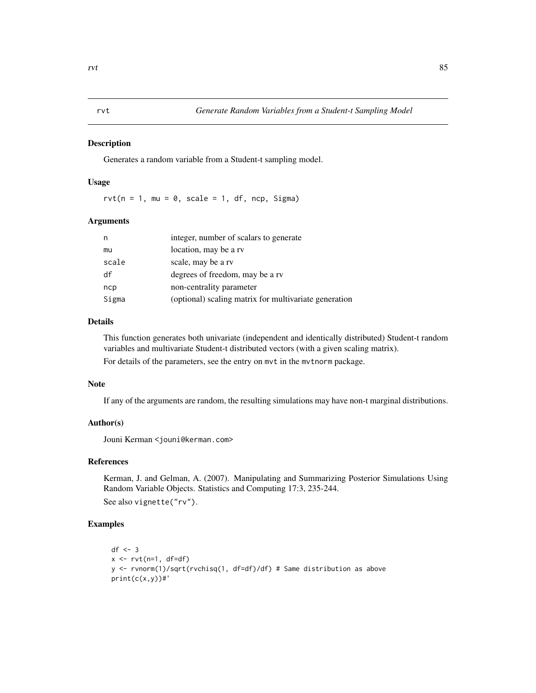<span id="page-84-0"></span>Generates a random variable from a Student-t sampling model.

#### Usage

 $rvt(n = 1, mu = 0, scale = 1, df, ncp, Sigma)$ 

#### Arguments

| n     | integer, number of scalars to generate                |
|-------|-------------------------------------------------------|
| mu    | location, may be a rv                                 |
| scale | scale, may be a rv                                    |
| df    | degrees of freedom, may be a rv                       |
| ncp   | non-centrality parameter                              |
| Sigma | (optional) scaling matrix for multivariate generation |

# Details

This function generates both univariate (independent and identically distributed) Student-t random variables and multivariate Student-t distributed vectors (with a given scaling matrix).

For details of the parameters, see the entry on mvt in the mvtnorm package.

# Note

If any of the arguments are random, the resulting simulations may have non-t marginal distributions.

# Author(s)

Jouni Kerman <jouni@kerman.com>

# References

Kerman, J. and Gelman, A. (2007). Manipulating and Summarizing Posterior Simulations Using Random Variable Objects. Statistics and Computing 17:3, 235-244. See also vignette("rv").

```
df \leftarrow 3x \leftarrow \text{rvt}(n=1, df=df)y <- rvnorm(1)/sqrt(rvchisq(1, df=df)/df) # Same distribution as above
print(c(x,y))#'
```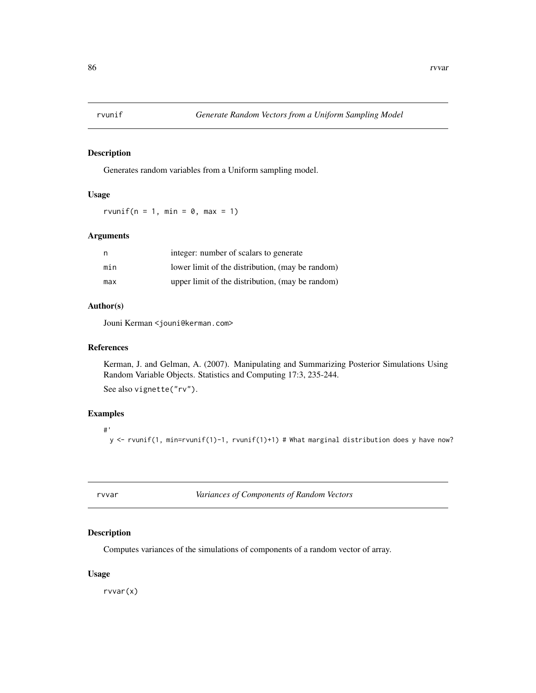<span id="page-85-1"></span>

Generates random variables from a Uniform sampling model.

## Usage

rvunif( $n = 1$ , min = 0, max = 1)

# Arguments

| n   | integer: number of scalars to generate           |
|-----|--------------------------------------------------|
| min | lower limit of the distribution, (may be random) |
| max | upper limit of the distribution, (may be random) |

#### Author(s)

Jouni Kerman <jouni@kerman.com>

#### References

Kerman, J. and Gelman, A. (2007). Manipulating and Summarizing Posterior Simulations Using Random Variable Objects. Statistics and Computing 17:3, 235-244.

See also vignette("rv").

# Examples

#' y <- rvunif(1, min=rvunif(1)-1, rvunif(1)+1) # What marginal distribution does y have now?

rvvar *Variances of Components of Random Vectors*

# <span id="page-85-0"></span>Description

Computes variances of the simulations of components of a random vector of array.

# Usage

rvvar(x)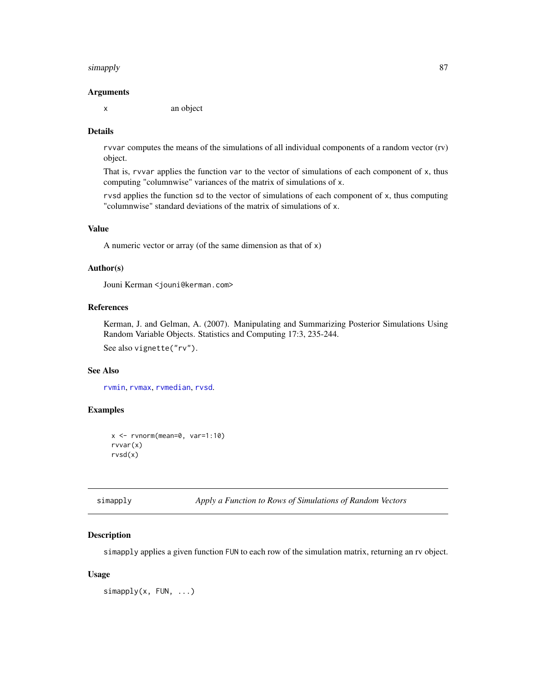#### <span id="page-86-1"></span>simapply 87

#### Arguments

x an object

#### Details

rvvar computes the means of the simulations of all individual components of a random vector (rv) object.

That is, rvvar applies the function var to the vector of simulations of each component of x, thus computing "columnwise" variances of the matrix of simulations of x.

rvsd applies the function sd to the vector of simulations of each component of x, thus computing "columnwise" standard deviations of the matrix of simulations of x.

#### Value

A numeric vector or array (of the same dimension as that of x)

#### Author(s)

Jouni Kerman <jouni@kerman.com>

# References

Kerman, J. and Gelman, A. (2007). Manipulating and Summarizing Posterior Simulations Using Random Variable Objects. Statistics and Computing 17:3, 235-244. See also vignette("rv").

# See Also

[rvmin](#page-68-0), [rvmax](#page-66-0), [rvmedian](#page-78-0), [rvsd](#page-85-0).

# Examples

```
x \leq -\text{rvnorm}(\text{mean}=0, \text{var}=1:10)rvvar(x)
rvsd(x)
```
<span id="page-86-0"></span>simapply *Apply a Function to Rows of Simulations of Random Vectors*

#### Description

simapply applies a given function FUN to each row of the simulation matrix, returning an rv object.

#### Usage

simapply(x, FUN, ...)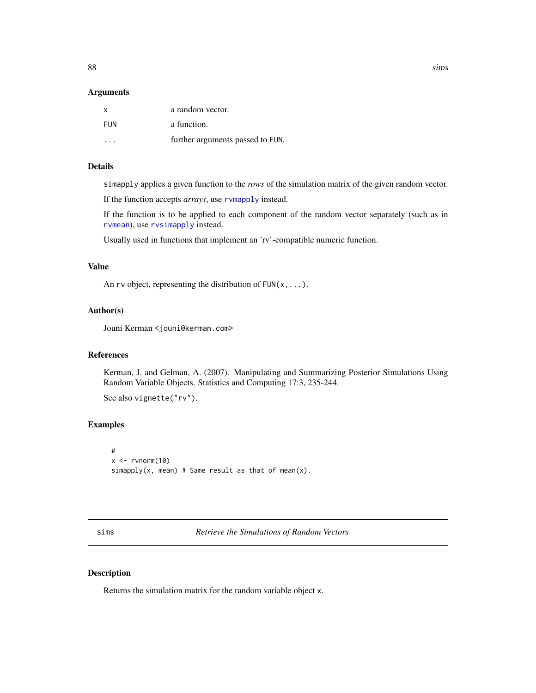<span id="page-87-0"></span>88 sims and the contract of the contract of the contract of the contract of the contract of the contract of the contract of the contract of the contract of the contract of the contract of the contract of the contract of th

#### **Arguments**

| $\times$ | a random vector.                 |
|----------|----------------------------------|
| FUN      | a function.                      |
|          | further arguments passed to FUN. |

#### Details

simapply applies a given function to the *rows* of the simulation matrix of the given random vector.

If the function accepts *arrays*, use [rvmapply](#page-62-0) instead.

If the function is to be applied to each component of the random vector separately (such as in [rvmean](#page-66-1)), use [rvsimapply](#page-81-0) instead.

Usually used in functions that implement an 'rv'-compatible numeric function.

# Value

An rv object, representing the distribution of  $FUN(x, \ldots)$ .

#### Author(s)

Jouni Kerman <jouni@kerman.com>

# References

Kerman, J. and Gelman, A. (2007). Manipulating and Summarizing Posterior Simulations Using Random Variable Objects. Statistics and Computing 17:3, 235-244.

See also vignette("rv").

# Examples

```
#
x \leftarrow \text{rvnorm}(10)simapply(x, mean) # Same result as that of mean(x).
```
sims *Retrieve the Simulations of Random Vectors*

# Description

Returns the simulation matrix for the random variable object x.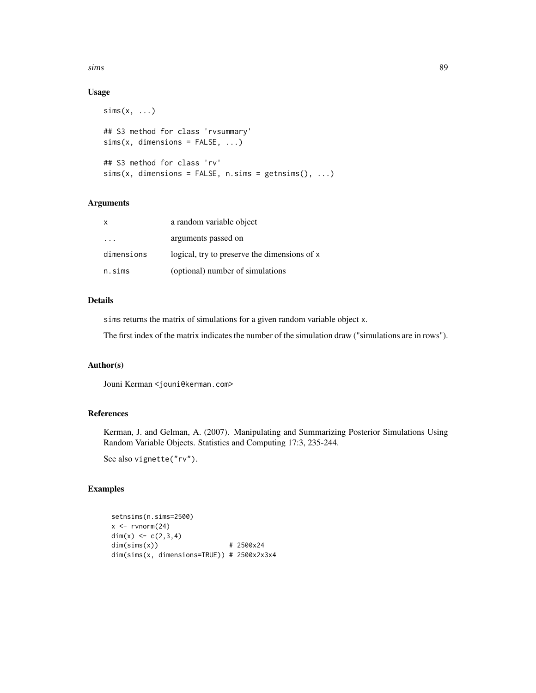$s$  in  $s$  and  $s$  and  $s$  and  $s$  and  $s$  and  $s$  and  $s$  and  $s$  and  $s$  and  $s$  and  $s$  and  $s$  and  $s$  and  $s$  and  $s$  and  $s$  and  $s$  and  $s$  and  $s$  and  $s$  and  $s$  and  $s$  and  $s$  and  $s$  and  $s$  and  $s$  and  $s$  an

# Usage

```
sims(x, \ldots)## S3 method for class 'rvsummary'
sims(x, dimensions = FALSE, ...)
## S3 method for class 'rv'
sims(x, dimensions = FALSE, n.sims = getnsims(), ...)
```
#### Arguments

| $\mathsf{X}$ | a random variable object                     |
|--------------|----------------------------------------------|
|              | arguments passed on                          |
| dimensions   | logical, try to preserve the dimensions of x |
| n.sims       | (optional) number of simulations             |

# Details

sims returns the matrix of simulations for a given random variable object x.

The first index of the matrix indicates the number of the simulation draw ("simulations are in rows").

# Author(s)

Jouni Kerman <jouni@kerman.com>

# References

Kerman, J. and Gelman, A. (2007). Manipulating and Summarizing Posterior Simulations Using Random Variable Objects. Statistics and Computing 17:3, 235-244.

See also vignette("rv").

```
setnsims(n.sims=2500)
x \leq -rvnorm(24)dim(x) \leq -c(2,3,4)dim(sims(x)) # 2500x24
dim(sims(x, dimensions=TRUE)) # 2500x2x3x4
```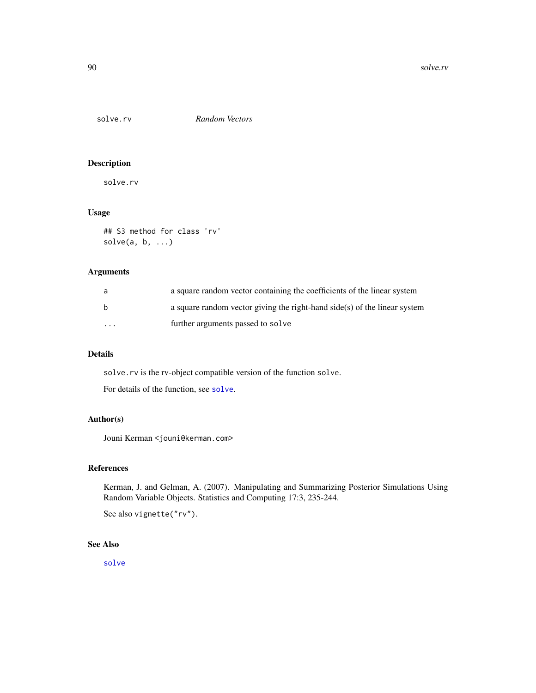<span id="page-89-0"></span>

solve.rv

# Usage

```
## S3 method for class 'rv'
solve(a, b, ...)
```
# Arguments

| a                       | a square random vector containing the coefficients of the linear system     |
|-------------------------|-----------------------------------------------------------------------------|
| <sub>b</sub>            | a square random vector giving the right-hand $side(s)$ of the linear system |
| $\cdot$ $\cdot$ $\cdot$ | further arguments passed to solve                                           |

#### Details

solve.rv is the rv-object compatible version of the function solve.

For details of the function, see [solve](#page-0-0).

# Author(s)

Jouni Kerman <jouni@kerman.com>

# References

Kerman, J. and Gelman, A. (2007). Manipulating and Summarizing Posterior Simulations Using Random Variable Objects. Statistics and Computing 17:3, 235-244.

See also vignette("rv").

# See Also

[solve](#page-0-0)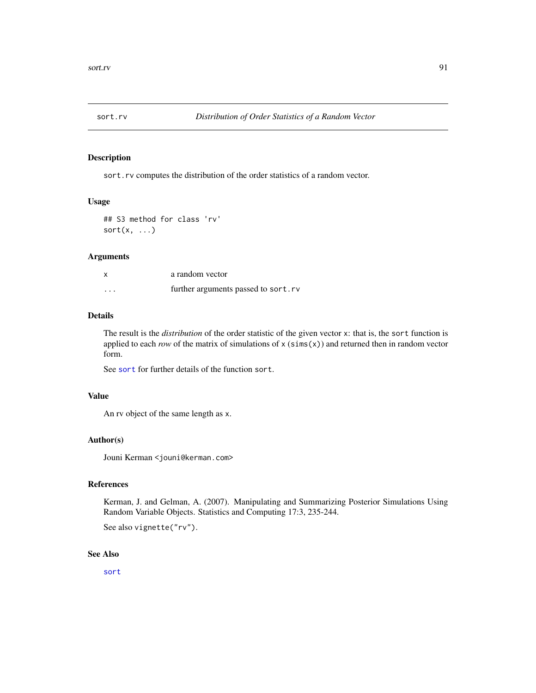<span id="page-90-0"></span>

sort.rv computes the distribution of the order statistics of a random vector.

# Usage

```
## S3 method for class 'rv'
sort(x, \ldots)
```
# Arguments

|          | a random vector                     |
|----------|-------------------------------------|
| $\cdots$ | further arguments passed to sort.rv |

#### Details

The result is the *distribution* of the order statistic of the given vector x: that is, the sort function is applied to each *row* of the matrix of simulations of  $x$  (sims( $x$ )) and returned then in random vector form.

See [sort](#page-0-0) for further details of the function sort.

#### Value

An rv object of the same length as x.

#### Author(s)

Jouni Kerman <jouni@kerman.com>

# References

Kerman, J. and Gelman, A. (2007). Manipulating and Summarizing Posterior Simulations Using Random Variable Objects. Statistics and Computing 17:3, 235-244.

See also vignette("rv").

#### See Also

[sort](#page-0-0)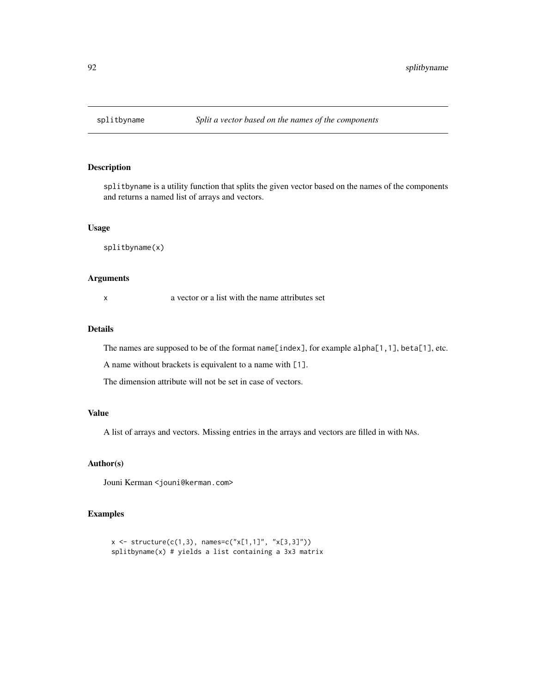<span id="page-91-0"></span>

splitbyname is a utility function that splits the given vector based on the names of the components and returns a named list of arrays and vectors.

#### Usage

splitbyname(x)

# Arguments

x a vector or a list with the name attributes set

#### Details

The names are supposed to be of the format name[index], for example alpha[1,1], beta[1], etc.

A name without brackets is equivalent to a name with [1].

The dimension attribute will not be set in case of vectors.

#### Value

A list of arrays and vectors. Missing entries in the arrays and vectors are filled in with NAs.

# Author(s)

Jouni Kerman <jouni@kerman.com>

```
x \le structure(c(1,3), names=c("x[1,1]", "x[3,3]"))
splitbyname(x) # yields a list containing a 3x3 matrix
```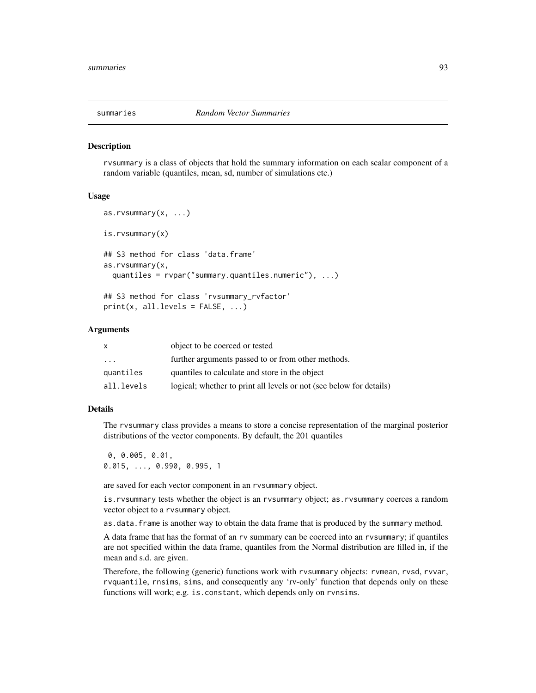<span id="page-92-0"></span>

rvsummary is a class of objects that hold the summary information on each scalar component of a random variable (quantiles, mean, sd, number of simulations etc.)

#### Usage

```
as.rvsummary(x, ...)
is.rvsummary(x)
## S3 method for class 'data.frame'
as.rvsummary(x,
 quantiles = rvpar("summary.quantiles.numeric"), ...)
## S3 method for class 'rvsummary_rvfactor'
print(x, all.levels = FALSE, ...)
```
#### Arguments

| X          | object to be coerced or tested                                      |
|------------|---------------------------------------------------------------------|
| $\cdot$    | further arguments passed to or from other methods.                  |
| quantiles  | quantiles to calculate and store in the object                      |
| all.levels | logical; whether to print all levels or not (see below for details) |

# Details

The rvsummary class provides a means to store a concise representation of the marginal posterior distributions of the vector components. By default, the 201 quantiles

0, 0.005, 0.01, 0.015, ..., 0.990, 0.995, 1

are saved for each vector component in an rvsummary object.

is.rvsummary tests whether the object is an rvsummary object; as.rvsummary coerces a random vector object to a rvsummary object.

as.data.frame is another way to obtain the data frame that is produced by the summary method.

A data frame that has the format of an rv summary can be coerced into an rvsummary; if quantiles are not specified within the data frame, quantiles from the Normal distribution are filled in, if the mean and s.d. are given.

Therefore, the following (generic) functions work with rvsummary objects: rvmean, rvsd, rvvar, rvquantile, rnsims, sims, and consequently any 'rv-only' function that depends only on these functions will work; e.g. is.constant, which depends only on rvnsims.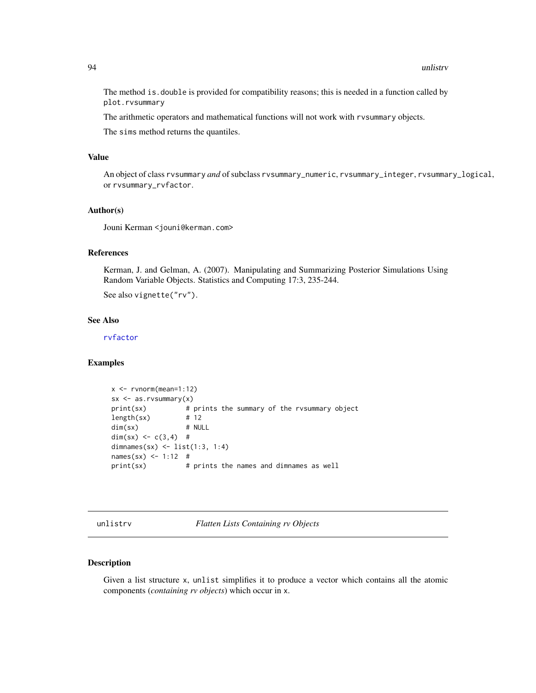<span id="page-93-0"></span>The method is.double is provided for compatibility reasons; this is needed in a function called by plot.rvsummary

The arithmetic operators and mathematical functions will not work with rvsummary objects.

The sims method returns the quantiles.

#### Value

An object of class rvsummary *and* of subclass rvsummary\_numeric, rvsummary\_integer, rvsummary\_logical, or rvsummary\_rvfactor.

#### Author(s)

Jouni Kerman <jouni@kerman.com>

#### References

Kerman, J. and Gelman, A. (2007). Manipulating and Summarizing Posterior Simulations Using Random Variable Objects. Statistics and Computing 17:3, 235-244.

See also vignette("rv").

#### See Also

[rvfactor](#page-37-0)

#### Examples

```
x <- rvnorm(mean=1:12)
sx \leq -as.rvsummary(x)print(sx) # prints the summary of the rvsummary object
length(sx) # 12
dim(sx) # NULL
dim(sx) <- c(3,4) #
dimnames(sx) <- list(1:3, 1:4)
names(sx) < -1:12 #print(sx) # prints the names and dimnames as well
```
unlistrv *Flatten Lists Containing rv Objects*

# **Description**

Given a list structure x, unlist simplifies it to produce a vector which contains all the atomic components (*containing rv objects*) which occur in x.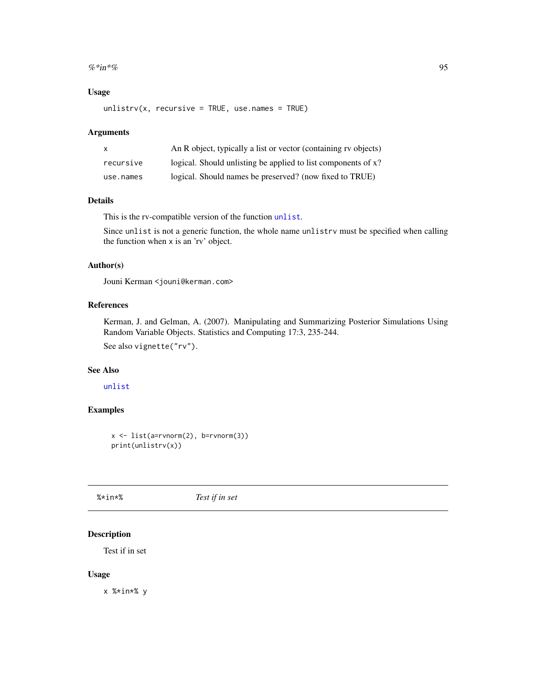#### <span id="page-94-0"></span> $\%$ \*in\*% 95

# Usage

 $unlistrv(x, recursive = TRUE, use.name = TRUE)$ 

# Arguments

| X         | An R object, typically a list or vector (containing rv objects) |
|-----------|-----------------------------------------------------------------|
| recursive | logical. Should unlisting be applied to list components of x?   |
| use.names | logical. Should names be preserved? (now fixed to TRUE)         |

#### Details

This is the rv-compatible version of the function [unlist](#page-0-0).

Since unlist is not a generic function, the whole name unlistrv must be specified when calling the function when x is an 'rv' object.

# Author(s)

Jouni Kerman <jouni@kerman.com>

# References

Kerman, J. and Gelman, A. (2007). Manipulating and Summarizing Posterior Simulations Using Random Variable Objects. Statistics and Computing 17:3, 235-244.

See also vignette("rv").

# See Also

[unlist](#page-0-0)

# Examples

```
x \leftarrow \text{list}(\text{a=rvnorm}(2), \text{b=rvnorm}(3))print(unlistrv(x))
```
%\*in\*% *Test if in set*

# Description

Test if in set

#### Usage

x %\*in\*% y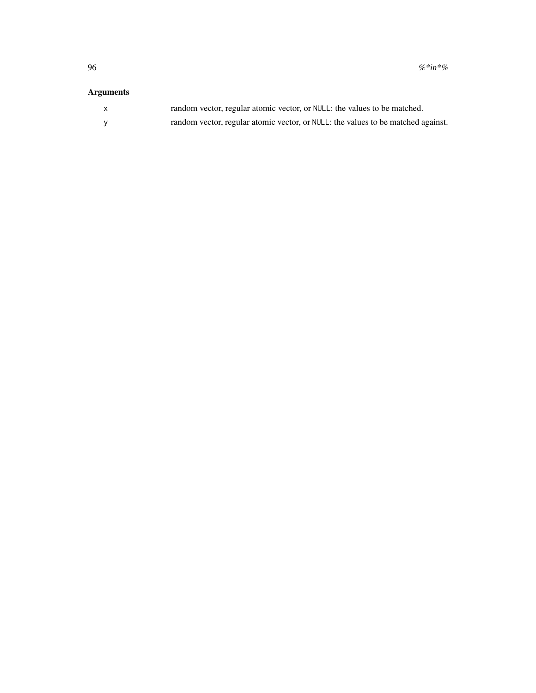# Arguments

| $\mathsf{x}$ | random vector, regular atomic vector, or NULL: the values to be matched.         |
|--------------|----------------------------------------------------------------------------------|
|              | random vector, regular atomic vector, or NULL: the values to be matched against. |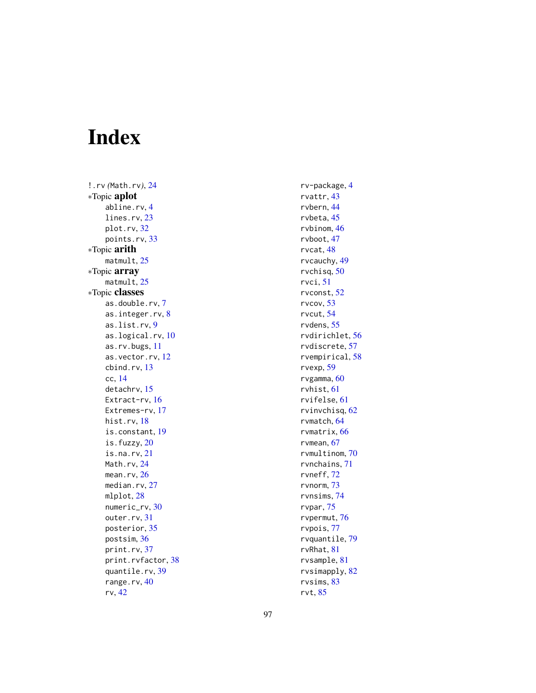# Index

!.rv *(*Math.rv *)* , [24](#page-23-0) ∗Topic aplot abline.rv , [4](#page-3-0) lines.rv, [23](#page-22-0) plot.rv , [32](#page-31-0) points.rv , [33](#page-32-0) ∗Topic arith matmult, [25](#page-24-0) ∗Topic array matmult, [25](#page-24-0) ∗Topic classes as.double.rv , [7](#page-6-0) as.integer.rv, <mark>[8](#page-7-0)</mark> as.list.rv , [9](#page-8-0) as.logical.rv , [10](#page-9-0) as.rv.bugs , [11](#page-10-0) as.vector.rv , [12](#page-11-0) cbind.rv , [13](#page-12-0) cc , [14](#page-13-0) detachrv , [15](#page-14-0) Extract-rv, [16](#page-15-0) Extremes-rv, [17](#page-16-0) hist.rv , [18](#page-17-0) is.constant , [19](#page-18-0) is.fuzzy , [20](#page-19-0) is.na.rv , [21](#page-20-0) Math.rv, [24](#page-23-0) mean.rv,[26](#page-25-0) median.rv, [27](#page-26-0) mlplot, [28](#page-27-0) numeric\_rv , [30](#page-29-0) outer.rv, [31](#page-30-0) posterior , [35](#page-34-0) postsim , [36](#page-35-0) print.rv, [37](#page-36-0) print.rvfactor , [38](#page-37-1) quantile.rv , [39](#page-38-0) range.rv, [40](#page-39-0) rv , [42](#page-41-0)

rv-package , [4](#page-3-0) rvattr , [43](#page-42-0) rvbern , [44](#page-43-0) rvbeta , [45](#page-44-0) rvbinom , [46](#page-45-0) rvboot , [47](#page-46-0) rvcat , [48](#page-47-0) rvcauchy , [49](#page-48-0) rvchisq , [50](#page-49-0) rvci , [51](#page-50-0) rvconst , [52](#page-51-0) rvcov , [53](#page-52-0) rvcut , [54](#page-53-0) rvdens , [55](#page-54-0) rvdirichlet , [56](#page-55-0) rvdiscrete , [57](#page-56-0) rvempirical , [58](#page-57-0) rvexp , [59](#page-58-0) rvgamma, [60](#page-59-0) rvhist , [61](#page-60-0) rvifelse , [61](#page-60-0) rvinvchisq , [62](#page-61-0) rvmatch , [64](#page-63-0) rvmatrix , [66](#page-65-0) rvmean , [67](#page-66-2) rvmultinom , [70](#page-69-0) rvnchains , [71](#page-70-0) rvneff , [72](#page-71-0) rvnorm , [73](#page-72-0) rvnsims , [74](#page-73-0) rvpar , [75](#page-74-0) rvpermut , [76](#page-75-0) rvpois , [77](#page-76-0) rvquantile , [79](#page-78-1) rvRhat, [81](#page-80-0) rvsample , [81](#page-80-0) rvsimapply , [82](#page-81-1) rvsims , [83](#page-82-0) rvt , [85](#page-84-0)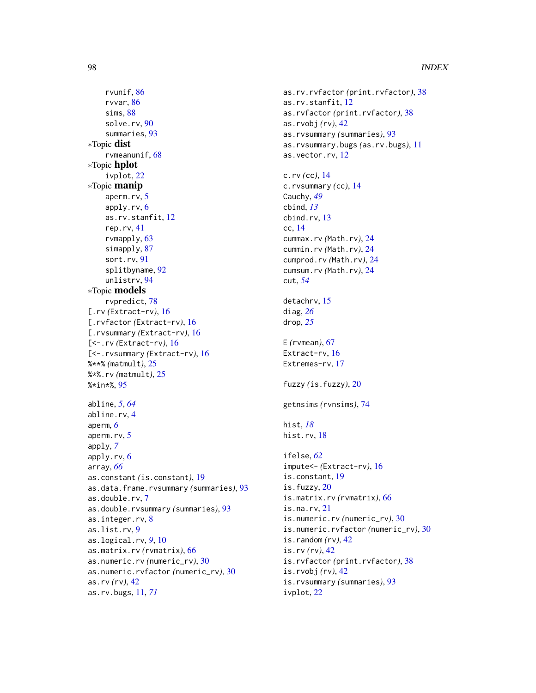rvunif, [86](#page-85-1) rvvar, [86](#page-85-1) sims, [88](#page-87-0) solve.rv, [90](#page-89-0) summaries, [93](#page-92-0) ∗Topic dist rvmeanunif, [68](#page-67-0) ∗Topic hplot ivplot, [22](#page-21-0) ∗Topic manip aperm.rv, [5](#page-4-0) apply.rv, [6](#page-5-0) as.rv.stanfit, [12](#page-11-0) rep.rv, [41](#page-40-0) rvmapply, [63](#page-62-1) simapply, [87](#page-86-1) sort.rv, [91](#page-90-0) splitbyname, [92](#page-91-0) unlistrv, [94](#page-93-0) ∗Topic models rvpredict, [78](#page-77-0) [.rv *(*Extract-rv*)*, [16](#page-15-0) [.rvfactor *(*Extract-rv*)*, [16](#page-15-0) [.rvsummary *(*Extract-rv*)*, [16](#page-15-0) [<-.rv *(*Extract-rv*)*, [16](#page-15-0) [<-.rvsummary *(*Extract-rv*)*, [16](#page-15-0) %\*\*% *(*matmult*)*, [25](#page-24-0) %\*%.rv *(*matmult*)*, [25](#page-24-0) %\*in\*%, [95](#page-94-0) abline, *[5](#page-4-0)*, *[64](#page-63-0)* abline.rv, [4](#page-3-0) aperm, *[6](#page-5-0)* aperm.rv, [5](#page-4-0) apply, *[7](#page-6-0)* apply.rv, [6](#page-5-0) array, *[66](#page-65-0)* as.constant *(*is.constant*)*, [19](#page-18-0) as.data.frame.rvsummary *(*summaries*)*, [93](#page-92-0) as.double.rv, [7](#page-6-0) as.double.rvsummary *(*summaries*)*, [93](#page-92-0) as.integer.rv, [8](#page-7-0) as.list.rv, [9](#page-8-0) as.logical.rv, *[9](#page-8-0)*, [10](#page-9-0) as.matrix.rv *(*rvmatrix*)*, [66](#page-65-0) as.numeric.rv *(*numeric\_rv*)*, [30](#page-29-0) as.numeric.rvfactor *(*numeric\_rv*)*, [30](#page-29-0) as.rv *(*rv*)*, [42](#page-41-0) as.rv.bugs, [11,](#page-10-0) *[71](#page-70-0)*

as.rv.rvfactor *(*print.rvfactor*)*, [38](#page-37-1) as.rv.stanfit, [12](#page-11-0) as.rvfactor *(*print.rvfactor*)*, [38](#page-37-1) as.rvobj *(*rv*)*, [42](#page-41-0) as.rvsummary *(*summaries*)*, [93](#page-92-0) as.rvsummary.bugs *(*as.rv.bugs*)*, [11](#page-10-0) as.vector.rv, [12](#page-11-0) c.rv *(*cc*)*, [14](#page-13-0) c.rvsummary *(*cc*)*, [14](#page-13-0) Cauchy, *[49](#page-48-0)* cbind, *[13](#page-12-0)* cbind.rv, [13](#page-12-0) cc, [14](#page-13-0) cummax.rv *(*Math.rv*)*, [24](#page-23-0) cummin.rv *(*Math.rv*)*, [24](#page-23-0) cumprod.rv *(*Math.rv*)*, [24](#page-23-0) cumsum.rv *(*Math.rv*)*, [24](#page-23-0) cut, *[54](#page-53-0)* detachrv, [15](#page-14-0) diag, *[26](#page-25-0)* drop, *[25](#page-24-0)* E *(*rvmean*)*, [67](#page-66-2) Extract-rv, [16](#page-15-0) Extremes-rv, [17](#page-16-0) fuzzy *(*is.fuzzy*)*, [20](#page-19-0) getnsims *(*rvnsims*)*, [74](#page-73-0) hist, *[18](#page-17-0)* hist.rv, [18](#page-17-0) ifelse, *[62](#page-61-0)* impute<- *(*Extract-rv*)*, [16](#page-15-0) is.constant, [19](#page-18-0) is.fuzzy, [20](#page-19-0) is.matrix.rv *(*rvmatrix*)*, [66](#page-65-0) is.na.rv, [21](#page-20-0) is.numeric.rv *(*numeric\_rv*)*, [30](#page-29-0) is.numeric.rvfactor *(*numeric\_rv*)*, [30](#page-29-0) is.random *(*rv*)*, [42](#page-41-0) is.rv *(*rv*)*, [42](#page-41-0) is.rvfactor *(*print.rvfactor*)*, [38](#page-37-1) is.rvobj *(*rv*)*, [42](#page-41-0) is.rvsummary *(*summaries*)*, [93](#page-92-0) ivplot, [22](#page-21-0)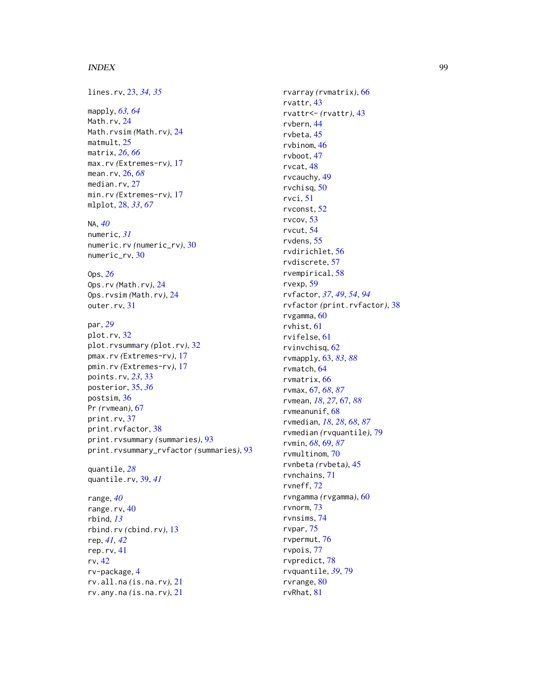#### INDEX 99

lines.rv , [23](#page-22-0) , *[34](#page-33-0) , [35](#page-34-0)* mapply , *[63](#page-62-1) , [64](#page-63-0)* Math.rv, [24](#page-23-0) Math.rvsim *(*Math.rv *)* , [24](#page-23-0) matmult, [25](#page-24-0) matrix , *[26](#page-25-0)* , *[66](#page-65-0)* max.rv *(*Extremes-rv *)* , [17](#page-16-0) mean.rv , [26](#page-25-0) , *[68](#page-67-0)* median.rv, [27](#page-26-0) min.rv *(*Extremes-rv *)* , [17](#page-16-0) mlplot , [28](#page-27-0) , *[33](#page-32-0)* , *[67](#page-66-2)* NA , *[40](#page-39-0)* numeric , *[31](#page-30-0)* numeric.rv *(*numeric\_rv *)* , [30](#page-29-0) numeric\_rv , [30](#page-29-0) Ops , *[26](#page-25-0)* Ops.rv *(*Math.rv *)* , [24](#page-23-0) Ops.rvsim *(*Math.rv *)* , [24](#page-23-0) outer.rv , [31](#page-30-0) par , *[29](#page-28-0)* plot.rv , [32](#page-31-0) plot.rvsummary *(*plot.rv *)* , [32](#page-31-0) pmax.rv *(*Extremes-rv *)* , [17](#page-16-0) pmin.rv *(*Extremes-rv *)* , [17](#page-16-0) points.rv , *[23](#page-22-0)* , [33](#page-32-0) posterior , [35](#page-34-0) , *[36](#page-35-0)* postsim , [36](#page-35-0) Pr *(*rvmean *)* , [67](#page-66-2) print.rv , [37](#page-36-0) print.rvfactor , [38](#page-37-1) print.rvsummary *(*summaries *)* , [93](#page-92-0) print.rvsummary\_rvfactor *(*summaries *)* , [93](#page-92-0) quantile , *[28](#page-27-0)* quantile.rv , [39](#page-38-0) , *[41](#page-40-0)* range , *[40](#page-39-0)* range.rv , [40](#page-39-0) rbind , *[13](#page-12-0)* rbind.rv *(*cbind.rv *)* , [13](#page-12-0) rep , *[41](#page-40-0) , [42](#page-41-0)* rep.rv , [41](#page-40-0) rv , [42](#page-41-0) rv-package , [4](#page-3-0) rv.all.na *(*is.na.rv *)* , [21](#page-20-0) rv.any.na *(*is.na.rv *)* , [21](#page-20-0)

rvarray *(*rvmatrix *)* , [66](#page-65-0) rvattr , [43](#page-42-0) rvattr<- *(*rvattr *)* , [43](#page-42-0) rvbern , [44](#page-43-0) rvbeta , [45](#page-44-0) rvbinom , [46](#page-45-0) rvboot , [47](#page-46-0) rvcat , [48](#page-47-0) rvcauchy , [49](#page-48-0) rvchisq , [50](#page-49-0) rvci , [51](#page-50-0) rvconst , [52](#page-51-0) rvcov , [53](#page-52-0) rvcut , [54](#page-53-0) rvdens , [55](#page-54-0) rvdirichlet , [56](#page-55-0) rvdiscrete , [57](#page-56-0) rvempirical , [58](#page-57-0) rvexp , [59](#page-58-0) rvfactor , *[37](#page-36-0)* , *[49](#page-48-0)* , *[54](#page-53-0)* , *[94](#page-93-0)* rvfactor *(*print.rvfactor *)* , [38](#page-37-1) rvgamma , [60](#page-59-0) rvhist , [61](#page-60-0) rvifelse , [61](#page-60-0) rvinvchisq , [62](#page-61-0) rvmapply , [63](#page-62-1) , *[83](#page-82-0)* , *[88](#page-87-0)* rvmatch , [64](#page-63-0) rvmatrix , [66](#page-65-0) rvmax , [67](#page-66-2) , *[68](#page-67-0)* , *[87](#page-86-1)* rvmean , *[18](#page-17-0)* , *[27](#page-26-0)* , [67](#page-66-2) , *[88](#page-87-0)* rvmeanunif , [68](#page-67-0) rvmedian , *[18](#page-17-0)* , *[28](#page-27-0)* , *[68](#page-67-0)* , *[87](#page-86-1)* rvmedian *(*rvquantile *)* , [79](#page-78-1) rvmin , *[68](#page-67-0)* , [69](#page-68-1) , *[87](#page-86-1)* rvmultinom , [70](#page-69-0) rvnbeta *(*rvbeta *)* , [45](#page-44-0) rvnchains , [71](#page-70-0) rvneff , [72](#page-71-0) rvngamma *(*rvgamma *)* , [60](#page-59-0) rvnorm , [73](#page-72-0) rvnsims , [74](#page-73-0) rvpar , [75](#page-74-0) rvpermut , [76](#page-75-0) rvpois , [77](#page-76-0) rvpredict , [78](#page-77-0) rvquantile , *[39](#page-38-0)* , [79](#page-78-1) rvrange, [80](#page-79-0) rvRhat , [81](#page-80-0)